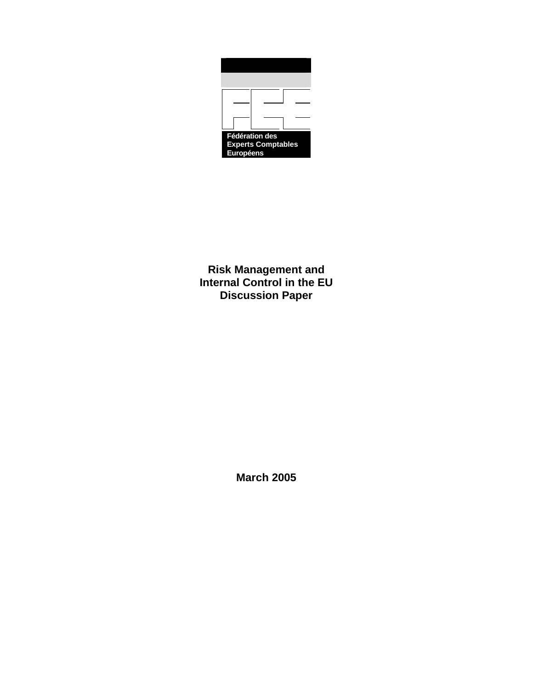

**Risk Management and Internal Control in the EU Discussion Paper** 

**March 2005**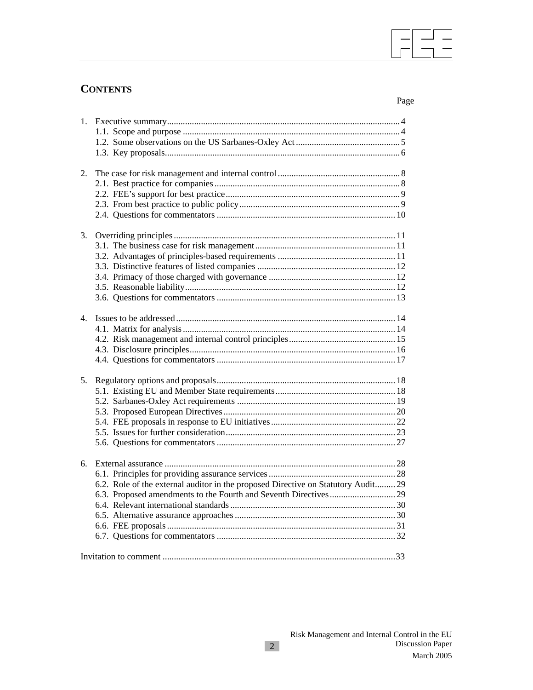# **CONTENTS**

 $\overline{\phantom{a}}$ 

| 2.             |                                                                                   |  |
|----------------|-----------------------------------------------------------------------------------|--|
|                |                                                                                   |  |
|                |                                                                                   |  |
|                |                                                                                   |  |
|                |                                                                                   |  |
|                |                                                                                   |  |
| 3.             |                                                                                   |  |
|                |                                                                                   |  |
|                |                                                                                   |  |
|                |                                                                                   |  |
|                |                                                                                   |  |
|                |                                                                                   |  |
|                |                                                                                   |  |
|                |                                                                                   |  |
| $\mathbf{4}$ . |                                                                                   |  |
|                |                                                                                   |  |
|                |                                                                                   |  |
|                |                                                                                   |  |
|                |                                                                                   |  |
|                |                                                                                   |  |
| 5.             |                                                                                   |  |
|                |                                                                                   |  |
|                |                                                                                   |  |
|                |                                                                                   |  |
|                |                                                                                   |  |
|                |                                                                                   |  |
|                |                                                                                   |  |
|                |                                                                                   |  |
| 6.             |                                                                                   |  |
|                |                                                                                   |  |
|                | 6.2. Role of the external auditor in the proposed Directive on Statutory Audit 29 |  |
|                |                                                                                   |  |
|                |                                                                                   |  |
|                |                                                                                   |  |
|                |                                                                                   |  |
|                |                                                                                   |  |
|                |                                                                                   |  |
|                |                                                                                   |  |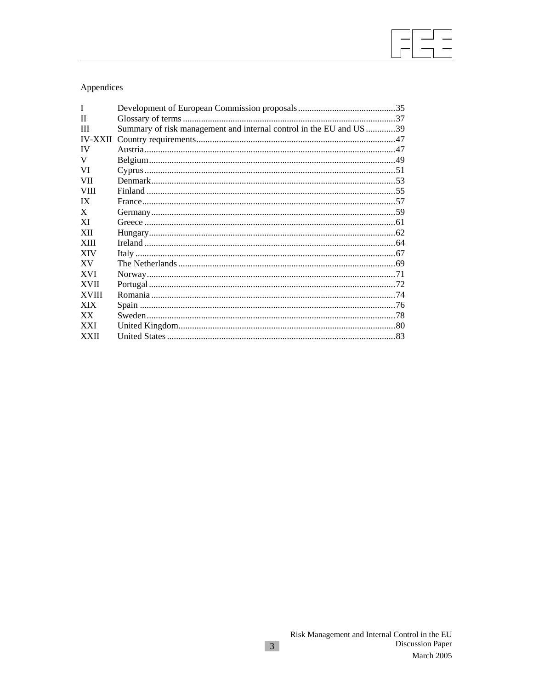# Appendices

| T              |                                                                     |  |
|----------------|---------------------------------------------------------------------|--|
| $_{\rm II}$    |                                                                     |  |
| Ш              | Summary of risk management and internal control in the EU and US 39 |  |
| <b>IV-XXII</b> |                                                                     |  |
| IV             |                                                                     |  |
| V              |                                                                     |  |
| VI             |                                                                     |  |
| VII            |                                                                     |  |
| <b>VIII</b>    |                                                                     |  |
| IX             |                                                                     |  |
| X              |                                                                     |  |
| XI             |                                                                     |  |
| XII            |                                                                     |  |
| <b>XIII</b>    |                                                                     |  |
| <b>XIV</b>     |                                                                     |  |
| <b>XV</b>      |                                                                     |  |
| <b>XVI</b>     |                                                                     |  |
| <b>XVII</b>    |                                                                     |  |
| <b>XVIII</b>   |                                                                     |  |
| <b>XIX</b>     |                                                                     |  |
| XX.            |                                                                     |  |
| <b>XXI</b>     |                                                                     |  |
| <b>XXII</b>    |                                                                     |  |
|                |                                                                     |  |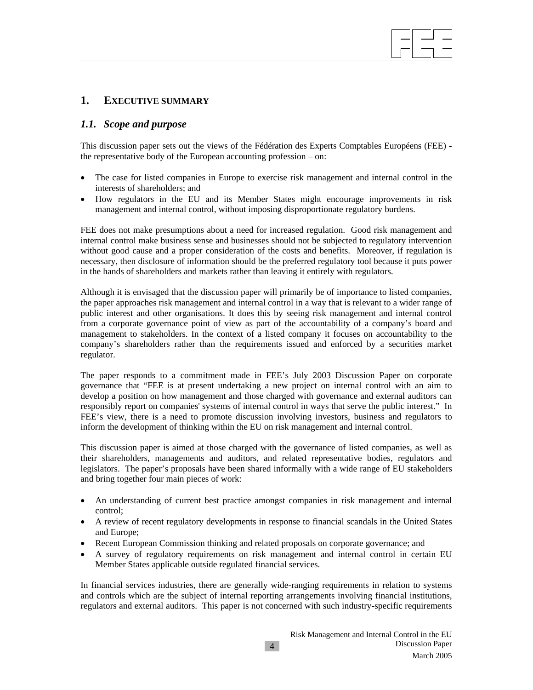# **1. EXECUTIVE SUMMARY**

#### *1.1. Scope and purpose*

This discussion paper sets out the views of the Fédération des Experts Comptables Européens (FEE) the representative body of the European accounting profession – on:

- The case for listed companies in Europe to exercise risk management and internal control in the interests of shareholders; and
- How regulators in the EU and its Member States might encourage improvements in risk management and internal control, without imposing disproportionate regulatory burdens.

FEE does not make presumptions about a need for increased regulation. Good risk management and internal control make business sense and businesses should not be subjected to regulatory intervention without good cause and a proper consideration of the costs and benefits. Moreover, if regulation is necessary, then disclosure of information should be the preferred regulatory tool because it puts power in the hands of shareholders and markets rather than leaving it entirely with regulators.

Although it is envisaged that the discussion paper will primarily be of importance to listed companies, the paper approaches risk management and internal control in a way that is relevant to a wider range of public interest and other organisations. It does this by seeing risk management and internal control from a corporate governance point of view as part of the accountability of a company's board and management to stakeholders. In the context of a listed company it focuses on accountability to the company's shareholders rather than the requirements issued and enforced by a securities market regulator.

The paper responds to a commitment made in FEE's July 2003 Discussion Paper on corporate governance that "FEE is at present undertaking a new project on internal control with an aim to develop a position on how management and those charged with governance and external auditors can responsibly report on companies' systems of internal control in ways that serve the public interest." In FEE's view, there is a need to promote discussion involving investors, business and regulators to inform the development of thinking within the EU on risk management and internal control.

This discussion paper is aimed at those charged with the governance of listed companies, as well as their shareholders, managements and auditors, and related representative bodies, regulators and legislators. The paper's proposals have been shared informally with a wide range of EU stakeholders and bring together four main pieces of work:

- An understanding of current best practice amongst companies in risk management and internal control;
- A review of recent regulatory developments in response to financial scandals in the United States and Europe;
- Recent European Commission thinking and related proposals on corporate governance; and
- A survey of regulatory requirements on risk management and internal control in certain EU Member States applicable outside regulated financial services.

In financial services industries, there are generally wide-ranging requirements in relation to systems and controls which are the subject of internal reporting arrangements involving financial institutions, regulators and external auditors. This paper is not concerned with such industry-specific requirements

4

 $\overline{\phantom{a}}$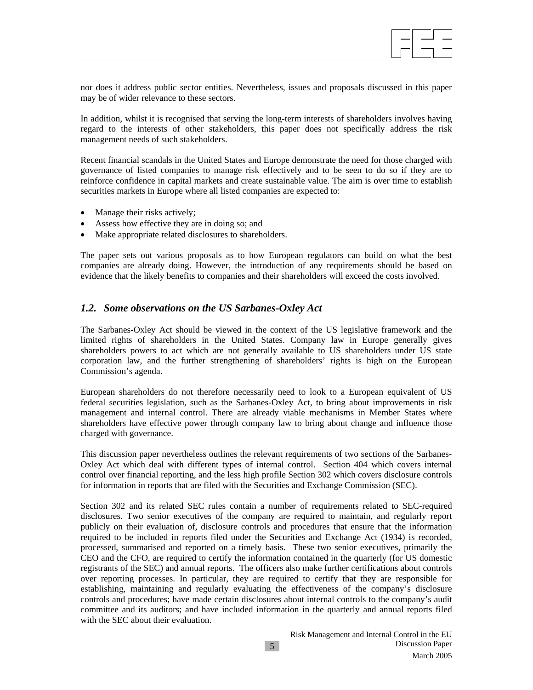

nor does it address public sector entities. Nevertheless, issues and proposals discussed in this paper may be of wider relevance to these sectors.

In addition, whilst it is recognised that serving the long-term interests of shareholders involves having regard to the interests of other stakeholders, this paper does not specifically address the risk management needs of such stakeholders.

Recent financial scandals in the United States and Europe demonstrate the need for those charged with governance of listed companies to manage risk effectively and to be seen to do so if they are to reinforce confidence in capital markets and create sustainable value. The aim is over time to establish securities markets in Europe where all listed companies are expected to:

- Manage their risks actively;
- Assess how effective they are in doing so; and
- Make appropriate related disclosures to shareholders.

The paper sets out various proposals as to how European regulators can build on what the best companies are already doing. However, the introduction of any requirements should be based on evidence that the likely benefits to companies and their shareholders will exceed the costs involved.

#### *1.2. Some observations on the US Sarbanes-Oxley Act*

The Sarbanes-Oxley Act should be viewed in the context of the US legislative framework and the limited rights of shareholders in the United States. Company law in Europe generally gives shareholders powers to act which are not generally available to US shareholders under US state corporation law, and the further strengthening of shareholders' rights is high on the European Commission's agenda.

European shareholders do not therefore necessarily need to look to a European equivalent of US federal securities legislation, such as the Sarbanes-Oxley Act, to bring about improvements in risk management and internal control. There are already viable mechanisms in Member States where shareholders have effective power through company law to bring about change and influence those charged with governance.

This discussion paper nevertheless outlines the relevant requirements of two sections of the Sarbanes-Oxley Act which deal with different types of internal control. Section 404 which covers internal control over financial reporting, and the less high profile Section 302 which covers disclosure controls for information in reports that are filed with the Securities and Exchange Commission (SEC).

Section 302 and its related SEC rules contain a number of requirements related to SEC-required disclosures. Two senior executives of the company are required to maintain, and regularly report publicly on their evaluation of, disclosure controls and procedures that ensure that the information required to be included in reports filed under the Securities and Exchange Act (1934) is recorded, processed, summarised and reported on a timely basis. These two senior executives, primarily the CEO and the CFO, are required to certify the information contained in the quarterly (for US domestic registrants of the SEC) and annual reports. The officers also make further certifications about controls over reporting processes. In particular, they are required to certify that they are responsible for establishing, maintaining and regularly evaluating the effectiveness of the company's disclosure controls and procedures; have made certain disclosures about internal controls to the company's audit committee and its auditors; and have included information in the quarterly and annual reports filed with the SEC about their evaluation.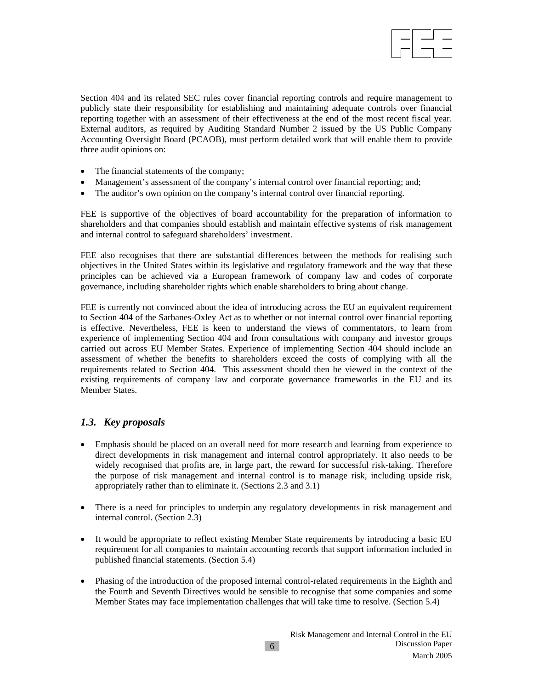

Section 404 and its related SEC rules cover financial reporting controls and require management to publicly state their responsibility for establishing and maintaining adequate controls over financial reporting together with an assessment of their effectiveness at the end of the most recent fiscal year. External auditors, as required by Auditing Standard Number 2 issued by the US Public Company Accounting Oversight Board (PCAOB), must perform detailed work that will enable them to provide three audit opinions on:

- The financial statements of the company;
- Management's assessment of the company's internal control over financial reporting; and;
- The auditor's own opinion on the company's internal control over financial reporting.

FEE is supportive of the objectives of board accountability for the preparation of information to shareholders and that companies should establish and maintain effective systems of risk management and internal control to safeguard shareholders' investment.

FEE also recognises that there are substantial differences between the methods for realising such objectives in the United States within its legislative and regulatory framework and the way that these principles can be achieved via a European framework of company law and codes of corporate governance, including shareholder rights which enable shareholders to bring about change.

FEE is currently not convinced about the idea of introducing across the EU an equivalent requirement to Section 404 of the Sarbanes-Oxley Act as to whether or not internal control over financial reporting is effective. Nevertheless, FEE is keen to understand the views of commentators, to learn from experience of implementing Section 404 and from consultations with company and investor groups carried out across EU Member States. Experience of implementing Section 404 should include an assessment of whether the benefits to shareholders exceed the costs of complying with all the requirements related to Section 404. This assessment should then be viewed in the context of the existing requirements of company law and corporate governance frameworks in the EU and its Member States.

# *1.3. Key proposals*

- Emphasis should be placed on an overall need for more research and learning from experience to direct developments in risk management and internal control appropriately. It also needs to be widely recognised that profits are, in large part, the reward for successful risk-taking. Therefore the purpose of risk management and internal control is to manage risk, including upside risk, appropriately rather than to eliminate it. (Sections 2.3 and 3.1)
- There is a need for principles to underpin any regulatory developments in risk management and internal control. (Section 2.3)
- It would be appropriate to reflect existing Member State requirements by introducing a basic EU requirement for all companies to maintain accounting records that support information included in published financial statements. (Section 5.4)
- Phasing of the introduction of the proposed internal control-related requirements in the Eighth and the Fourth and Seventh Directives would be sensible to recognise that some companies and some Member States may face implementation challenges that will take time to resolve. (Section 5.4)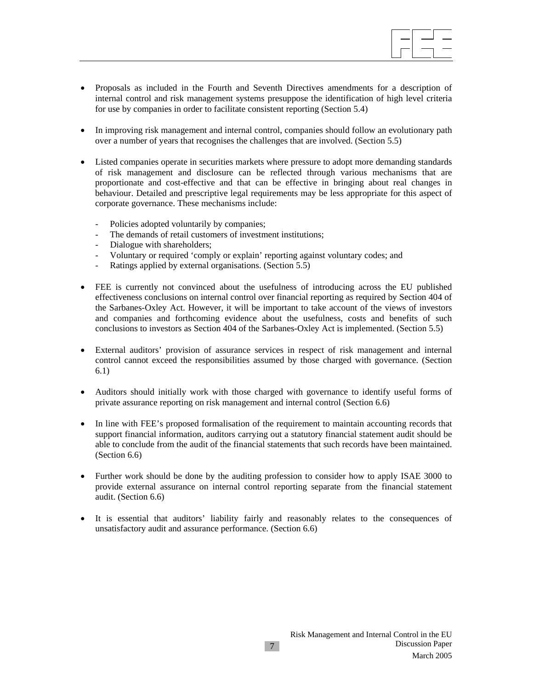

- Proposals as included in the Fourth and Seventh Directives amendments for a description of internal control and risk management systems presuppose the identification of high level criteria for use by companies in order to facilitate consistent reporting (Section 5.4)
- In improving risk management and internal control, companies should follow an evolutionary path over a number of years that recognises the challenges that are involved. (Section 5.5)
- Listed companies operate in securities markets where pressure to adopt more demanding standards of risk management and disclosure can be reflected through various mechanisms that are proportionate and cost-effective and that can be effective in bringing about real changes in behaviour. Detailed and prescriptive legal requirements may be less appropriate for this aspect of corporate governance. These mechanisms include:
	- Policies adopted voluntarily by companies;
	- The demands of retail customers of investment institutions;
	- Dialogue with shareholders;
	- Voluntary or required 'comply or explain' reporting against voluntary codes; and
	- Ratings applied by external organisations. (Section 5.5)
- FEE is currently not convinced about the usefulness of introducing across the EU published effectiveness conclusions on internal control over financial reporting as required by Section 404 of the Sarbanes-Oxley Act. However, it will be important to take account of the views of investors and companies and forthcoming evidence about the usefulness, costs and benefits of such conclusions to investors as Section 404 of the Sarbanes-Oxley Act is implemented. (Section 5.5)
- External auditors' provision of assurance services in respect of risk management and internal control cannot exceed the responsibilities assumed by those charged with governance. (Section 6.1)
- Auditors should initially work with those charged with governance to identify useful forms of private assurance reporting on risk management and internal control (Section 6.6)
- In line with FEE's proposed formalisation of the requirement to maintain accounting records that support financial information, auditors carrying out a statutory financial statement audit should be able to conclude from the audit of the financial statements that such records have been maintained. (Section 6.6)
- Further work should be done by the auditing profession to consider how to apply ISAE 3000 to provide external assurance on internal control reporting separate from the financial statement audit. (Section 6.6)
- It is essential that auditors' liability fairly and reasonably relates to the consequences of unsatisfactory audit and assurance performance. (Section 6.6)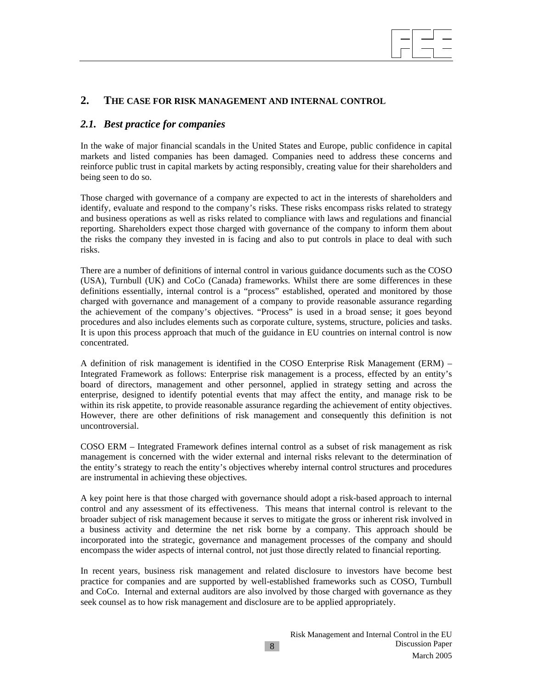

# **2. THE CASE FOR RISK MANAGEMENT AND INTERNAL CONTROL**

#### *2.1. Best practice for companies*

In the wake of major financial scandals in the United States and Europe, public confidence in capital markets and listed companies has been damaged. Companies need to address these concerns and reinforce public trust in capital markets by acting responsibly, creating value for their shareholders and being seen to do so.

Those charged with governance of a company are expected to act in the interests of shareholders and identify, evaluate and respond to the company's risks. These risks encompass risks related to strategy and business operations as well as risks related to compliance with laws and regulations and financial reporting. Shareholders expect those charged with governance of the company to inform them about the risks the company they invested in is facing and also to put controls in place to deal with such risks.

There are a number of definitions of internal control in various guidance documents such as the COSO (USA), Turnbull (UK) and CoCo (Canada) frameworks. Whilst there are some differences in these definitions essentially, internal control is a "process" established, operated and monitored by those charged with governance and management of a company to provide reasonable assurance regarding the achievement of the company's objectives. "Process" is used in a broad sense; it goes beyond procedures and also includes elements such as corporate culture, systems, structure, policies and tasks. It is upon this process approach that much of the guidance in EU countries on internal control is now concentrated.

A definition of risk management is identified in the COSO Enterprise Risk Management (ERM) – Integrated Framework as follows: Enterprise risk management is a process, effected by an entity's board of directors, management and other personnel, applied in strategy setting and across the enterprise, designed to identify potential events that may affect the entity, and manage risk to be within its risk appetite, to provide reasonable assurance regarding the achievement of entity objectives. However, there are other definitions of risk management and consequently this definition is not uncontroversial.

COSO ERM – Integrated Framework defines internal control as a subset of risk management as risk management is concerned with the wider external and internal risks relevant to the determination of the entity's strategy to reach the entity's objectives whereby internal control structures and procedures are instrumental in achieving these objectives.

A key point here is that those charged with governance should adopt a risk-based approach to internal control and any assessment of its effectiveness. This means that internal control is relevant to the broader subject of risk management because it serves to mitigate the gross or inherent risk involved in a business activity and determine the net risk borne by a company. This approach should be incorporated into the strategic, governance and management processes of the company and should encompass the wider aspects of internal control, not just those directly related to financial reporting.

In recent years, business risk management and related disclosure to investors have become best practice for companies and are supported by well-established frameworks such as COSO, Turnbull and CoCo. Internal and external auditors are also involved by those charged with governance as they seek counsel as to how risk management and disclosure are to be applied appropriately.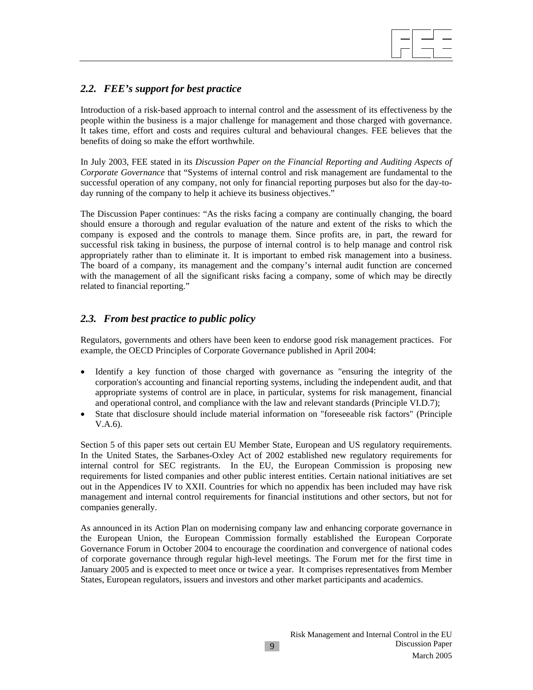

# *2.2. FEE's support for best practice*

Introduction of a risk-based approach to internal control and the assessment of its effectiveness by the people within the business is a major challenge for management and those charged with governance. It takes time, effort and costs and requires cultural and behavioural changes. FEE believes that the benefits of doing so make the effort worthwhile.

In July 2003, FEE stated in its *Discussion Paper on the Financial Reporting and Auditing Aspects of Corporate Governance* that "Systems of internal control and risk management are fundamental to the successful operation of any company, not only for financial reporting purposes but also for the day-today running of the company to help it achieve its business objectives."

The Discussion Paper continues: "As the risks facing a company are continually changing, the board should ensure a thorough and regular evaluation of the nature and extent of the risks to which the company is exposed and the controls to manage them. Since profits are, in part, the reward for successful risk taking in business, the purpose of internal control is to help manage and control risk appropriately rather than to eliminate it. It is important to embed risk management into a business. The board of a company, its management and the company's internal audit function are concerned with the management of all the significant risks facing a company, some of which may be directly related to financial reporting."

# *2.3. From best practice to public policy*

Regulators, governments and others have been keen to endorse good risk management practices. For example, the OECD Principles of Corporate Governance published in April 2004:

- Identify a key function of those charged with governance as "ensuring the integrity of the corporation's accounting and financial reporting systems, including the independent audit, and that appropriate systems of control are in place, in particular, systems for risk management, financial and operational control, and compliance with the law and relevant standards (Principle VI.D.7);
- State that disclosure should include material information on "foreseeable risk factors" (Principle V.A.6).

Section 5 of this paper sets out certain EU Member State, European and US regulatory requirements. In the United States, the Sarbanes-Oxley Act of 2002 established new regulatory requirements for internal control for SEC registrants. In the EU, the European Commission is proposing new requirements for listed companies and other public interest entities. Certain national initiatives are set out in the Appendices IV to XXII. Countries for which no appendix has been included may have risk management and internal control requirements for financial institutions and other sectors, but not for companies generally.

As announced in its Action Plan on modernising company law and enhancing corporate governance in the European Union, the European Commission formally established the European Corporate Governance Forum in October 2004 to encourage the coordination and convergence of national codes of corporate governance through regular high-level meetings. The Forum met for the first time in January 2005 and is expected to meet once or twice a year. It comprises representatives from Member States, European regulators, issuers and investors and other market participants and academics.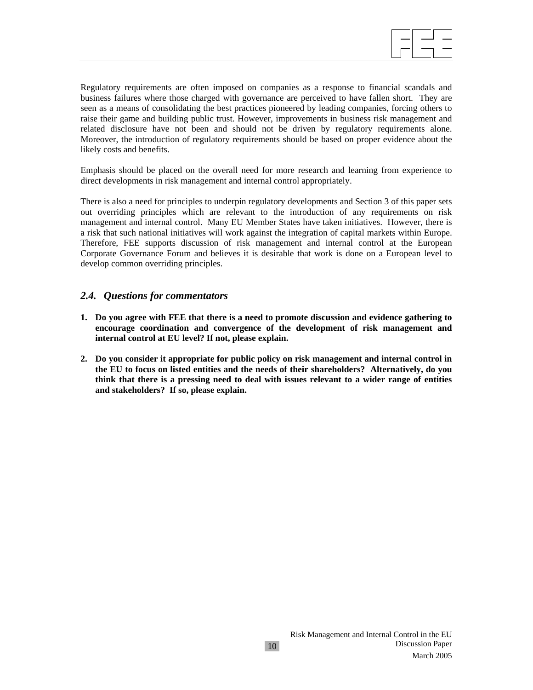Regulatory requirements are often imposed on companies as a response to financial scandals and business failures where those charged with governance are perceived to have fallen short. They are seen as a means of consolidating the best practices pioneered by leading companies, forcing others to raise their game and building public trust. However, improvements in business risk management and related disclosure have not been and should not be driven by regulatory requirements alone. Moreover, the introduction of regulatory requirements should be based on proper evidence about the likely costs and benefits.

Emphasis should be placed on the overall need for more research and learning from experience to direct developments in risk management and internal control appropriately.

There is also a need for principles to underpin regulatory developments and Section 3 of this paper sets out overriding principles which are relevant to the introduction of any requirements on risk management and internal control. Many EU Member States have taken initiatives. However, there is a risk that such national initiatives will work against the integration of capital markets within Europe. Therefore, FEE supports discussion of risk management and internal control at the European Corporate Governance Forum and believes it is desirable that work is done on a European level to develop common overriding principles.

#### *2.4. Questions for commentators*

- **1. Do you agree with FEE that there is a need to promote discussion and evidence gathering to encourage coordination and convergence of the development of risk management and internal control at EU level? If not, please explain.**
- **2. Do you consider it appropriate for public policy on risk management and internal control in the EU to focus on listed entities and the needs of their shareholders? Alternatively, do you think that there is a pressing need to deal with issues relevant to a wider range of entities and stakeholders? If so, please explain.**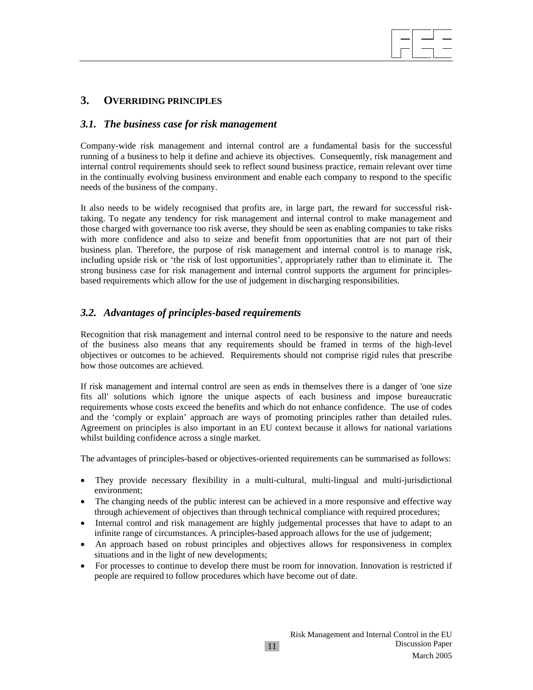# **3. OVERRIDING PRINCIPLES**

#### *3.1. The business case for risk management*

Company-wide risk management and internal control are a fundamental basis for the successful running of a business to help it define and achieve its objectives. Consequently, risk management and internal control requirements should seek to reflect sound business practice, remain relevant over time in the continually evolving business environment and enable each company to respond to the specific needs of the business of the company.

It also needs to be widely recognised that profits are, in large part, the reward for successful risktaking. To negate any tendency for risk management and internal control to make management and those charged with governance too risk averse, they should be seen as enabling companies to take risks with more confidence and also to seize and benefit from opportunities that are not part of their business plan. Therefore, the purpose of risk management and internal control is to manage risk, including upside risk or 'the risk of lost opportunities', appropriately rather than to eliminate it. The strong business case for risk management and internal control supports the argument for principlesbased requirements which allow for the use of judgement in discharging responsibilities.

# *3.2. Advantages of principles-based requirements*

Recognition that risk management and internal control need to be responsive to the nature and needs of the business also means that any requirements should be framed in terms of the high-level objectives or outcomes to be achieved. Requirements should not comprise rigid rules that prescribe how those outcomes are achieved.

If risk management and internal control are seen as ends in themselves there is a danger of 'one size fits all' solutions which ignore the unique aspects of each business and impose bureaucratic requirements whose costs exceed the benefits and which do not enhance confidence. The use of codes and the 'comply or explain' approach are ways of promoting principles rather than detailed rules. Agreement on principles is also important in an EU context because it allows for national variations whilst building confidence across a single market.

The advantages of principles-based or objectives-oriented requirements can be summarised as follows:

- They provide necessary flexibility in a multi-cultural, multi-lingual and multi-jurisdictional environment;
- The changing needs of the public interest can be achieved in a more responsive and effective way through achievement of objectives than through technical compliance with required procedures;
- Internal control and risk management are highly judgemental processes that have to adapt to an infinite range of circumstances. A principles-based approach allows for the use of judgement;
- An approach based on robust principles and objectives allows for responsiveness in complex situations and in the light of new developments;
- For processes to continue to develop there must be room for innovation. Innovation is restricted if people are required to follow procedures which have become out of date.

11

 $\overline{\phantom{a}}$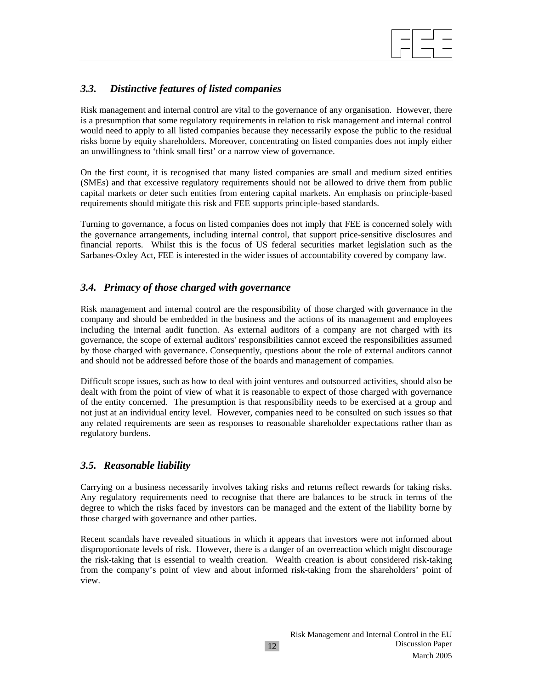

# *3.3. Distinctive features of listed companies*

Risk management and internal control are vital to the governance of any organisation. However, there is a presumption that some regulatory requirements in relation to risk management and internal control would need to apply to all listed companies because they necessarily expose the public to the residual risks borne by equity shareholders. Moreover, concentrating on listed companies does not imply either an unwillingness to 'think small first' or a narrow view of governance.

On the first count, it is recognised that many listed companies are small and medium sized entities (SMEs) and that excessive regulatory requirements should not be allowed to drive them from public capital markets or deter such entities from entering capital markets. An emphasis on principle-based requirements should mitigate this risk and FEE supports principle-based standards.

Turning to governance, a focus on listed companies does not imply that FEE is concerned solely with the governance arrangements, including internal control, that support price-sensitive disclosures and financial reports. Whilst this is the focus of US federal securities market legislation such as the Sarbanes-Oxley Act, FEE is interested in the wider issues of accountability covered by company law.

# *3.4. Primacy of those charged with governance*

Risk management and internal control are the responsibility of those charged with governance in the company and should be embedded in the business and the actions of its management and employees including the internal audit function. As external auditors of a company are not charged with its governance, the scope of external auditors' responsibilities cannot exceed the responsibilities assumed by those charged with governance. Consequently, questions about the role of external auditors cannot and should not be addressed before those of the boards and management of companies.

Difficult scope issues, such as how to deal with joint ventures and outsourced activities, should also be dealt with from the point of view of what it is reasonable to expect of those charged with governance of the entity concerned. The presumption is that responsibility needs to be exercised at a group and not just at an individual entity level. However, companies need to be consulted on such issues so that any related requirements are seen as responses to reasonable shareholder expectations rather than as regulatory burdens.

# *3.5. Reasonable liability*

Carrying on a business necessarily involves taking risks and returns reflect rewards for taking risks. Any regulatory requirements need to recognise that there are balances to be struck in terms of the degree to which the risks faced by investors can be managed and the extent of the liability borne by those charged with governance and other parties.

Recent scandals have revealed situations in which it appears that investors were not informed about disproportionate levels of risk. However, there is a danger of an overreaction which might discourage the risk-taking that is essential to wealth creation. Wealth creation is about considered risk-taking from the company's point of view and about informed risk-taking from the shareholders' point of view.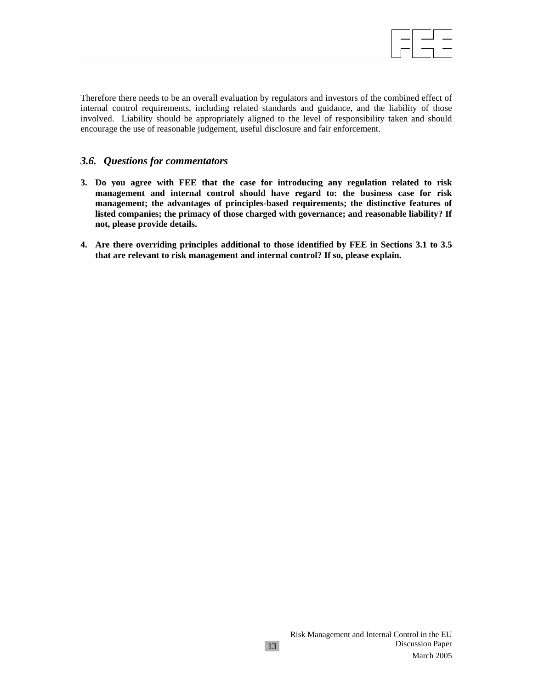$\overline{\phantom{a}}$ 

Therefore there needs to be an overall evaluation by regulators and investors of the combined effect of internal control requirements, including related standards and guidance, and the liability of those involved. Liability should be appropriately aligned to the level of responsibility taken and should encourage the use of reasonable judgement, useful disclosure and fair enforcement.

#### *3.6. Questions for commentators*

- **3. Do you agree with FEE that the case for introducing any regulation related to risk management and internal control should have regard to: the business case for risk management; the advantages of principles-based requirements; the distinctive features of listed companies; the primacy of those charged with governance; and reasonable liability? If not, please provide details.**
- **4. Are there overriding principles additional to those identified by FEE in Sections 3.1 to 3.5 that are relevant to risk management and internal control? If so, please explain.**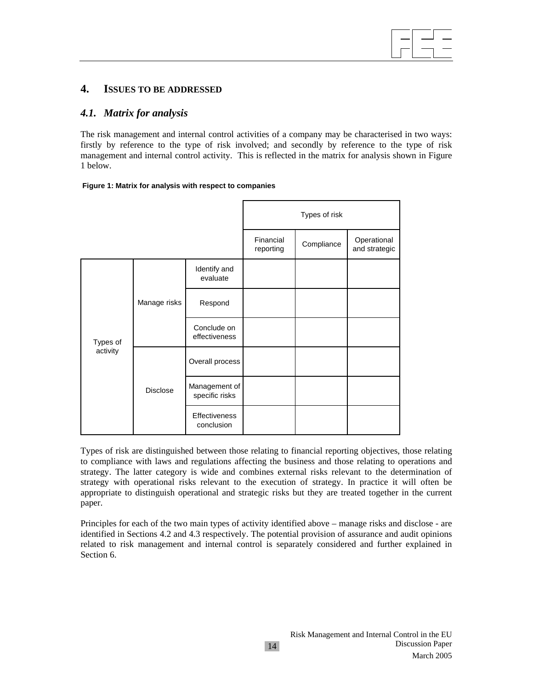# **4. ISSUES TO BE ADDRESSED**

#### *4.1. Matrix for analysis*

The risk management and internal control activities of a company may be characterised in two ways: firstly by reference to the type of risk involved; and secondly by reference to the type of risk management and internal control activity. This is reflected in the matrix for analysis shown in Figure 1 below.

#### **Figure 1: Matrix for analysis with respect to companies**

|          |                 |                                 | Types of risk          |            |                              |  |
|----------|-----------------|---------------------------------|------------------------|------------|------------------------------|--|
|          |                 |                                 | Financial<br>reporting | Compliance | Operational<br>and strategic |  |
|          | Manage risks    | Identify and<br>evaluate        |                        |            |                              |  |
|          |                 | Respond                         |                        |            |                              |  |
| Types of |                 | Conclude on<br>effectiveness    |                        |            |                              |  |
| activity | <b>Disclose</b> | Overall process                 |                        |            |                              |  |
|          |                 | Management of<br>specific risks |                        |            |                              |  |
|          |                 | Effectiveness<br>conclusion     |                        |            |                              |  |

Types of risk are distinguished between those relating to financial reporting objectives, those relating to compliance with laws and regulations affecting the business and those relating to operations and strategy. The latter category is wide and combines external risks relevant to the determination of strategy with operational risks relevant to the execution of strategy. In practice it will often be appropriate to distinguish operational and strategic risks but they are treated together in the current paper.

Principles for each of the two main types of activity identified above – manage risks and disclose - are identified in Sections 4.2 and 4.3 respectively. The potential provision of assurance and audit opinions related to risk management and internal control is separately considered and further explained in Section 6.

 $\overline{\phantom{a}}$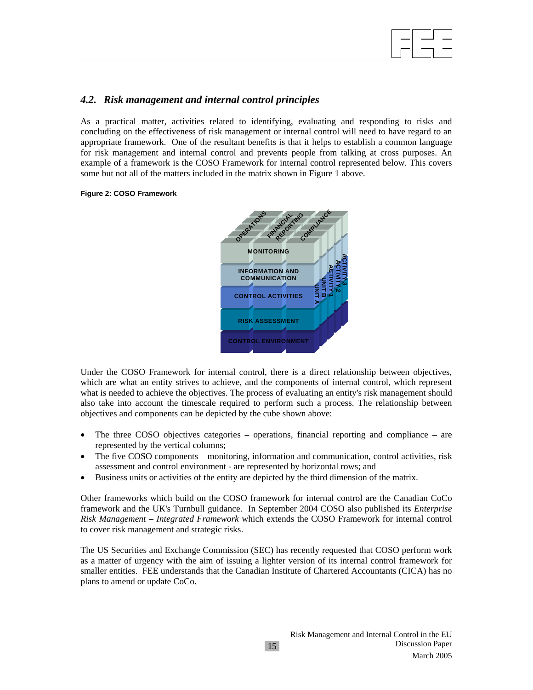

#### *4.2. Risk management and internal control principles*

As a practical matter, activities related to identifying, evaluating and responding to risks and concluding on the effectiveness of risk management or internal control will need to have regard to an appropriate framework. One of the resultant benefits is that it helps to establish a common language for risk management and internal control and prevents people from talking at cross purposes. An example of a framework is the COSO Framework for internal control represented below. This covers some but not all of the matters included in the matrix shown in Figure 1 above.

#### **Figure 2: COSO Framework**



Under the COSO Framework for internal control, there is a direct relationship between objectives, which are what an entity strives to achieve, and the components of internal control, which represent what is needed to achieve the objectives. The process of evaluating an entity's risk management should also take into account the timescale required to perform such a process. The relationship between objectives and components can be depicted by the cube shown above:

- The three COSO objectives categories operations, financial reporting and compliance are represented by the vertical columns;
- The five COSO components monitoring, information and communication, control activities, risk assessment and control environment - are represented by horizontal rows; and
- Business units or activities of the entity are depicted by the third dimension of the matrix.

Other frameworks which build on the COSO framework for internal control are the Canadian CoCo framework and the UK's Turnbull guidance. In September 2004 COSO also published its *Enterprise Risk Management – Integrated Framework* which extends the COSO Framework for internal control to cover risk management and strategic risks.

The US Securities and Exchange Commission (SEC) has recently requested that COSO perform work as a matter of urgency with the aim of issuing a lighter version of its internal control framework for smaller entities. FEE understands that the Canadian Institute of Chartered Accountants (CICA) has no plans to amend or update CoCo.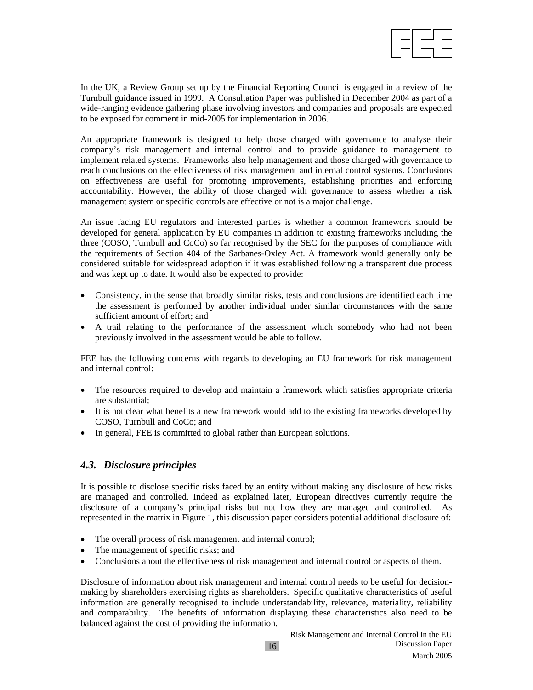In the UK, a Review Group set up by the Financial Reporting Council is engaged in a review of the Turnbull guidance issued in 1999. A Consultation Paper was published in December 2004 as part of a wide-ranging evidence gathering phase involving investors and companies and proposals are expected to be exposed for comment in mid-2005 for implementation in 2006.

 $\overline{\phantom{a}}$ 

An appropriate framework is designed to help those charged with governance to analyse their company's risk management and internal control and to provide guidance to management to implement related systems. Frameworks also help management and those charged with governance to reach conclusions on the effectiveness of risk management and internal control systems. Conclusions on effectiveness are useful for promoting improvements, establishing priorities and enforcing accountability. However, the ability of those charged with governance to assess whether a risk management system or specific controls are effective or not is a major challenge.

An issue facing EU regulators and interested parties is whether a common framework should be developed for general application by EU companies in addition to existing frameworks including the three (COSO, Turnbull and CoCo) so far recognised by the SEC for the purposes of compliance with the requirements of Section 404 of the Sarbanes-Oxley Act. A framework would generally only be considered suitable for widespread adoption if it was established following a transparent due process and was kept up to date. It would also be expected to provide:

- Consistency, in the sense that broadly similar risks, tests and conclusions are identified each time the assessment is performed by another individual under similar circumstances with the same sufficient amount of effort; and
- A trail relating to the performance of the assessment which somebody who had not been previously involved in the assessment would be able to follow.

FEE has the following concerns with regards to developing an EU framework for risk management and internal control:

- The resources required to develop and maintain a framework which satisfies appropriate criteria are substantial;
- It is not clear what benefits a new framework would add to the existing frameworks developed by COSO, Turnbull and CoCo; and
- In general, FEE is committed to global rather than European solutions.

# *4.3. Disclosure principles*

It is possible to disclose specific risks faced by an entity without making any disclosure of how risks are managed and controlled. Indeed as explained later, European directives currently require the disclosure of a company's principal risks but not how they are managed and controlled. As represented in the matrix in Figure 1, this discussion paper considers potential additional disclosure of:

- The overall process of risk management and internal control;
- The management of specific risks; and
- Conclusions about the effectiveness of risk management and internal control or aspects of them.

Disclosure of information about risk management and internal control needs to be useful for decisionmaking by shareholders exercising rights as shareholders. Specific qualitative characteristics of useful information are generally recognised to include understandability, relevance, materiality, reliability and comparability. The benefits of information displaying these characteristics also need to be balanced against the cost of providing the information.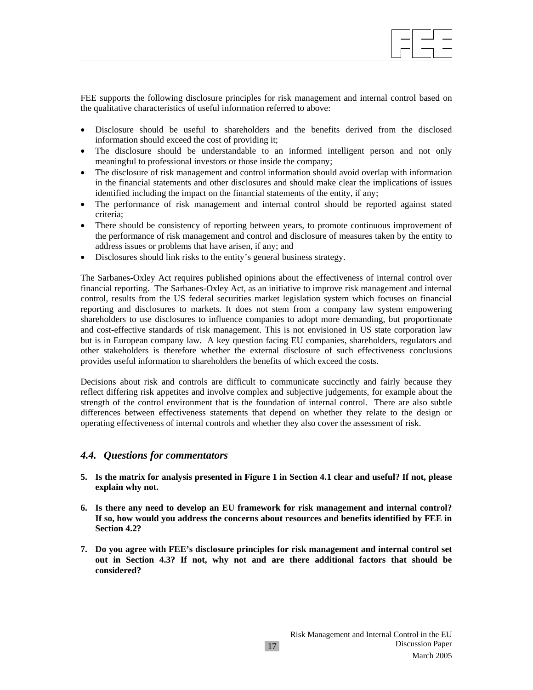FEE supports the following disclosure principles for risk management and internal control based on the qualitative characteristics of useful information referred to above:

- Disclosure should be useful to shareholders and the benefits derived from the disclosed information should exceed the cost of providing it;
- The disclosure should be understandable to an informed intelligent person and not only meaningful to professional investors or those inside the company;
- The disclosure of risk management and control information should avoid overlap with information in the financial statements and other disclosures and should make clear the implications of issues identified including the impact on the financial statements of the entity, if any;
- The performance of risk management and internal control should be reported against stated criteria;
- There should be consistency of reporting between years, to promote continuous improvement of the performance of risk management and control and disclosure of measures taken by the entity to address issues or problems that have arisen, if any; and
- Disclosures should link risks to the entity's general business strategy.

The Sarbanes-Oxley Act requires published opinions about the effectiveness of internal control over financial reporting. The Sarbanes-Oxley Act, as an initiative to improve risk management and internal control, results from the US federal securities market legislation system which focuses on financial reporting and disclosures to markets. It does not stem from a company law system empowering shareholders to use disclosures to influence companies to adopt more demanding, but proportionate and cost-effective standards of risk management. This is not envisioned in US state corporation law but is in European company law. A key question facing EU companies, shareholders, regulators and other stakeholders is therefore whether the external disclosure of such effectiveness conclusions provides useful information to shareholders the benefits of which exceed the costs.

Decisions about risk and controls are difficult to communicate succinctly and fairly because they reflect differing risk appetites and involve complex and subjective judgements, for example about the strength of the control environment that is the foundation of internal control. There are also subtle differences between effectiveness statements that depend on whether they relate to the design or operating effectiveness of internal controls and whether they also cover the assessment of risk.

#### *4.4. Questions for commentators*

- **5. Is the matrix for analysis presented in Figure 1 in Section 4.1 clear and useful? If not, please explain why not.**
- **6. Is there any need to develop an EU framework for risk management and internal control? If so, how would you address the concerns about resources and benefits identified by FEE in Section 4.2?**
- **7. Do you agree with FEE's disclosure principles for risk management and internal control set out in Section 4.3? If not, why not and are there additional factors that should be considered?**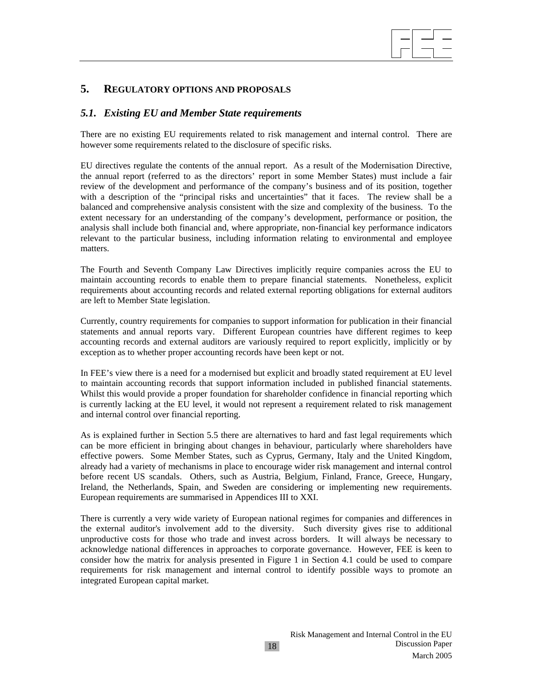# $\overline{\phantom{a}}$

# **5. REGULATORY OPTIONS AND PROPOSALS**

# *5.1. Existing EU and Member State requirements*

There are no existing EU requirements related to risk management and internal control. There are however some requirements related to the disclosure of specific risks.

EU directives regulate the contents of the annual report. As a result of the Modernisation Directive, the annual report (referred to as the directors' report in some Member States) must include a fair review of the development and performance of the company's business and of its position, together with a description of the "principal risks and uncertainties" that it faces. The review shall be a balanced and comprehensive analysis consistent with the size and complexity of the business. To the extent necessary for an understanding of the company's development, performance or position, the analysis shall include both financial and, where appropriate, non-financial key performance indicators relevant to the particular business, including information relating to environmental and employee matters.

The Fourth and Seventh Company Law Directives implicitly require companies across the EU to maintain accounting records to enable them to prepare financial statements. Nonetheless, explicit requirements about accounting records and related external reporting obligations for external auditors are left to Member State legislation.

Currently, country requirements for companies to support information for publication in their financial statements and annual reports vary. Different European countries have different regimes to keep accounting records and external auditors are variously required to report explicitly, implicitly or by exception as to whether proper accounting records have been kept or not.

In FEE's view there is a need for a modernised but explicit and broadly stated requirement at EU level to maintain accounting records that support information included in published financial statements. Whilst this would provide a proper foundation for shareholder confidence in financial reporting which is currently lacking at the EU level, it would not represent a requirement related to risk management and internal control over financial reporting.

As is explained further in Section 5.5 there are alternatives to hard and fast legal requirements which can be more efficient in bringing about changes in behaviour, particularly where shareholders have effective powers. Some Member States, such as Cyprus, Germany, Italy and the United Kingdom, already had a variety of mechanisms in place to encourage wider risk management and internal control before recent US scandals. Others, such as Austria, Belgium, Finland, France, Greece, Hungary, Ireland, the Netherlands, Spain, and Sweden are considering or implementing new requirements. European requirements are summarised in Appendices III to XXI.

There is currently a very wide variety of European national regimes for companies and differences in the external auditor's involvement add to the diversity. Such diversity gives rise to additional unproductive costs for those who trade and invest across borders. It will always be necessary to acknowledge national differences in approaches to corporate governance. However, FEE is keen to consider how the matrix for analysis presented in Figure 1 in Section 4.1 could be used to compare requirements for risk management and internal control to identify possible ways to promote an integrated European capital market.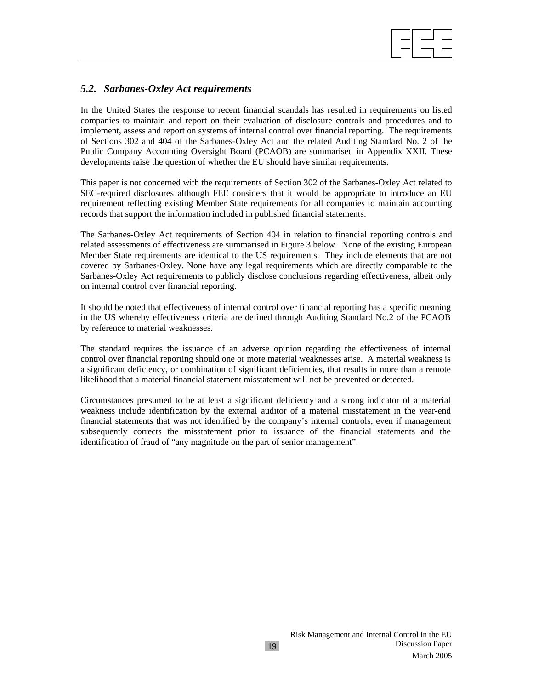# *5.2. Sarbanes-Oxley Act requirements*

In the United States the response to recent financial scandals has resulted in requirements on listed companies to maintain and report on their evaluation of disclosure controls and procedures and to implement, assess and report on systems of internal control over financial reporting. The requirements of Sections 302 and 404 of the Sarbanes-Oxley Act and the related Auditing Standard No. 2 of the Public Company Accounting Oversight Board (PCAOB) are summarised in Appendix XXII. These developments raise the question of whether the EU should have similar requirements.

 $\overline{\phantom{a}}$ 

This paper is not concerned with the requirements of Section 302 of the Sarbanes-Oxley Act related to SEC-required disclosures although FEE considers that it would be appropriate to introduce an EU requirement reflecting existing Member State requirements for all companies to maintain accounting records that support the information included in published financial statements.

The Sarbanes-Oxley Act requirements of Section 404 in relation to financial reporting controls and related assessments of effectiveness are summarised in Figure 3 below. None of the existing European Member State requirements are identical to the US requirements. They include elements that are not covered by Sarbanes-Oxley. None have any legal requirements which are directly comparable to the Sarbanes-Oxley Act requirements to publicly disclose conclusions regarding effectiveness, albeit only on internal control over financial reporting.

It should be noted that effectiveness of internal control over financial reporting has a specific meaning in the US whereby effectiveness criteria are defined through Auditing Standard No.2 of the PCAOB by reference to material weaknesses.

The standard requires the issuance of an adverse opinion regarding the effectiveness of internal control over financial reporting should one or more material weaknesses arise. A material weakness is a significant deficiency, or combination of significant deficiencies, that results in more than a remote likelihood that a material financial statement misstatement will not be prevented or detected.

Circumstances presumed to be at least a significant deficiency and a strong indicator of a material weakness include identification by the external auditor of a material misstatement in the year-end financial statements that was not identified by the company's internal controls, even if management subsequently corrects the misstatement prior to issuance of the financial statements and the identification of fraud of "any magnitude on the part of senior management".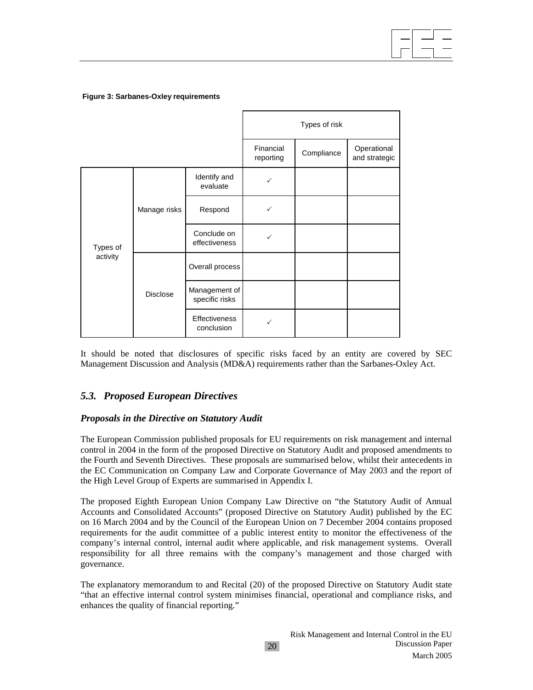**Figure 3: Sarbanes-Oxley requirements**

|          |                 |                                 | Types of risk          |            |                              |  |
|----------|-----------------|---------------------------------|------------------------|------------|------------------------------|--|
|          |                 |                                 | Financial<br>reporting | Compliance | Operational<br>and strategic |  |
|          | Manage risks    | Identify and<br>evaluate        | ✓                      |            |                              |  |
|          |                 | Respond                         |                        |            |                              |  |
| Types of |                 | Conclude on<br>effectiveness    | ✓                      |            |                              |  |
| activity | <b>Disclose</b> | Overall process                 |                        |            |                              |  |
|          |                 | Management of<br>specific risks |                        |            |                              |  |
|          |                 | Effectiveness<br>conclusion     |                        |            |                              |  |

It should be noted that disclosures of specific risks faced by an entity are covered by SEC Management Discussion and Analysis (MD&A) requirements rather than the Sarbanes-Oxley Act.

# *5.3. Proposed European Directives*

#### *Proposals in the Directive on Statutory Audit*

The European Commission published proposals for EU requirements on risk management and internal control in 2004 in the form of the proposed Directive on Statutory Audit and proposed amendments to the Fourth and Seventh Directives. These proposals are summarised below, whilst their antecedents in the EC Communication on Company Law and Corporate Governance of May 2003 and the report of the High Level Group of Experts are summarised in Appendix I.

The proposed Eighth European Union Company Law Directive on "the Statutory Audit of Annual Accounts and Consolidated Accounts" (proposed Directive on Statutory Audit) published by the EC on 16 March 2004 and by the Council of the European Union on 7 December 2004 contains proposed requirements for the audit committee of a public interest entity to monitor the effectiveness of the company's internal control, internal audit where applicable, and risk management systems. Overall responsibility for all three remains with the company's management and those charged with governance.

The explanatory memorandum to and Recital (20) of the proposed Directive on Statutory Audit state "that an effective internal control system minimises financial, operational and compliance risks, and enhances the quality of financial reporting."

20

 $\overline{\phantom{a}}$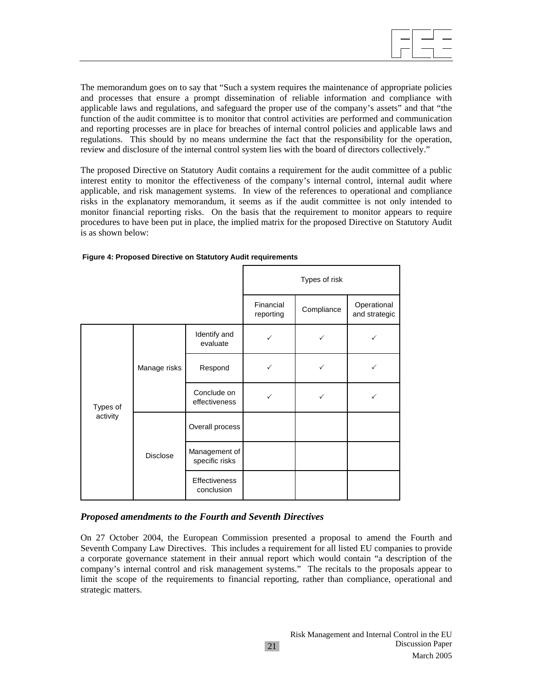The memorandum goes on to say that "Such a system requires the maintenance of appropriate policies and processes that ensure a prompt dissemination of reliable information and compliance with applicable laws and regulations, and safeguard the proper use of the company's assets" and that "the function of the audit committee is to monitor that control activities are performed and communication and reporting processes are in place for breaches of internal control policies and applicable laws and regulations. This should by no means undermine the fact that the responsibility for the operation, review and disclosure of the internal control system lies with the board of directors collectively."

The proposed Directive on Statutory Audit contains a requirement for the audit committee of a public interest entity to monitor the effectiveness of the company's internal control, internal audit where applicable, and risk management systems. In view of the references to operational and compliance risks in the explanatory memorandum, it seems as if the audit committee is not only intended to monitor financial reporting risks. On the basis that the requirement to monitor appears to require procedures to have been put in place, the implied matrix for the proposed Directive on Statutory Audit is as shown below:

|          |                 |                                 | Types of risk          |              |                              |  |
|----------|-----------------|---------------------------------|------------------------|--------------|------------------------------|--|
|          |                 |                                 | Financial<br>reporting | Compliance   | Operational<br>and strategic |  |
|          | Manage risks    | Identify and<br>evaluate        | $\checkmark$           | ✓            | ✓                            |  |
|          |                 | Respond                         | ✓                      | ✓            |                              |  |
| Types of |                 | Conclude on<br>effectiveness    | ✓                      | $\checkmark$ |                              |  |
| activity | <b>Disclose</b> | Overall process                 |                        |              |                              |  |
|          |                 | Management of<br>specific risks |                        |              |                              |  |
|          |                 | Effectiveness<br>conclusion     |                        |              |                              |  |

**Figure 4: Proposed Directive on Statutory Audit requirements**

#### *Proposed amendments to the Fourth and Seventh Directives*

On 27 October 2004, the European Commission presented a proposal to amend the Fourth and Seventh Company Law Directives. This includes a requirement for all listed EU companies to provide a corporate governance statement in their annual report which would contain "a description of the company's internal control and risk management systems." The recitals to the proposals appear to limit the scope of the requirements to financial reporting, rather than compliance, operational and strategic matters.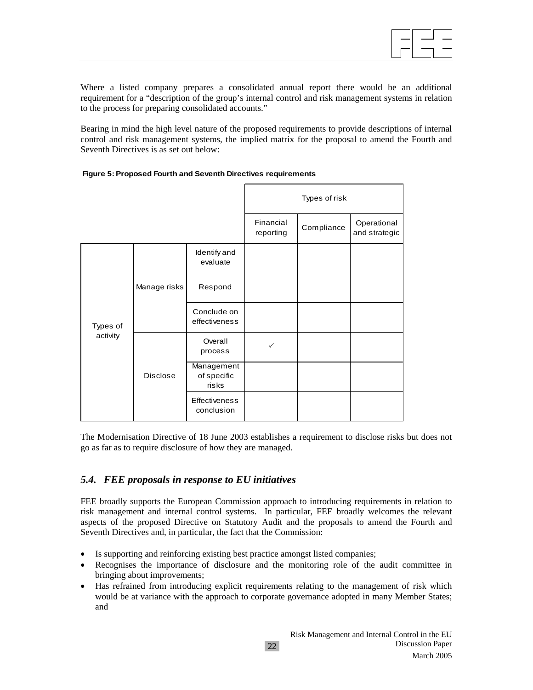

Where a listed company prepares a consolidated annual report there would be an additional requirement for a "description of the group's internal control and risk management systems in relation to the process for preparing consolidated accounts."

Bearing in mind the high level nature of the proposed requirements to provide descriptions of internal control and risk management systems, the implied matrix for the proposal to amend the Fourth and Seventh Directives is as set out below:

|          |                 |                                    |                        | Types of risk |                              |
|----------|-----------------|------------------------------------|------------------------|---------------|------------------------------|
|          |                 |                                    | Financial<br>reporting | Compliance    | Operational<br>and strategic |
|          | Manage risks    | Identify and<br>evaluate           |                        |               |                              |
|          |                 | Respond                            |                        |               |                              |
| Types of |                 | Conclude on<br>effectiveness       |                        |               |                              |
| activity | <b>Disclose</b> | Overall<br>process                 | $\checkmark$           |               |                              |
|          |                 | Management<br>of specific<br>risks |                        |               |                              |
|          |                 | Effectiveness<br>conclusion        |                        |               |                              |

**Figure 5: Proposed Fourth and Seventh Directives requirements**

The Modernisation Directive of 18 June 2003 establishes a requirement to disclose risks but does not go as far as to require disclosure of how they are managed.

# *5.4. FEE proposals in response to EU initiatives*

FEE broadly supports the European Commission approach to introducing requirements in relation to risk management and internal control systems. In particular, FEE broadly welcomes the relevant aspects of the proposed Directive on Statutory Audit and the proposals to amend the Fourth and Seventh Directives and, in particular, the fact that the Commission:

- Is supporting and reinforcing existing best practice amongst listed companies;
- Recognises the importance of disclosure and the monitoring role of the audit committee in bringing about improvements;
- Has refrained from introducing explicit requirements relating to the management of risk which would be at variance with the approach to corporate governance adopted in many Member States; and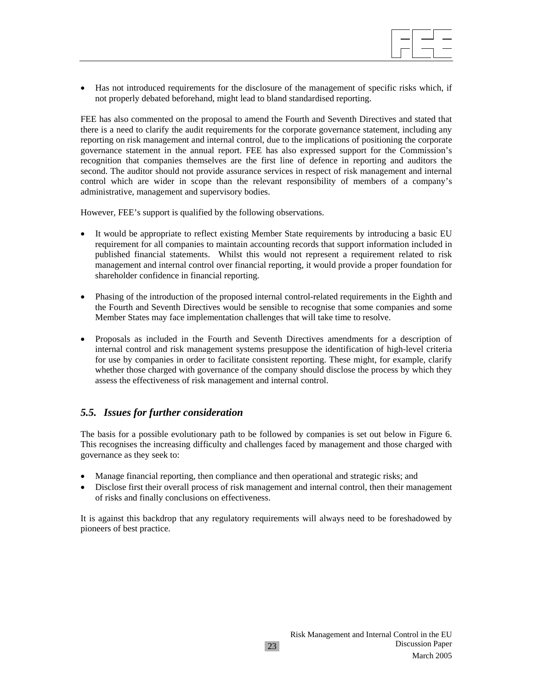

• Has not introduced requirements for the disclosure of the management of specific risks which, if not properly debated beforehand, might lead to bland standardised reporting.

FEE has also commented on the proposal to amend the Fourth and Seventh Directives and stated that there is a need to clarify the audit requirements for the corporate governance statement, including any reporting on risk management and internal control, due to the implications of positioning the corporate governance statement in the annual report. FEE has also expressed support for the Commission's recognition that companies themselves are the first line of defence in reporting and auditors the second. The auditor should not provide assurance services in respect of risk management and internal control which are wider in scope than the relevant responsibility of members of a company's administrative, management and supervisory bodies.

However, FEE's support is qualified by the following observations.

- It would be appropriate to reflect existing Member State requirements by introducing a basic EU requirement for all companies to maintain accounting records that support information included in published financial statements. Whilst this would not represent a requirement related to risk management and internal control over financial reporting, it would provide a proper foundation for shareholder confidence in financial reporting.
- Phasing of the introduction of the proposed internal control-related requirements in the Eighth and the Fourth and Seventh Directives would be sensible to recognise that some companies and some Member States may face implementation challenges that will take time to resolve.
- Proposals as included in the Fourth and Seventh Directives amendments for a description of internal control and risk management systems presuppose the identification of high-level criteria for use by companies in order to facilitate consistent reporting. These might, for example, clarify whether those charged with governance of the company should disclose the process by which they assess the effectiveness of risk management and internal control.

# *5.5. Issues for further consideration*

The basis for a possible evolutionary path to be followed by companies is set out below in Figure 6. This recognises the increasing difficulty and challenges faced by management and those charged with governance as they seek to:

- Manage financial reporting, then compliance and then operational and strategic risks; and
- Disclose first their overall process of risk management and internal control, then their management of risks and finally conclusions on effectiveness.

It is against this backdrop that any regulatory requirements will always need to be foreshadowed by pioneers of best practice.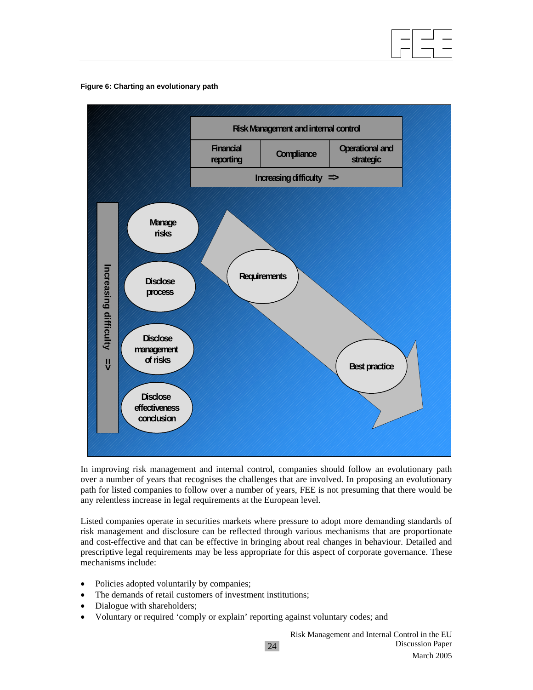

#### **Figure 6: Charting an evolutionary path**



In improving risk management and internal control, companies should follow an evolutionary path over a number of years that recognises the challenges that are involved. In proposing an evolutionary path for listed companies to follow over a number of years, FEE is not presuming that there would be any relentless increase in legal requirements at the European level.

Listed companies operate in securities markets where pressure to adopt more demanding standards of risk management and disclosure can be reflected through various mechanisms that are proportionate and cost-effective and that can be effective in bringing about real changes in behaviour. Detailed and prescriptive legal requirements may be less appropriate for this aspect of corporate governance. These mechanisms include:

- Policies adopted voluntarily by companies;
- The demands of retail customers of investment institutions;
- Dialogue with shareholders;
- Voluntary or required 'comply or explain' reporting against voluntary codes; and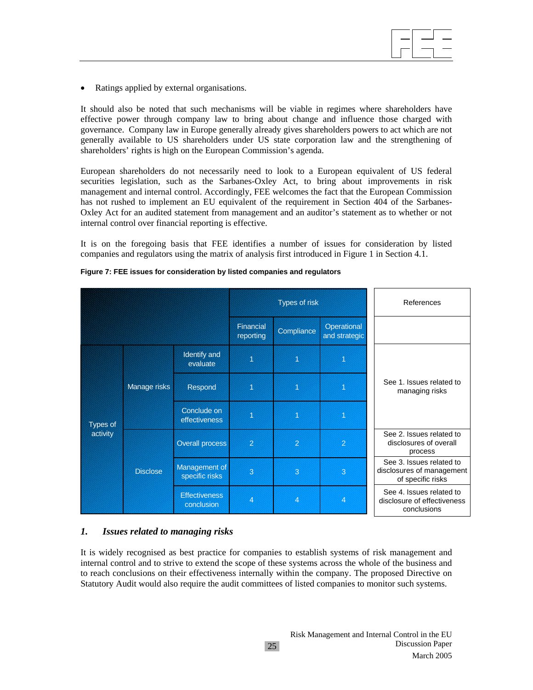• Ratings applied by external organisations.

It should also be noted that such mechanisms will be viable in regimes where shareholders have effective power through company law to bring about change and influence those charged with governance. Company law in Europe generally already gives shareholders powers to act which are not generally available to US shareholders under US state corporation law and the strengthening of shareholders' rights is high on the European Commission's agenda.

 $\overline{\phantom{a}}$ 

European shareholders do not necessarily need to look to a European equivalent of US federal securities legislation, such as the Sarbanes-Oxley Act, to bring about improvements in risk management and internal control. Accordingly, FEE welcomes the fact that the European Commission has not rushed to implement an EU equivalent of the requirement in Section 404 of the Sarbanes-Oxley Act for an audited statement from management and an auditor's statement as to whether or not internal control over financial reporting is effective.

It is on the foregoing basis that FEE identifies a number of issues for consideration by listed companies and regulators using the matrix of analysis first introduced in Figure 1 in Section 4.1.

|                 |                 |                                    | Types of risk          |                |                              | References                                                                 |
|-----------------|-----------------|------------------------------------|------------------------|----------------|------------------------------|----------------------------------------------------------------------------|
|                 |                 |                                    | Financial<br>reporting | Compliance     | Operational<br>and strategic |                                                                            |
|                 |                 | Identify and<br>evaluate           | 1                      |                |                              |                                                                            |
|                 | Manage risks    | Respond                            | 4                      | 1              | 1                            | See 1. Issues related to<br>managing risks                                 |
| <b>Types of</b> |                 | Conclude on<br>effectiveness       | 1                      |                |                              |                                                                            |
| activity        |                 | <b>Overall process</b>             | $\overline{2}$         | $\overline{2}$ | $\overline{2}$               | See 2. Issues related to<br>disclosures of overall<br>process              |
|                 | <b>Disclose</b> | Management of<br>specific risks    | 3                      | 3              | 3                            | See 3. Issues related to<br>disclosures of management<br>of specific risks |
|                 |                 | <b>Effectiveness</b><br>conclusion | 4                      | 4              | 4                            | See 4. Issues related to<br>disclosure of effectiveness<br>conclusions     |

#### **Figure 7: FEE issues for consideration by listed companies and regulators**

#### *1. Issues related to managing risks*

It is widely recognised as best practice for companies to establish systems of risk management and internal control and to strive to extend the scope of these systems across the whole of the business and to reach conclusions on their effectiveness internally within the company. The proposed Directive on Statutory Audit would also require the audit committees of listed companies to monitor such systems.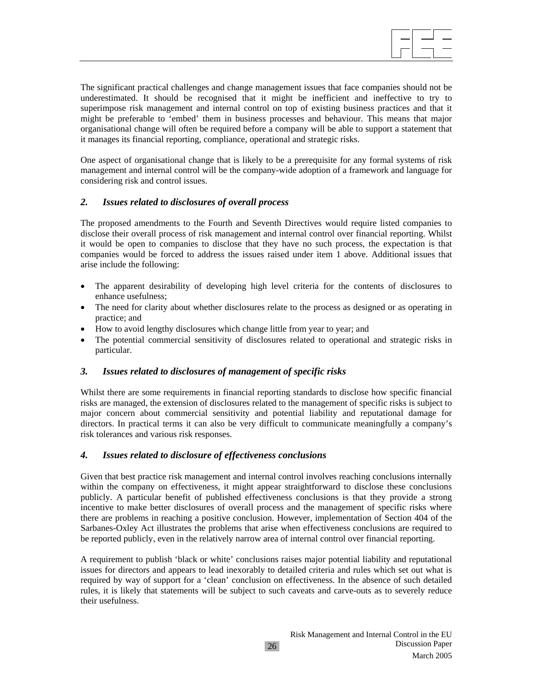$\overline{\phantom{a}}$ The significant practical challenges and change management issues that face companies should not be underestimated. It should be recognised that it might be inefficient and ineffective to try to superimpose risk management and internal control on top of existing business practices and that it might be preferable to 'embed' them in business processes and behaviour. This means that major organisational change will often be required before a company will be able to support a statement that it manages its financial reporting, compliance, operational and strategic risks.

One aspect of organisational change that is likely to be a prerequisite for any formal systems of risk management and internal control will be the company-wide adoption of a framework and language for considering risk and control issues.

#### *2. Issues related to disclosures of overall process*

The proposed amendments to the Fourth and Seventh Directives would require listed companies to disclose their overall process of risk management and internal control over financial reporting. Whilst it would be open to companies to disclose that they have no such process, the expectation is that companies would be forced to address the issues raised under item 1 above. Additional issues that arise include the following:

- The apparent desirability of developing high level criteria for the contents of disclosures to enhance usefulness;
- The need for clarity about whether disclosures relate to the process as designed or as operating in practice; and
- How to avoid lengthy disclosures which change little from year to year; and
- The potential commercial sensitivity of disclosures related to operational and strategic risks in particular.

#### *3. Issues related to disclosures of management of specific risks*

Whilst there are some requirements in financial reporting standards to disclose how specific financial risks are managed, the extension of disclosures related to the management of specific risks is subject to major concern about commercial sensitivity and potential liability and reputational damage for directors. In practical terms it can also be very difficult to communicate meaningfully a company's risk tolerances and various risk responses.

#### *4. Issues related to disclosure of effectiveness conclusions*

Given that best practice risk management and internal control involves reaching conclusions internally within the company on effectiveness, it might appear straightforward to disclose these conclusions publicly. A particular benefit of published effectiveness conclusions is that they provide a strong incentive to make better disclosures of overall process and the management of specific risks where there are problems in reaching a positive conclusion. However, implementation of Section 404 of the Sarbanes-Oxley Act illustrates the problems that arise when effectiveness conclusions are required to be reported publicly, even in the relatively narrow area of internal control over financial reporting.

A requirement to publish 'black or white' conclusions raises major potential liability and reputational issues for directors and appears to lead inexorably to detailed criteria and rules which set out what is required by way of support for a 'clean' conclusion on effectiveness. In the absence of such detailed rules, it is likely that statements will be subject to such caveats and carve-outs as to severely reduce their usefulness.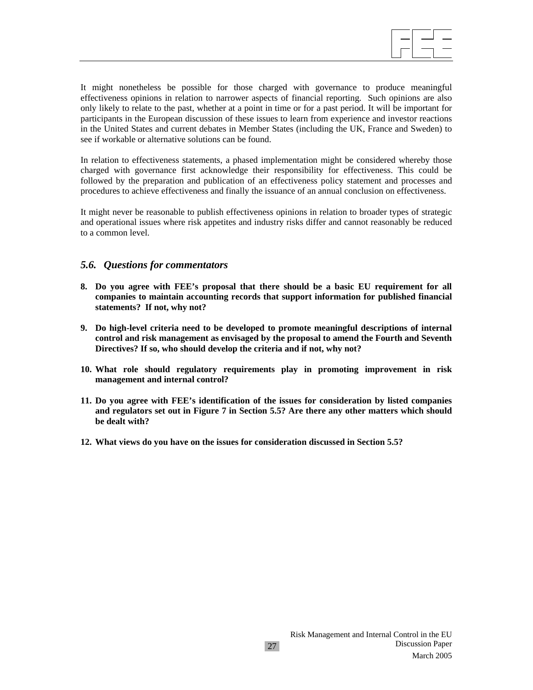It might nonetheless be possible for those charged with governance to produce meaningful effectiveness opinions in relation to narrower aspects of financial reporting. Such opinions are also only likely to relate to the past, whether at a point in time or for a past period. It will be important for participants in the European discussion of these issues to learn from experience and investor reactions in the United States and current debates in Member States (including the UK, France and Sweden) to see if workable or alternative solutions can be found.

In relation to effectiveness statements, a phased implementation might be considered whereby those charged with governance first acknowledge their responsibility for effectiveness. This could be followed by the preparation and publication of an effectiveness policy statement and processes and procedures to achieve effectiveness and finally the issuance of an annual conclusion on effectiveness.

It might never be reasonable to publish effectiveness opinions in relation to broader types of strategic and operational issues where risk appetites and industry risks differ and cannot reasonably be reduced to a common level.

#### *5.6. Questions for commentators*

- **8. Do you agree with FEE's proposal that there should be a basic EU requirement for all companies to maintain accounting records that support information for published financial statements? If not, why not?**
- **9. Do high-level criteria need to be developed to promote meaningful descriptions of internal control and risk management as envisaged by the proposal to amend the Fourth and Seventh Directives? If so, who should develop the criteria and if not, why not?**
- **10. What role should regulatory requirements play in promoting improvement in risk management and internal control?**
- **11. Do you agree with FEE's identification of the issues for consideration by listed companies and regulators set out in Figure 7 in Section 5.5? Are there any other matters which should be dealt with?**
- **12. What views do you have on the issues for consideration discussed in Section 5.5?**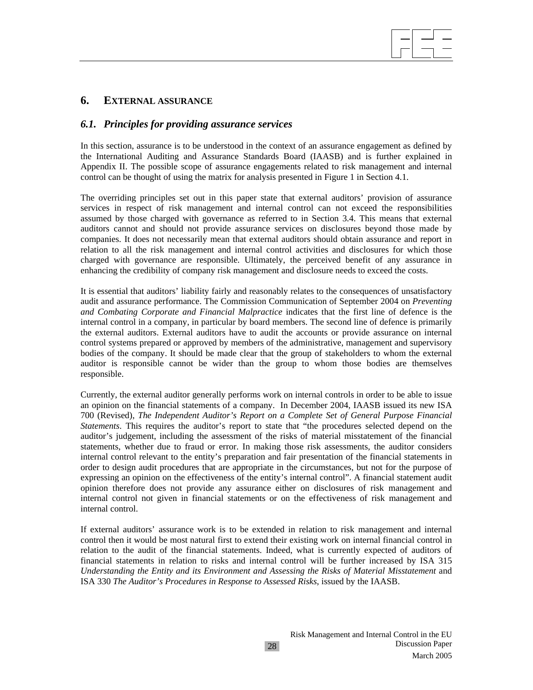# **6. EXTERNAL ASSURANCE**

#### *6.1. Principles for providing assurance services*

In this section, assurance is to be understood in the context of an assurance engagement as defined by the International Auditing and Assurance Standards Board (IAASB) and is further explained in Appendix II. The possible scope of assurance engagements related to risk management and internal control can be thought of using the matrix for analysis presented in Figure 1 in Section 4.1.

The overriding principles set out in this paper state that external auditors' provision of assurance services in respect of risk management and internal control can not exceed the responsibilities assumed by those charged with governance as referred to in Section 3.4. This means that external auditors cannot and should not provide assurance services on disclosures beyond those made by companies. It does not necessarily mean that external auditors should obtain assurance and report in relation to all the risk management and internal control activities and disclosures for which those charged with governance are responsible. Ultimately, the perceived benefit of any assurance in enhancing the credibility of company risk management and disclosure needs to exceed the costs.

It is essential that auditors' liability fairly and reasonably relates to the consequences of unsatisfactory audit and assurance performance. The Commission Communication of September 2004 on *Preventing and Combating Corporate and Financial Malpractice* indicates that the first line of defence is the internal control in a company, in particular by board members. The second line of defence is primarily the external auditors. External auditors have to audit the accounts or provide assurance on internal control systems prepared or approved by members of the administrative, management and supervisory bodies of the company. It should be made clear that the group of stakeholders to whom the external auditor is responsible cannot be wider than the group to whom those bodies are themselves responsible.

Currently, the external auditor generally performs work on internal controls in order to be able to issue an opinion on the financial statements of a company. In December 2004, IAASB issued its new ISA 700 (Revised), *The Independent Auditor's Report on a Complete Set of General Purpose Financial Statements*. This requires the auditor's report to state that "the procedures selected depend on the auditor's judgement, including the assessment of the risks of material misstatement of the financial statements, whether due to fraud or error. In making those risk assessments, the auditor considers internal control relevant to the entity's preparation and fair presentation of the financial statements in order to design audit procedures that are appropriate in the circumstances, but not for the purpose of expressing an opinion on the effectiveness of the entity's internal control". A financial statement audit opinion therefore does not provide any assurance either on disclosures of risk management and internal control not given in financial statements or on the effectiveness of risk management and internal control.

If external auditors' assurance work is to be extended in relation to risk management and internal control then it would be most natural first to extend their existing work on internal financial control in relation to the audit of the financial statements. Indeed, what is currently expected of auditors of financial statements in relation to risks and internal control will be further increased by ISA 315 *Understanding the Entity and its Environment and Assessing the Risks of Material Misstatement* and ISA 330 *The Auditor's Procedures in Response to Assessed Risks*, issued by the IAASB.

28

 $\overline{\phantom{a}}$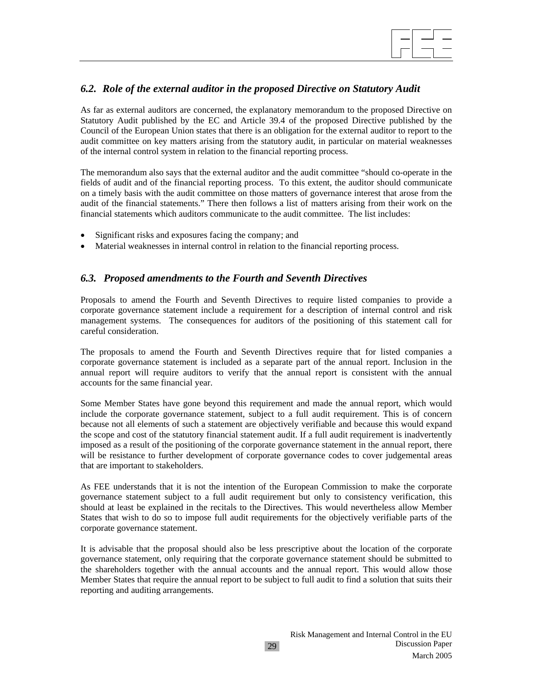# *6.2. Role of the external auditor in the proposed Directive on Statutory Audit*

 $\overline{\phantom{a}}$ 

As far as external auditors are concerned, the explanatory memorandum to the proposed Directive on Statutory Audit published by the EC and Article 39.4 of the proposed Directive published by the Council of the European Union states that there is an obligation for the external auditor to report to the audit committee on key matters arising from the statutory audit, in particular on material weaknesses of the internal control system in relation to the financial reporting process.

The memorandum also says that the external auditor and the audit committee "should co-operate in the fields of audit and of the financial reporting process. To this extent, the auditor should communicate on a timely basis with the audit committee on those matters of governance interest that arose from the audit of the financial statements." There then follows a list of matters arising from their work on the financial statements which auditors communicate to the audit committee. The list includes:

- Significant risks and exposures facing the company; and
- Material weaknesses in internal control in relation to the financial reporting process.

# *6.3. Proposed amendments to the Fourth and Seventh Directives*

Proposals to amend the Fourth and Seventh Directives to require listed companies to provide a corporate governance statement include a requirement for a description of internal control and risk management systems. The consequences for auditors of the positioning of this statement call for careful consideration.

The proposals to amend the Fourth and Seventh Directives require that for listed companies a corporate governance statement is included as a separate part of the annual report. Inclusion in the annual report will require auditors to verify that the annual report is consistent with the annual accounts for the same financial year.

Some Member States have gone beyond this requirement and made the annual report, which would include the corporate governance statement, subject to a full audit requirement. This is of concern because not all elements of such a statement are objectively verifiable and because this would expand the scope and cost of the statutory financial statement audit. If a full audit requirement is inadvertently imposed as a result of the positioning of the corporate governance statement in the annual report, there will be resistance to further development of corporate governance codes to cover judgemental areas that are important to stakeholders.

As FEE understands that it is not the intention of the European Commission to make the corporate governance statement subject to a full audit requirement but only to consistency verification, this should at least be explained in the recitals to the Directives. This would nevertheless allow Member States that wish to do so to impose full audit requirements for the objectively verifiable parts of the corporate governance statement.

It is advisable that the proposal should also be less prescriptive about the location of the corporate governance statement, only requiring that the corporate governance statement should be submitted to the shareholders together with the annual accounts and the annual report. This would allow those Member States that require the annual report to be subject to full audit to find a solution that suits their reporting and auditing arrangements.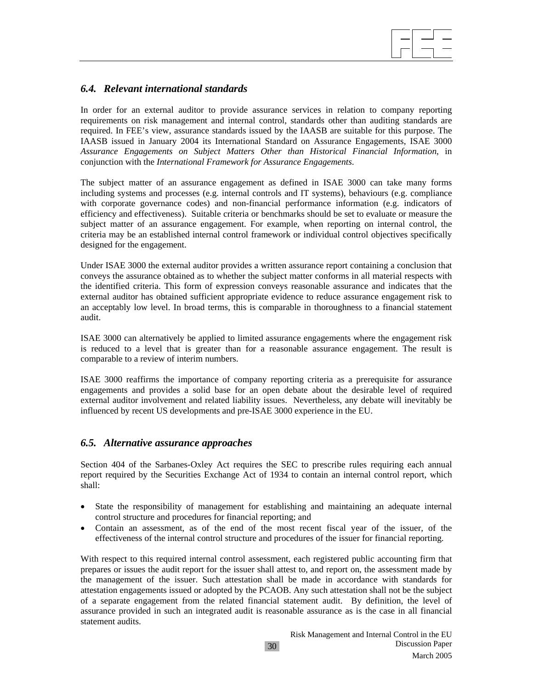

# *6.4. Relevant international standards*

In order for an external auditor to provide assurance services in relation to company reporting requirements on risk management and internal control, standards other than auditing standards are required. In FEE's view, assurance standards issued by the IAASB are suitable for this purpose. The IAASB issued in January 2004 its International Standard on Assurance Engagements, ISAE 3000 *Assurance Engagements on Subject Matters Other than Historical Financial Information*, in conjunction with the *International Framework for Assurance Engagements*.

The subject matter of an assurance engagement as defined in ISAE 3000 can take many forms including systems and processes (e.g. internal controls and IT systems), behaviours (e.g. compliance with corporate governance codes) and non-financial performance information (e.g. indicators of efficiency and effectiveness). Suitable criteria or benchmarks should be set to evaluate or measure the subject matter of an assurance engagement. For example, when reporting on internal control, the criteria may be an established internal control framework or individual control objectives specifically designed for the engagement.

Under ISAE 3000 the external auditor provides a written assurance report containing a conclusion that conveys the assurance obtained as to whether the subject matter conforms in all material respects with the identified criteria. This form of expression conveys reasonable assurance and indicates that the external auditor has obtained sufficient appropriate evidence to reduce assurance engagement risk to an acceptably low level. In broad terms, this is comparable in thoroughness to a financial statement audit.

ISAE 3000 can alternatively be applied to limited assurance engagements where the engagement risk is reduced to a level that is greater than for a reasonable assurance engagement. The result is comparable to a review of interim numbers.

ISAE 3000 reaffirms the importance of company reporting criteria as a prerequisite for assurance engagements and provides a solid base for an open debate about the desirable level of required external auditor involvement and related liability issues. Nevertheless, any debate will inevitably be influenced by recent US developments and pre-ISAE 3000 experience in the EU.

# *6.5. Alternative assurance approaches*

Section 404 of the Sarbanes-Oxley Act requires the SEC to prescribe rules requiring each annual report required by the Securities Exchange Act of 1934 to contain an internal control report, which shall:

- State the responsibility of management for establishing and maintaining an adequate internal control structure and procedures for financial reporting; and
- Contain an assessment, as of the end of the most recent fiscal year of the issuer, of the effectiveness of the internal control structure and procedures of the issuer for financial reporting.

With respect to this required internal control assessment, each registered public accounting firm that prepares or issues the audit report for the issuer shall attest to, and report on, the assessment made by the management of the issuer. Such attestation shall be made in accordance with standards for attestation engagements issued or adopted by the PCAOB. Any such attestation shall not be the subject of a separate engagement from the related financial statement audit. By definition, the level of assurance provided in such an integrated audit is reasonable assurance as is the case in all financial statement audits.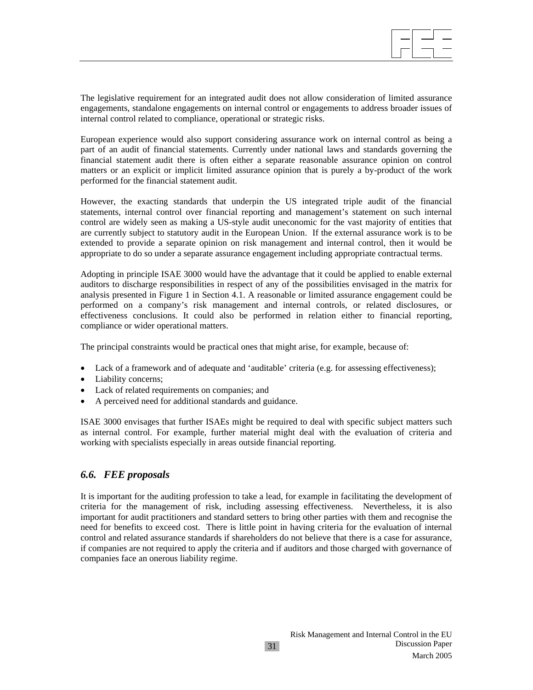

The legislative requirement for an integrated audit does not allow consideration of limited assurance engagements, standalone engagements on internal control or engagements to address broader issues of internal control related to compliance, operational or strategic risks.

European experience would also support considering assurance work on internal control as being a part of an audit of financial statements. Currently under national laws and standards governing the financial statement audit there is often either a separate reasonable assurance opinion on control matters or an explicit or implicit limited assurance opinion that is purely a by-product of the work performed for the financial statement audit.

However, the exacting standards that underpin the US integrated triple audit of the financial statements, internal control over financial reporting and management's statement on such internal control are widely seen as making a US-style audit uneconomic for the vast majority of entities that are currently subject to statutory audit in the European Union. If the external assurance work is to be extended to provide a separate opinion on risk management and internal control, then it would be appropriate to do so under a separate assurance engagement including appropriate contractual terms.

Adopting in principle ISAE 3000 would have the advantage that it could be applied to enable external auditors to discharge responsibilities in respect of any of the possibilities envisaged in the matrix for analysis presented in Figure 1 in Section 4.1. A reasonable or limited assurance engagement could be performed on a company's risk management and internal controls, or related disclosures, or effectiveness conclusions. It could also be performed in relation either to financial reporting, compliance or wider operational matters.

The principal constraints would be practical ones that might arise, for example, because of:

- Lack of a framework and of adequate and 'auditable' criteria (e.g. for assessing effectiveness);
- Liability concerns;
- Lack of related requirements on companies; and
- A perceived need for additional standards and guidance.

ISAE 3000 envisages that further ISAEs might be required to deal with specific subject matters such as internal control. For example, further material might deal with the evaluation of criteria and working with specialists especially in areas outside financial reporting.

#### *6.6. FEE proposals*

It is important for the auditing profession to take a lead, for example in facilitating the development of criteria for the management of risk, including assessing effectiveness. Nevertheless, it is also important for audit practitioners and standard setters to bring other parties with them and recognise the need for benefits to exceed cost. There is little point in having criteria for the evaluation of internal control and related assurance standards if shareholders do not believe that there is a case for assurance, if companies are not required to apply the criteria and if auditors and those charged with governance of companies face an onerous liability regime.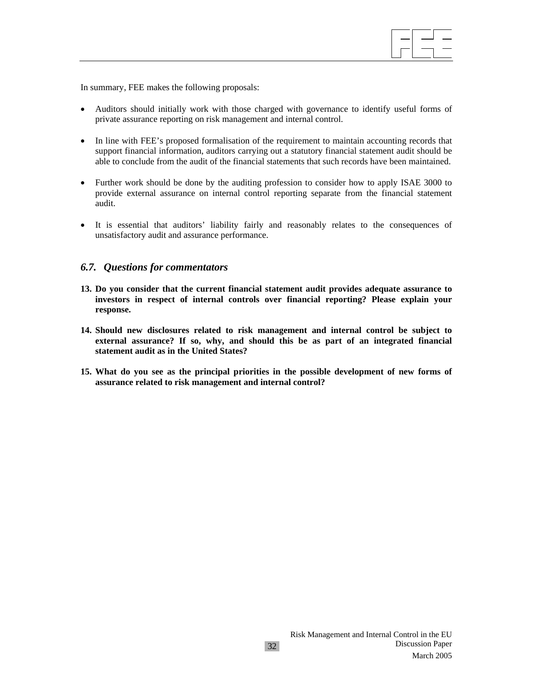$\overline{\phantom{a}}$ 

In summary, FEE makes the following proposals:

- Auditors should initially work with those charged with governance to identify useful forms of private assurance reporting on risk management and internal control.
- In line with FEE's proposed formalisation of the requirement to maintain accounting records that support financial information, auditors carrying out a statutory financial statement audit should be able to conclude from the audit of the financial statements that such records have been maintained.
- Further work should be done by the auditing profession to consider how to apply ISAE 3000 to provide external assurance on internal control reporting separate from the financial statement audit.
- It is essential that auditors' liability fairly and reasonably relates to the consequences of unsatisfactory audit and assurance performance.

#### *6.7. Questions for commentators*

- **13. Do you consider that the current financial statement audit provides adequate assurance to investors in respect of internal controls over financial reporting? Please explain your response.**
- **14. Should new disclosures related to risk management and internal control be subject to external assurance? If so, why, and should this be as part of an integrated financial statement audit as in the United States?**
- **15. What do you see as the principal priorities in the possible development of new forms of assurance related to risk management and internal control?**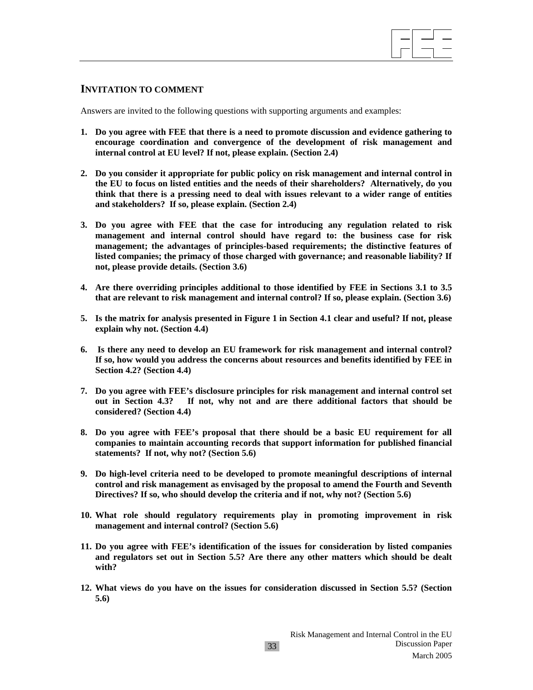

#### **INVITATION TO COMMENT**

Answers are invited to the following questions with supporting arguments and examples:

- **1. Do you agree with FEE that there is a need to promote discussion and evidence gathering to encourage coordination and convergence of the development of risk management and internal control at EU level? If not, please explain. (Section 2.4)**
- **2. Do you consider it appropriate for public policy on risk management and internal control in the EU to focus on listed entities and the needs of their shareholders? Alternatively, do you think that there is a pressing need to deal with issues relevant to a wider range of entities and stakeholders? If so, please explain. (Section 2.4)**
- **3. Do you agree with FEE that the case for introducing any regulation related to risk management and internal control should have regard to: the business case for risk management; the advantages of principles-based requirements; the distinctive features of listed companies; the primacy of those charged with governance; and reasonable liability? If not, please provide details. (Section 3.6)**
- **4. Are there overriding principles additional to those identified by FEE in Sections 3.1 to 3.5 that are relevant to risk management and internal control? If so, please explain. (Section 3.6)**
- **5. Is the matrix for analysis presented in Figure 1 in Section 4.1 clear and useful? If not, please explain why not. (Section 4.4)**
- **6. Is there any need to develop an EU framework for risk management and internal control? If so, how would you address the concerns about resources and benefits identified by FEE in Section 4.2? (Section 4.4)**
- **7. Do you agree with FEE's disclosure principles for risk management and internal control set out in Section 4.3? If not, why not and are there additional factors that should be considered? (Section 4.4)**
- **8. Do you agree with FEE's proposal that there should be a basic EU requirement for all companies to maintain accounting records that support information for published financial statements? If not, why not? (Section 5.6)**
- **9. Do high-level criteria need to be developed to promote meaningful descriptions of internal control and risk management as envisaged by the proposal to amend the Fourth and Seventh Directives? If so, who should develop the criteria and if not, why not? (Section 5.6)**
- **10. What role should regulatory requirements play in promoting improvement in risk management and internal control? (Section 5.6)**
- **11. Do you agree with FEE's identification of the issues for consideration by listed companies and regulators set out in Section 5.5? Are there any other matters which should be dealt with?**
- **12. What views do you have on the issues for consideration discussed in Section 5.5? (Section 5.6)**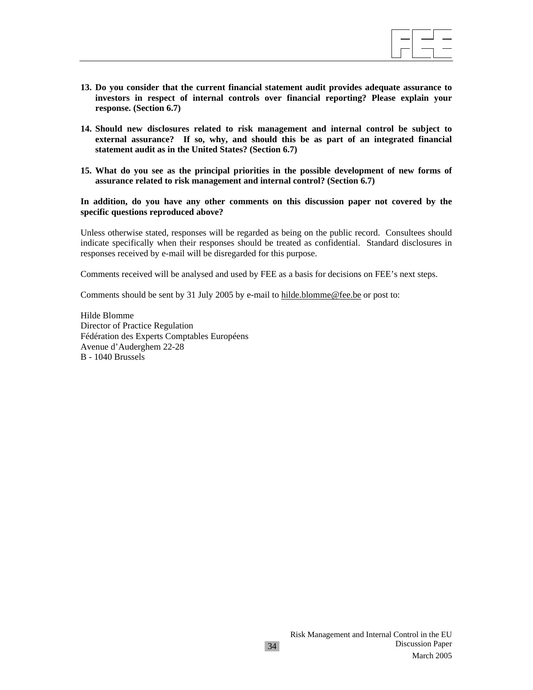

- **13. Do you consider that the current financial statement audit provides adequate assurance to investors in respect of internal controls over financial reporting? Please explain your response. (Section 6.7)**
- **14. Should new disclosures related to risk management and internal control be subject to external assurance? If so, why, and should this be as part of an integrated financial statement audit as in the United States? (Section 6.7)**
- **15. What do you see as the principal priorities in the possible development of new forms of assurance related to risk management and internal control? (Section 6.7)**

**In addition, do you have any other comments on this discussion paper not covered by the specific questions reproduced above?** 

Unless otherwise stated, responses will be regarded as being on the public record. Consultees should indicate specifically when their responses should be treated as confidential. Standard disclosures in responses received by e-mail will be disregarded for this purpose.

34

Comments received will be analysed and used by FEE as a basis for decisions on FEE's next steps.

Comments should be sent by 31 July 2005 by e-mail to hilde.blomme@fee.be or post to:

Hilde Blomme Director of Practice Regulation Fédération des Experts Comptables Européens Avenue d'Auderghem 22-28 B - 1040 Brussels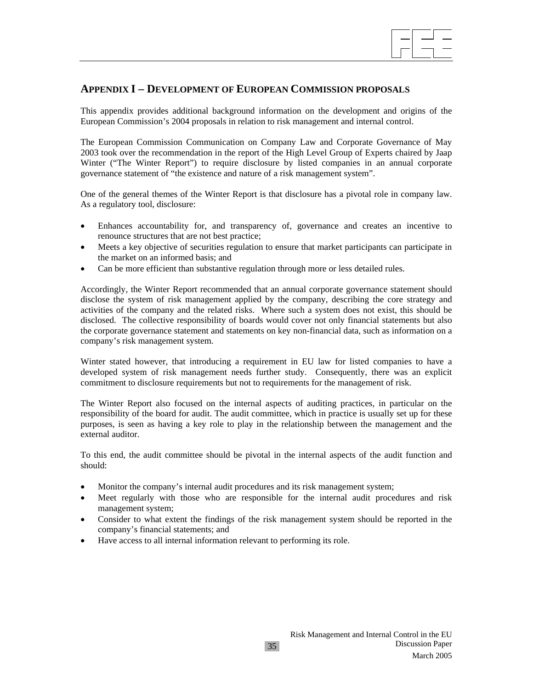# **APPENDIX I – DEVELOPMENT OF EUROPEAN COMMISSION PROPOSALS**

This appendix provides additional background information on the development and origins of the European Commission's 2004 proposals in relation to risk management and internal control.

 $\overline{\phantom{a}}$ 

The European Commission Communication on Company Law and Corporate Governance of May 2003 took over the recommendation in the report of the High Level Group of Experts chaired by Jaap Winter ("The Winter Report") to require disclosure by listed companies in an annual corporate governance statement of "the existence and nature of a risk management system".

One of the general themes of the Winter Report is that disclosure has a pivotal role in company law. As a regulatory tool, disclosure:

- Enhances accountability for, and transparency of, governance and creates an incentive to renounce structures that are not best practice;
- Meets a key objective of securities regulation to ensure that market participants can participate in the market on an informed basis; and
- Can be more efficient than substantive regulation through more or less detailed rules.

Accordingly, the Winter Report recommended that an annual corporate governance statement should disclose the system of risk management applied by the company, describing the core strategy and activities of the company and the related risks. Where such a system does not exist, this should be disclosed. The collective responsibility of boards would cover not only financial statements but also the corporate governance statement and statements on key non-financial data, such as information on a company's risk management system.

Winter stated however, that introducing a requirement in EU law for listed companies to have a developed system of risk management needs further study. Consequently, there was an explicit commitment to disclosure requirements but not to requirements for the management of risk.

The Winter Report also focused on the internal aspects of auditing practices, in particular on the responsibility of the board for audit. The audit committee, which in practice is usually set up for these purposes, is seen as having a key role to play in the relationship between the management and the external auditor.

To this end, the audit committee should be pivotal in the internal aspects of the audit function and should:

- Monitor the company's internal audit procedures and its risk management system;
- Meet regularly with those who are responsible for the internal audit procedures and risk management system;
- Consider to what extent the findings of the risk management system should be reported in the company's financial statements; and
- Have access to all internal information relevant to performing its role.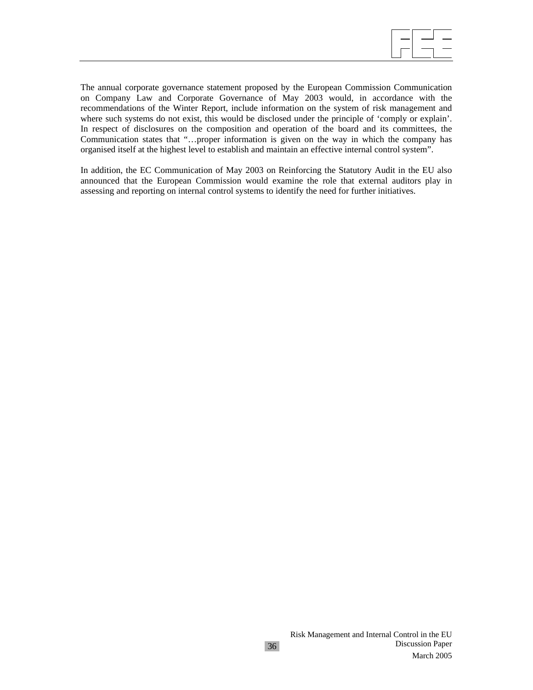

The annual corporate governance statement proposed by the European Commission Communication on Company Law and Corporate Governance of May 2003 would, in accordance with the recommendations of the Winter Report, include information on the system of risk management and where such systems do not exist, this would be disclosed under the principle of 'comply or explain'. In respect of disclosures on the composition and operation of the board and its committees, the Communication states that "…proper information is given on the way in which the company has organised itself at the highest level to establish and maintain an effective internal control system".

In addition, the EC Communication of May 2003 on Reinforcing the Statutory Audit in the EU also announced that the European Commission would examine the role that external auditors play in assessing and reporting on internal control systems to identify the need for further initiatives.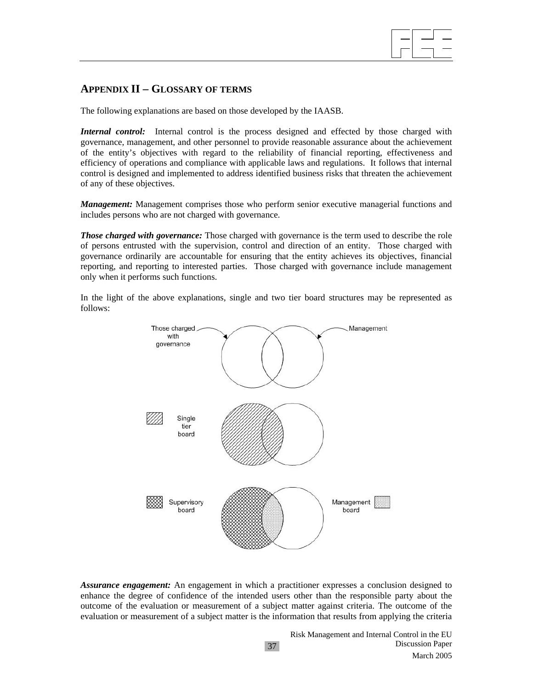# **APPENDIX II – GLOSSARY OF TERMS**

The following explanations are based on those developed by the IAASB.

*Internal control:* Internal control is the process designed and effected by those charged with governance, management, and other personnel to provide reasonable assurance about the achievement of the entity's objectives with regard to the reliability of financial reporting, effectiveness and efficiency of operations and compliance with applicable laws and regulations. It follows that internal control is designed and implemented to address identified business risks that threaten the achievement of any of these objectives.

*Management:* Management comprises those who perform senior executive managerial functions and includes persons who are not charged with governance.

*Those charged with governance:* Those charged with governance is the term used to describe the role of persons entrusted with the supervision, control and direction of an entity. Those charged with governance ordinarily are accountable for ensuring that the entity achieves its objectives, financial reporting, and reporting to interested parties. Those charged with governance include management only when it performs such functions.

In the light of the above explanations, single and two tier board structures may be represented as follows:



*Assurance engagement:* An engagement in which a practitioner expresses a conclusion designed to enhance the degree of confidence of the intended users other than the responsible party about the outcome of the evaluation or measurement of a subject matter against criteria. The outcome of the evaluation or measurement of a subject matter is the information that results from applying the criteria

37

 $\overline{\phantom{a}}$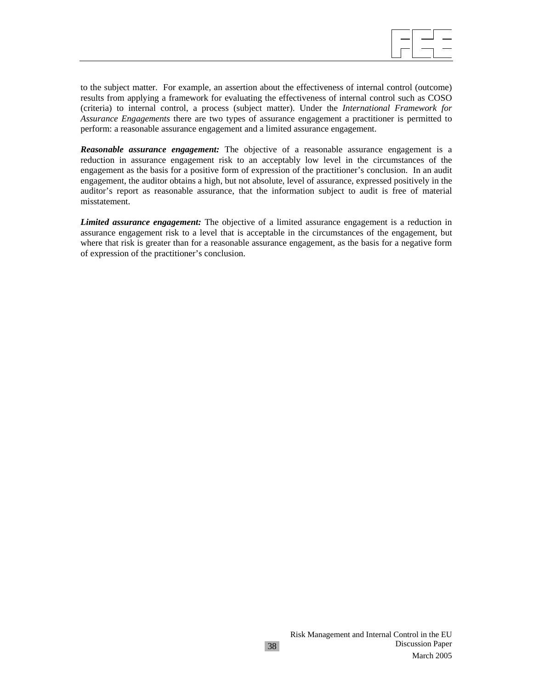

to the subject matter. For example, an assertion about the effectiveness of internal control (outcome) results from applying a framework for evaluating the effectiveness of internal control such as COSO (criteria) to internal control, a process (subject matter). Under the *International Framework for Assurance Engagements* there are two types of assurance engagement a practitioner is permitted to perform: a reasonable assurance engagement and a limited assurance engagement.

*Reasonable assurance engagement:* The objective of a reasonable assurance engagement is a reduction in assurance engagement risk to an acceptably low level in the circumstances of the engagement as the basis for a positive form of expression of the practitioner's conclusion. In an audit engagement, the auditor obtains a high, but not absolute, level of assurance, expressed positively in the auditor's report as reasonable assurance, that the information subject to audit is free of material misstatement.

*Limited assurance engagement:* The objective of a limited assurance engagement is a reduction in assurance engagement risk to a level that is acceptable in the circumstances of the engagement, but where that risk is greater than for a reasonable assurance engagement, as the basis for a negative form of expression of the practitioner's conclusion.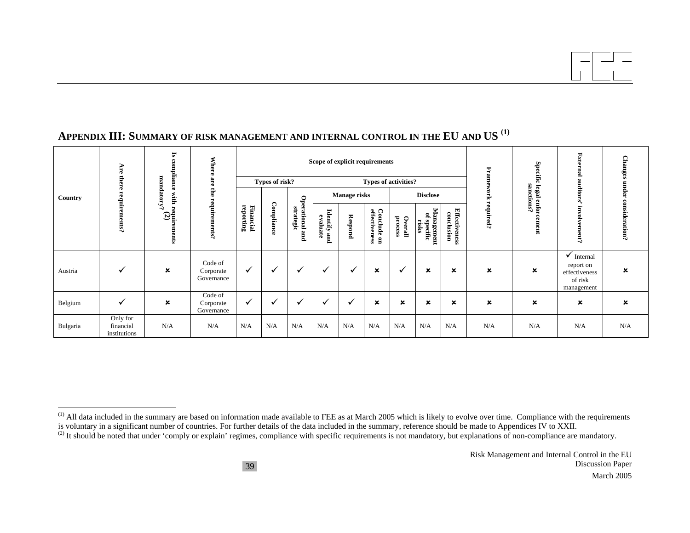|          |                                       | $\overline{\mathbf{s}}$<br>g     | <b>Where</b>                       |                        |                |                              |                             |                     | Scope of explicit requirements |                         |                                      |                                    | Hran        | Specific                        | <b>External</b>                                                              | <b>Changes</b> |
|----------|---------------------------------------|----------------------------------|------------------------------------|------------------------|----------------|------------------------------|-----------------------------|---------------------|--------------------------------|-------------------------|--------------------------------------|------------------------------------|-------------|---------------------------------|------------------------------------------------------------------------------|----------------|
|          | <b>Are there</b>                      | mpliance<br>mandatory?           | are<br>Ë                           |                        | Types of risk? |                              |                             | <b>Manage risks</b> | <b>Types of activities?</b>    |                         | <b>Disclose</b>                      |                                    | огk         |                                 | auditors'                                                                    | under          |
| Country  | requirements?                         | with re<br>$\tilde{g}$ g<br>ents | requirements?                      | reporting<br>Financial | Compliance     | Operational and<br>strategic | Identify<br>evaluate<br>pue | Respond             | Conclude on<br>effectiveness   | ${\bf Overall}$ process | Management<br>2<br>specific<br>risks | <b>Effectiveness</b><br>conclusion | required?   | sanctions?<br>legal enforcement | involv<br>ement?                                                             | consideration? |
| Austria  | $\checkmark$                          | $\boldsymbol{\mathsf{x}}$        | Code of<br>Corporate<br>Governance | $\checkmark$           |                | ✓                            | ✓                           | $\checkmark$        | $\boldsymbol{\mathsf{x}}$      | ✔                       | $\boldsymbol{\mathsf{x}}$            | $\boldsymbol{\mathsf{x}}$          | $\mathbf x$ | $\boldsymbol{\mathsf{x}}$       | $\checkmark$ Internal<br>report on<br>effectiveness<br>of risk<br>management | ×              |
| Belgium  | $\checkmark$                          | $\pmb{\times}$                   | Code of<br>Corporate<br>Governance | $\checkmark$           | $\checkmark$   | $\checkmark$                 | ✓                           | $\checkmark$        | ×                              | ×                       | $\boldsymbol{\mathsf{x}}$            | ×                                  | ×           | ×                               | $\pmb{\times}$                                                               | $\pmb{\times}$ |
| Bulgaria | Only for<br>financial<br>institutions | N/A                              | N/A                                | N/A                    | N/A            | N/A                          | N/A                         | N/A                 | N/A                            | N/A                     | N/A                                  | N/A                                | N/A         | N/A                             | N/A                                                                          | N/A            |

 $<sup>(1)</sup>$  All data included in the summary are based on information made available to FEE as at March 2005 which is likely to evolve over time. Compliance with the requirements</sup> is voluntary in a significant number of countries. For further details of the data included in the summary, reference should be made to Appendices IV to XXII.

<sup>(2)</sup> It should be noted that under 'comply or explain' regimes, compliance with specific requirements is not mandatory, but explanations of non-compliance are mandatory.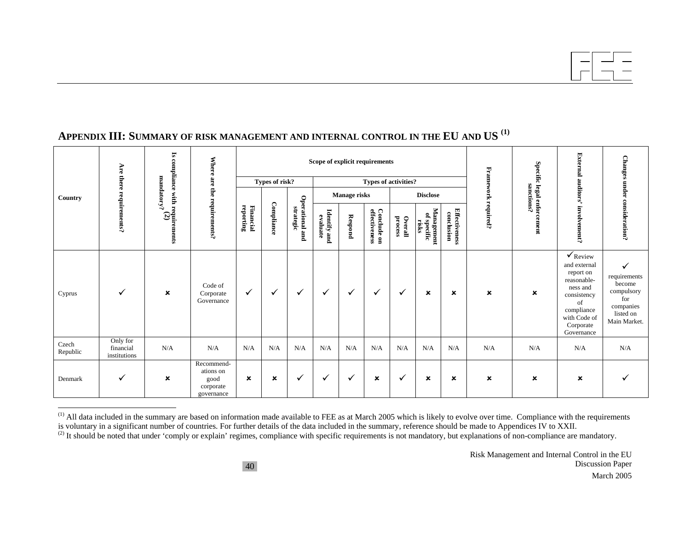|                   |                                       |                                                                        |                                                            |                        |                |                              | Scope of explicit requirements |                     |                              |                         |                                    |                                    |                     | <b>Specific</b>   | <b>Extel</b><br>E                                                                                                                                         |                                                                                            |
|-------------------|---------------------------------------|------------------------------------------------------------------------|------------------------------------------------------------|------------------------|----------------|------------------------------|--------------------------------|---------------------|------------------------------|-------------------------|------------------------------------|------------------------------------|---------------------|-------------------|-----------------------------------------------------------------------------------------------------------------------------------------------------------|--------------------------------------------------------------------------------------------|
|                   | Are there                             |                                                                        |                                                            |                        | Types of risk? |                              |                                |                     | <b>Types of activities?</b>  |                         |                                    |                                    |                     |                   |                                                                                                                                                           |                                                                                            |
| Country           |                                       | mandatory?                                                             |                                                            |                        |                |                              |                                | <b>Manage risks</b> |                              |                         | <b>Disclose</b>                    |                                    |                     | sanctions?        | auditors'                                                                                                                                                 |                                                                                            |
|                   | requirements?                         | Is compliance with requirements<br>$\begin{array}{c} \sim \end{array}$ | Where are the requirements?                                | reporting<br>Financial | Compliance     | Operational and<br>strategic | Identify and<br>evaluate       | Respond             | Conclude on<br>effectiveness | ${\bf Overall}$ process | Management<br>of specific<br>risks | <b>Effectiveness</b><br>conclusion | Framework required? | legal enforcement | involvement?                                                                                                                                              | <b>Changes under consideration?</b>                                                        |
| Cyprus            | ✓                                     | $\pmb{\times}$                                                         | Code of<br>Corporate<br>Governance                         | ✓                      | $\checkmark$   | ✓                            | ✓                              | $\checkmark$        | ✓                            | ✓                       | ×                                  | ×                                  | $\pmb{\times}$      | ×                 | $\checkmark$ Review<br>and external<br>report on<br>reasonable-<br>ness and<br>consistency<br>of<br>compliance<br>with Code of<br>Corporate<br>Governance | ✓<br>requirements<br>become<br>compulsory<br>for<br>companies<br>listed on<br>Main Market. |
| Czech<br>Republic | Only for<br>financial<br>institutions | N/A                                                                    | N/A                                                        | N/A                    | N/A            | N/A                          | N/A                            | N/A                 | N/A                          | N/A                     | N/A                                | N/A                                | N/A                 | N/A               | N/A                                                                                                                                                       | N/A                                                                                        |
| Denmark           | ✓                                     | $\boldsymbol{\mathsf{x}}$                                              | Recommend-<br>ations on<br>good<br>corporate<br>governance | $\pmb{\times}$         | ×              | ✓                            | ✓                              | ✓                   | ×                            | ✓                       | ×                                  | ×                                  | $\pmb{\times}$      | ×                 | ×                                                                                                                                                         |                                                                                            |

 $<sup>(1)</sup>$  All data included in the summary are based on information made available to FEE as at March 2005 which is likely to evolve over time. Compliance with the requirements</sup> is voluntary in a significant number of countries. For further details of the data included in the summary, reference should be made to Appendices IV to XXII.

<sup>(2)</sup> It should be noted that under 'comply or explain' regimes, compliance with specific requirements is not mandatory, but explanations of non-compliance are mandatory.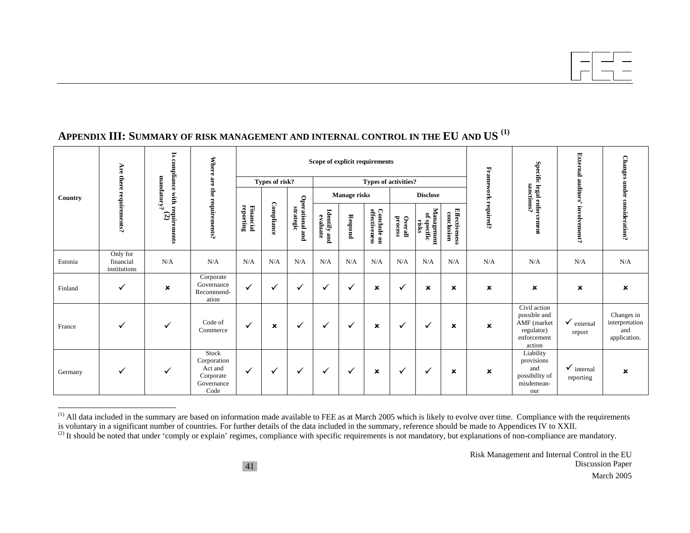| r.<br>Are there |                                       |                                                |                                                                    |                        | Scope of explicit requirements |                              |                          |         |                              |                             |                                    | <b>Specific</b>                    | Exte<br>E      |                                                                                    |                                    |                                                     |
|-----------------|---------------------------------------|------------------------------------------------|--------------------------------------------------------------------|------------------------|--------------------------------|------------------------------|--------------------------|---------|------------------------------|-----------------------------|------------------------------------|------------------------------------|----------------|------------------------------------------------------------------------------------|------------------------------------|-----------------------------------------------------|
|                 |                                       |                                                |                                                                    |                        | Types of risk?                 |                              |                          |         |                              | <b>Types of activities?</b> |                                    |                                    |                |                                                                                    |                                    |                                                     |
| Country         |                                       | mandatory?                                     |                                                                    |                        |                                |                              | Manage risks             |         |                              | <b>Disclose</b>             |                                    |                                    | Framework      | sanctions?                                                                         | auditors'                          |                                                     |
|                 | requirements?                         | compliance with requirements<br>$\binom{2}{2}$ | Where are the requirements?                                        | reporting<br>Financial | Compliance                     | Operational and<br>strategic | Identify and<br>evaluate | Respond | Conclude on<br>effectiveness | ${\bf Overall}$ process     | Management<br>of specific<br>risks | <b>Effectiveness</b><br>conclusion | required?      | legal enforcement                                                                  | involvement?                       | Changes under consideration?                        |
| Estonia         | Only for<br>financial<br>institutions | N/A                                            | N/A                                                                | N/A                    | N/A                            | N/A                          | N/A                      | N/A     | N/A                          | N/A                         | N/A                                | N/A                                | N/A            | N/A                                                                                | N/A                                | N/A                                                 |
| Finland         | ✓                                     | $\pmb{\times}$                                 | Corporate<br>Governance<br>Recommend-<br>ation                     | ✓                      | v                              | ✓                            | ✓                        | ✓       | $\boldsymbol{\mathsf{x}}$    | ✓                           | $\mathbf x$                        | ×                                  | $\pmb{\times}$ | ×                                                                                  | ×                                  | ×                                                   |
| France          | ✓                                     | ✓                                              | Code of<br>Commerce                                                | ✓                      | $\boldsymbol{\mathsf{x}}$      | ✓                            | ✓                        | ✓       | $\boldsymbol{\mathsf{x}}$    | ✓                           | ✓                                  | ×                                  | $\mathbf x$    | Civil action<br>possible and<br>AMF (market<br>regulator)<br>enforcement<br>action | $\checkmark$ external<br>report    | Changes in<br>interpretation<br>and<br>application. |
| Germany         | ✓                                     | ✓                                              | Stock<br>Corporation<br>Act and<br>Corporate<br>Governance<br>Code | ✓                      | √                              | ✓                            | ✓                        | ✓       | ×                            | ✓                           | ✓                                  | ×                                  | ×              | Liability<br>provisions<br>and<br>possibility of<br>misdemean-<br>our              | $\checkmark$ internal<br>reporting | ×                                                   |

 $<sup>(1)</sup>$  All data included in the summary are based on information made available to FEE as at March 2005 which is likely to evolve over time. Compliance with the requirements</sup> is voluntary in a significant number of countries. For further details of the data included in the summary, reference should be made to Appendices IV to XXII.

<sup>(2)</sup> It should be noted that under 'comply or explain' regimes, compliance with specific requirements is not mandatory, but explanations of non-compliance are mandatory.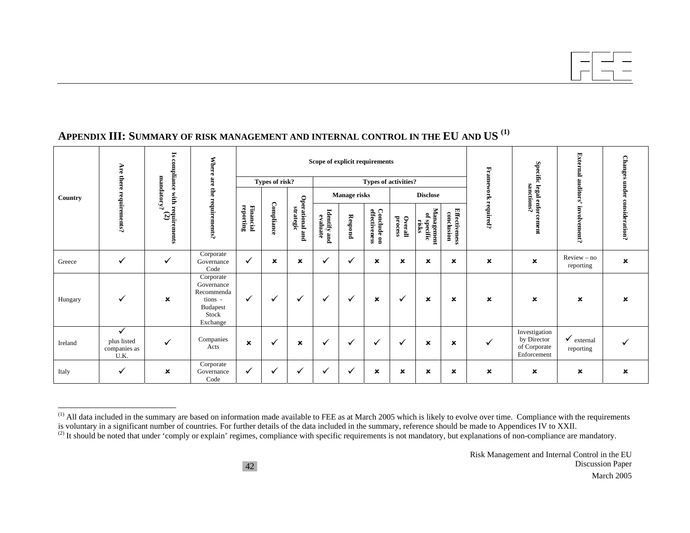|         | Are there                                           | 2<br>compliance            | <b>Where</b>                                                                             |                           |                           |                              | Scope of explicit requirements |                                        |                              |                           |                                    |                                    |                         | <b>Exter</b><br><b>Specific</b><br>힏                        |                                    | <b>Changes</b>       |
|---------|-----------------------------------------------------|----------------------------|------------------------------------------------------------------------------------------|---------------------------|---------------------------|------------------------------|--------------------------------|----------------------------------------|------------------------------|---------------------------|------------------------------------|------------------------------------|-------------------------|-------------------------------------------------------------|------------------------------------|----------------------|
|         |                                                     |                            | are the                                                                                  | Types of risk?            |                           | <b>Types of activities?</b>  |                                |                                        |                              |                           |                                    |                                    |                         |                                                             |                                    |                      |
| Country |                                                     | mandatory?                 |                                                                                          |                           |                           |                              |                                | <b>Manage risks</b><br><b>Disclose</b> |                              |                           |                                    |                                    | Framework<br>sanctions? |                                                             | auditor<br>ળું                     |                      |
|         | requirements?                                       | with requirements<br>$(2)$ | requirements?                                                                            | Financial<br>reporting    | Compliance                | Operational and<br>strategic | Identify and<br>evaluate       | Respond                                | Conclude on<br>effectiveness | ${\bf Overall}$ process   | Management<br>of specific<br>risks | <b>Effectiveness</b><br>conclusion | required?               | legal enforcement                                           | involve<br>ment?                   | under consideration? |
| Greece  | $\checkmark$                                        | $\checkmark$               | Corporate<br>Governance<br>Code                                                          | $\checkmark$              | $\boldsymbol{\mathsf{x}}$ | ×                            | ✓                              | v                                      | $\boldsymbol{\mathsf{x}}$    | $\boldsymbol{\mathsf{x}}$ | $\boldsymbol{\mathsf{x}}$          | $\boldsymbol{\mathsf{x}}$          | $\mathbf x$             | $\boldsymbol{\mathsf{x}}$                                   | $Review-no$<br>reporting           | ×                    |
| Hungary | ✓                                                   | $\pmb{\times}$             | Corporate<br>Governance<br>Recommenda<br>tions -<br><b>Budapest</b><br>Stock<br>Exchange | ✓                         | √                         | ✓                            | ✓                              | $\checkmark$                           | ×                            | $\checkmark$              | ×                                  | $\boldsymbol{\mathsf{x}}$          | $\mathbf x$             | $\mathbf x$                                                 | $\pmb{\times}$                     | ×                    |
| Ireland | $\checkmark$<br>plus listed<br>companies as<br>U.K. | $\checkmark$               | Companies<br>Acts                                                                        | $\boldsymbol{\mathsf{x}}$ | √                         | $\pmb{\times}$               | ✓                              | $\checkmark$                           | $\checkmark$                 | ✓                         | $\pmb{\times}$                     | ×                                  | $\checkmark$            | Investigation<br>by Director<br>of Corporate<br>Enforcement | $\checkmark$ external<br>reporting |                      |
| Italy   | ✓                                                   | $\boldsymbol{\mathsf{x}}$  | Corporate<br>Governance<br>Code                                                          | $\checkmark$              | $\overline{\phantom{a}}$  | $\checkmark$                 | ✓                              |                                        | ×                            | ×                         | ×                                  | ×                                  | $\pmb{\times}$          | ×                                                           | ×                                  | ×                    |

 $<sup>(1)</sup>$  All data included in the summary are based on information made available to FEE as at March 2005 which is likely to evolve over time. Compliance with the requirements</sup> is voluntary in a significant number of countries. For further details of the data included in the summary, reference should be made to Appendices IV to XXII.

<sup>(2)</sup> It should be noted that under 'comply or explain' regimes, compliance with specific requirements is not mandatory, but explanations of non-compliance are mandatory.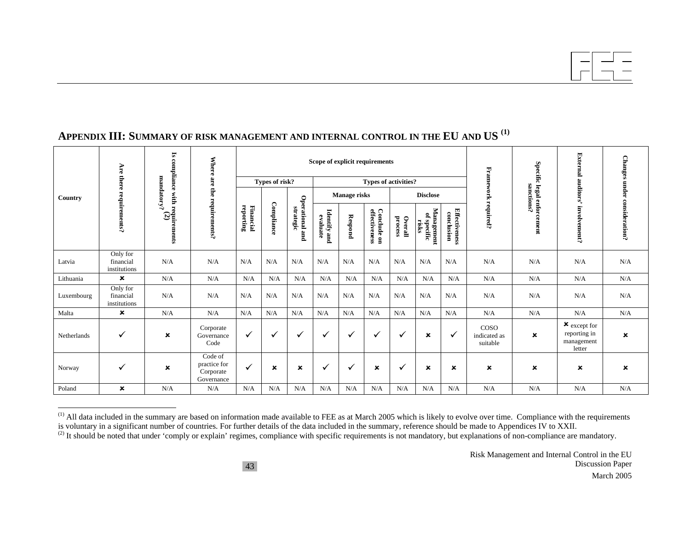#### Is compliance with requirements<br> $\limsup_{m\to\infty} (2)$ **Is compliance with requirements**  External auditors' involvement? **External auditors' involvement?**  Changes under consideration? **Changes under consideration? Where are the requirements? Scope of explicit requirements Specific legal enforcement**<br>anctions? **Specific legal enforcement Are there requirements?**  Framework required? **Framework required? Types of risk? Types of activities? strategic Manage risks Disclose Country Operational and Compliance reporting Financial**  Conclude on<br>effectiveness **conclusion Identify and** <br>evaluate **Management effectiveness Conclude on Effectiveness Identify and of specific Respond process Overall risks**  Only for Latvia  $N/A$   $N/A$   $N/A$ financial N/A N/A N/A N/A N/A N/A N/A N/A N/A N/A N/A N/A institutions Lithuania  $\vert$   $\vert$   $\star$  N/A N/A N/A N/A N/A N/A N/A N/A N/A N/A N/A N/A N/A N/A N/A Only for Luxembourg N/A N/A N/Afinancial N/A N/A N/A N/A N/A N/A N/A N/A N/A N/A N/A N/A institutions Malta **x**  N/A N/A N/A N/A N/A N/A N/A N/A N/A N/A N/A N/A N/A N/A N/A <sup>8</sup> except for **x** Corporate<br>Governance COSO reporting in Netherlands  $\checkmark$  $\checkmark$  $\mathbf{x}$  $\mathbf{x}$  $\checkmark$   $\mid$   $\checkmark$   $\mid$   $\checkmark$   $\mid$   $\checkmark$   $\mid$   $\checkmark$   $\mid$   $\mid$   $\checkmark$   $\mid$   $\checkmark$   $\mid$   $\checkmark$   $\mid$   $\checkmark$   $\mid$   $\checkmark$   $\mid$   $\checkmark$ indicated as management Code suitable letter Code of practice for Norway  $\checkmark$  x  $\checkmark$  <sup>8</sup> <sup>8</sup> 9 9 <sup>8</sup> 9 <sup>8</sup> <sup>8</sup> <sup>8</sup> <sup>8</sup> <sup>8</sup> <sup>8</sup> Corporate Governance Poland **x** N/A N/A N/A N/A N/A N/A N/A N/A N/A N/A N/A N/A N/A N/A N/A

<sup>&</sup>lt;sup>(1)</sup> All data included in the summary are based on information made available to FEE as at March 2005 which is likely to evolve over time. Compliance with the requirements is voluntary in a significant number of countries. For further details of the data included in the summary, reference should be made to Appendices IV to XXII.

<sup>&</sup>lt;sup>(2)</sup> It should be noted that under 'comply or explain' regimes, compliance with specific requirements is not mandatory, but explanations of non-compliance are mandatory.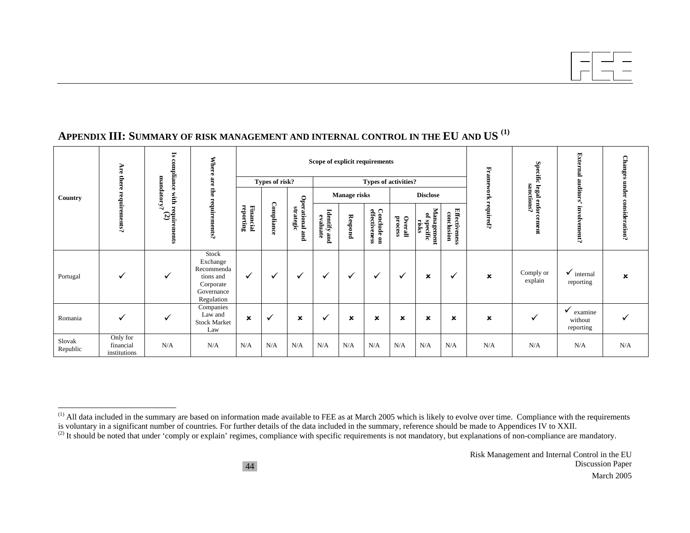|                    |                                       | $\overline{\mathbf{s}}$<br>compliance          | Where                                                                                 |                        |                |                              | Scope of explicit requirements |                           |                              |                         |                                        |                                    |                           | Specific                  | Externa                                      | <b>Changes</b> |
|--------------------|---------------------------------------|------------------------------------------------|---------------------------------------------------------------------------------------|------------------------|----------------|------------------------------|--------------------------------|---------------------------|------------------------------|-------------------------|----------------------------------------|------------------------------------|---------------------------|---------------------------|----------------------------------------------|----------------|
|                    | Are there                             |                                                | are                                                                                   |                        | Types of risk? |                              |                                |                           | <b>Types of activities?</b>  |                         |                                        |                                    | Framework                 |                           |                                              | under          |
| Country            |                                       | mandatory?                                     | Ê                                                                                     |                        |                |                              | Manage risks                   |                           |                              |                         | <b>Disclose</b>                        |                                    |                           | sanctions?<br>legal enfor | auditors                                     |                |
|                    | requirements?                         | . with require<br>$\frac{1}{\alpha}$<br>ements | requirements?                                                                         | reporting<br>Financial | Compliance     | Operational and<br>strategic | Identify and<br>evaluate       | <b>Respond</b>            | Conclude on<br>effectiveness | ${\bf Overall}$ process | Management<br>2,<br>'specific<br>risks | <b>Effectiveness</b><br>conclusion |                           | required?<br>cement       |                                              | consideration? |
| Portugal           | $\checkmark$                          | ✓                                              | Stock<br>Exchange<br>Recommenda<br>tions and<br>Corporate<br>Governance<br>Regulation | ✓                      | $\checkmark$   | ✓                            | ✓                              | ✓                         | $\checkmark$                 | ✔                       | ×                                      | ✔                                  | $\boldsymbol{\mathsf{x}}$ | Comply or<br>explain      | $\checkmark$ internal<br>reporting           | ×              |
| Romania            | ✓                                     | ✓                                              | Companies<br>Law and<br><b>Stock Market</b><br>Law                                    | $\pmb{\times}$         | $\checkmark$   | ×                            | $\checkmark$                   | $\boldsymbol{\mathsf{x}}$ | ×                            | ×                       | ×                                      | ×                                  | $\pmb{\times}$            | ✓                         | $\checkmark$ examine<br>without<br>reporting |                |
| Slovak<br>Republic | Only for<br>financial<br>institutions | N/A                                            | N/A                                                                                   | N/A                    | N/A            | N/A                          | N/A                            | N/A                       | N/A                          | N/A                     | N/A                                    | N/A                                | N/A                       | N/A                       | N/A                                          | N/A            |

 $<sup>(1)</sup>$  All data included in the summary are based on information made available to FEE as at March 2005 which is likely to evolve over time. Compliance with the requirements</sup> is voluntary in a significant number of countries. For further details of the data included in the summary, reference should be made to Appendices IV to XXII.

<sup>(2)</sup> It should be noted that under 'comply or explain' regimes, compliance with specific requirements is not mandatory, but explanations of non-compliance are mandatory.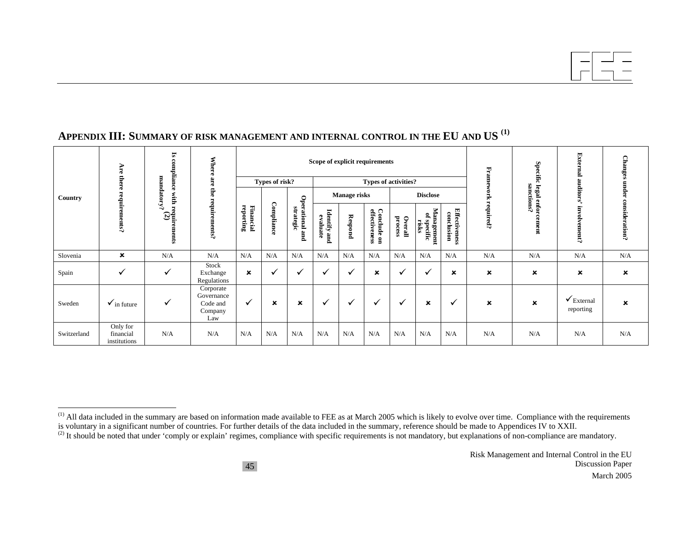| Country     | Are there<br>${\rm requirements?}$    | $\overline{\mathbf{s}}$<br>compliance<br>mandatory?<br>, with require $(2)$<br>ents | <b>Where</b><br>are<br>equirements?                   | Scope of explicit requirements |              |                              |                             |              |                              |                    |                                      | Fran                               | <b>Specific</b> | <b>External</b>           | <b>Changes</b>                     |                |
|-------------|---------------------------------------|-------------------------------------------------------------------------------------|-------------------------------------------------------|--------------------------------|--------------|------------------------------|-----------------------------|--------------|------------------------------|--------------------|--------------------------------------|------------------------------------|-----------------|---------------------------|------------------------------------|----------------|
|             |                                       |                                                                                     |                                                       | Types of risk?                 |              |                              | <b>Types of activities?</b> |              |                              |                    |                                      |                                    |                 |                           | auditors                           | under          |
|             |                                       |                                                                                     |                                                       |                                |              |                              | <b>Manage risks</b>         |              |                              | <b>Disclose</b>    |                                      |                                    | 긏               | sanctions?<br>legal enfor |                                    |                |
|             |                                       |                                                                                     |                                                       | reporting<br>Financial         | Compliance   | Operational and<br>strategic | Identify and<br>evaluate    | Respond      | Conclude on<br>effectiveness | process<br>Overall | Management<br>舃<br>specific<br>risks | <b>Effectiveness</b><br>conclusion | required?       | cement                    | Ę<br>ş,<br>/ement?                 | consideration? |
| Slovenia    | $\boldsymbol{\mathsf{x}}$             | N/A                                                                                 | N/A                                                   | N/A                            | N/A          | N/A                          | N/A                         | N/A          | N/A                          | N/A                | N/A                                  | N/A                                | N/A             | N/A                       | N/A                                | N/A            |
| Spain       | $\checkmark$                          | $\checkmark$                                                                        | Stock<br>Exchange<br>Regulations                      | $\pmb{\times}$                 | $\checkmark$ | $\checkmark$                 | $\checkmark$                | $\checkmark$ | ×                            | ✔                  | ✓                                    | ×                                  | ×               | ×                         | ×                                  | $\pmb{\times}$ |
| Sweden      | $\checkmark$ in future                | ✓                                                                                   | Corporate<br>Governance<br>Code and<br>Company<br>Law | $\checkmark$                   | $\mathbf x$  | ×                            | $\checkmark$                | $\checkmark$ | ✓                            | ✔                  | ×                                    | √                                  | ×               | $\boldsymbol{\mathsf{x}}$ | $\checkmark$ External<br>reporting | ×              |
| Switzerland | Only for<br>financial<br>institutions | N/A                                                                                 | N/A                                                   | N/A                            | N/A          | N/A                          | N/A                         | N/A          | N/A                          | N/A                | N/A                                  | N/A                                | N/A             | N/A                       | N/A                                | N/A            |

 $<sup>(1)</sup>$  All data included in the summary are based on information made available to FEE as at March 2005 which is likely to evolve over time. Compliance with the requirements</sup> is voluntary in a significant number of countries. For further details of the data included in the summary, reference should be made to Appendices IV to XXII.

<sup>(2)</sup> It should be noted that under 'comply or explain' regimes, compliance with specific requirements is not mandatory, but explanations of non-compliance are mandatory.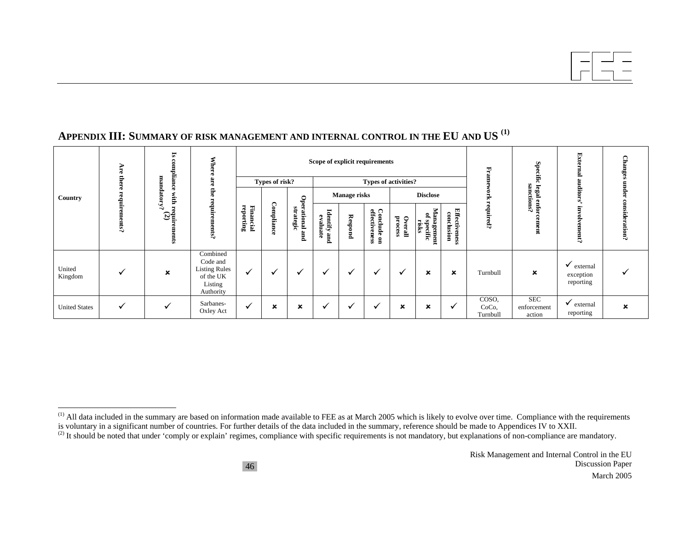#### Is compliance with requirements<br> $\limsup_{m\to\infty} (2)$ **Is compliance with requirements**  External auditors' involvement? **External auditors' involvement?**  Changes under consideration? **Changes under consideration? Where are the requirements? Scope of explicit requirements Specific legal enforcement**<br>sanctions? **Specific legal enforcement Are there requirements?**  Framework required? **Framework required? Types of risk? Types of activities? Operational and**<br>strategic **Manage risks Disclose Country Operational and Compliance reporting Financial**  Conclude on<br>effectiveness **conclusion Identify and** <br>evaluate **Management effectiveness Conclude on Effectiveness Identify and of specific Respond process Overall risks**  Combined Code and  $\checkmark$  external Listing Rules United United  $\bigvee$  **x**  $\checkmark$  $\checkmark$   $\checkmark$   $\checkmark$   $\checkmark$   $\checkmark$   $\checkmark$   $\checkmark$   $\checkmark$   $\checkmark$   $\checkmark$   $\checkmark$   $\checkmark$   $\checkmark$   $\checkmark$   $\checkmark$   $\checkmark$   $\checkmark$   $\checkmark$   $\checkmark$   $\checkmark$   $\checkmark$   $\checkmark$   $\checkmark$   $\checkmark$   $\checkmark$   $\checkmark$   $\checkmark$   $\checkmark$   $\checkmark$   $\checkmark$   $\checkmark$   $\checkmark$   $\checkmark$   $\checkmark$   $\checkmark$   $\checkmark$   $\checkmark$  $\checkmark$ exception of the UK reporting Listing Authority  $\checkmark$   $\checkmark$  Sarbanes-  $\checkmark$   $\checkmark$   $\checkmark$   $\checkmark$   $\checkmark$   $\checkmark$   $\checkmark$   $\checkmark$   $\checkmark$   $\checkmark$   $\checkmark$   $\checkmark$   $\checkmark$   $\checkmark$   $\checkmark$   $\checkmark$   $\checkmark$   $\checkmark$   $\checkmark$   $\checkmark$   $\checkmark$   $\checkmark$   $\checkmark$   $\checkmark$   $\checkmark$   $\checkmark$  external  $\checkmark$  external  $\checkmark$  external  $\checkmark$ United States  $\checkmark$

<sup>&</sup>lt;sup>(1)</sup> All data included in the summary are based on information made available to FEE as at March 2005 which is likely to evolve over time. Compliance with the requirements is voluntary in a significant number of countries. For further details of the data included in the summary, reference should be made to Appendices IV to XXII.

<sup>&</sup>lt;sup>(2)</sup> It should be noted that under 'comply or explain' regimes, compliance with specific requirements is not mandatory, but explanations of non-compliance are mandatory.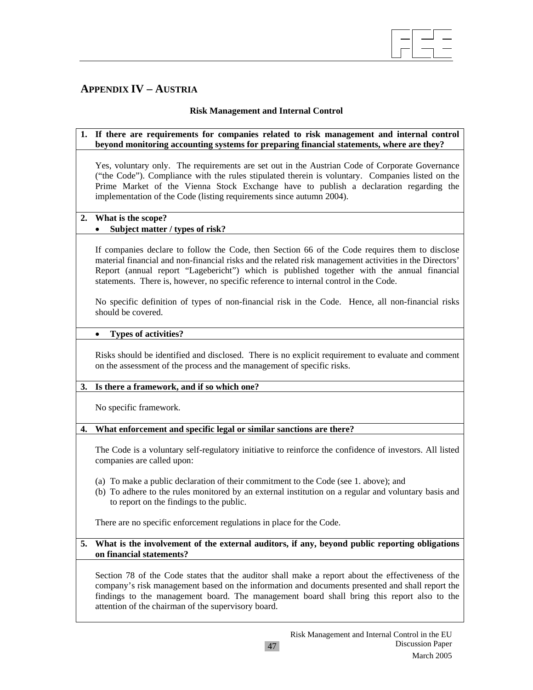

# **APPENDIX IV – AUSTRIA**

# **Risk Management and Internal Control**

### **1. If there are requirements for companies related to risk management and internal control beyond monitoring accounting systems for preparing financial statements, where are they?**

Yes, voluntary only. The requirements are set out in the Austrian Code of Corporate Governance ("the Code"). Compliance with the rules stipulated therein is voluntary. Companies listed on the Prime Market of the Vienna Stock Exchange have to publish a declaration regarding the implementation of the Code (listing requirements since autumn 2004).

### **2. What is the scope?**

# • **Subject matter / types of risk?**

If companies declare to follow the Code, then Section 66 of the Code requires them to disclose material financial and non-financial risks and the related risk management activities in the Directors' Report (annual report "Lagebericht") which is published together with the annual financial statements. There is, however, no specific reference to internal control in the Code.

No specific definition of types of non-financial risk in the Code. Hence, all non-financial risks should be covered.

#### • **Types of activities?**

Risks should be identified and disclosed. There is no explicit requirement to evaluate and comment on the assessment of the process and the management of specific risks.

# **3. Is there a framework, and if so which one?**

No specific framework.

# **4. What enforcement and specific legal or similar sanctions are there?**

The Code is a voluntary self-regulatory initiative to reinforce the confidence of investors. All listed companies are called upon:

- (a) To make a public declaration of their commitment to the Code (see 1. above); and
- (b) To adhere to the rules monitored by an external institution on a regular and voluntary basis and to report on the findings to the public.

There are no specific enforcement regulations in place for the Code.

# **5. What is the involvement of the external auditors, if any, beyond public reporting obligations on financial statements?**

 Section 78 of the Code states that the auditor shall make a report about the effectiveness of the company's risk management based on the information and documents presented and shall report the findings to the management board. The management board shall bring this report also to the attention of the chairman of the supervisory board.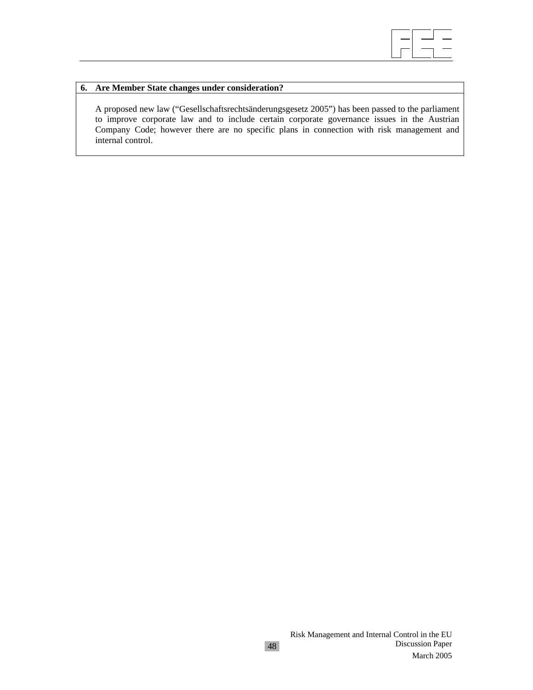

### **6. Are Member State changes under consideration?**

 A proposed new law ("Gesellschaftsrechtsänderungsgesetz 2005") has been passed to the parliament to improve corporate law and to include certain corporate governance issues in the Austrian Company Code; however there are no specific plans in connection with risk management and internal control.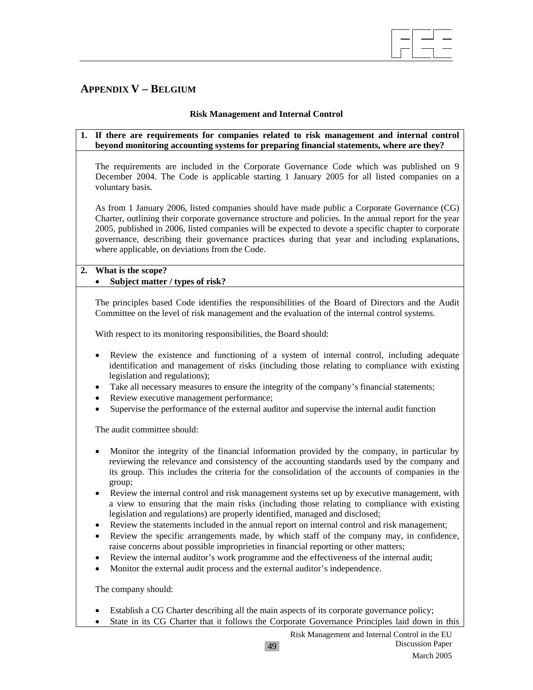

# **APPENDIX V – BELGIUM**

# **Risk Management and Internal Control**

### **1. If there are requirements for companies related to risk management and internal control beyond monitoring accounting systems for preparing financial statements, where are they?**

The requirements are included in the Corporate Governance Code which was published on 9 December 2004. The Code is applicable starting 1 January 2005 for all listed companies on a voluntary basis.

As from 1 January 2006, listed companies should have made public a Corporate Governance (CG) Charter, outlining their corporate governance structure and policies. In the annual report for the year 2005, published in 2006, listed companies will be expected to devote a specific chapter to corporate governance, describing their governance practices during that year and including explanations, where applicable, on deviations from the Code.

# **2. What is the scope?**

# • **Subject matter / types of risk?**

The principles based Code identifies the responsibilities of the Board of Directors and the Audit Committee on the level of risk management and the evaluation of the internal control systems.

With respect to its monitoring responsibilities, the Board should:

- Review the existence and functioning of a system of internal control, including adequate identification and management of risks (including those relating to compliance with existing legislation and regulations);
- Take all necessary measures to ensure the integrity of the company's financial statements;
- Review executive management performance;
- Supervise the performance of the external auditor and supervise the internal audit function

The audit committee should:

- Monitor the integrity of the financial information provided by the company, in particular by reviewing the relevance and consistency of the accounting standards used by the company and its group. This includes the criteria for the consolidation of the accounts of companies in the group;
- Review the internal control and risk management systems set up by executive management, with a view to ensuring that the main risks (including those relating to compliance with existing legislation and regulations) are properly identified, managed and disclosed;
- Review the statements included in the annual report on internal control and risk management;
- Review the specific arrangements made, by which staff of the company may, in confidence, raise concerns about possible improprieties in financial reporting or other matters;
- Review the internal auditor's work programme and the effectiveness of the internal audit;
- Monitor the external audit process and the external auditor's independence.

The company should:

- Establish a CG Charter describing all the main aspects of its corporate governance policy;
- State in its CG Charter that it follows the Corporate Governance Principles laid down in this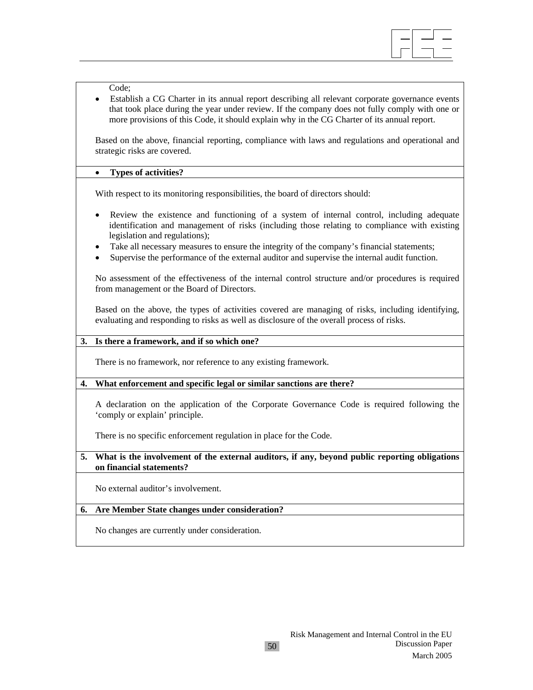

#### Code;

• Establish a CG Charter in its annual report describing all relevant corporate governance events that took place during the year under review. If the company does not fully comply with one or more provisions of this Code, it should explain why in the CG Charter of its annual report.

Based on the above, financial reporting, compliance with laws and regulations and operational and strategic risks are covered.

#### • **Types of activities?**

With respect to its monitoring responsibilities, the board of directors should:

- Review the existence and functioning of a system of internal control, including adequate identification and management of risks (including those relating to compliance with existing legislation and regulations);
- Take all necessary measures to ensure the integrity of the company's financial statements;
- Supervise the performance of the external auditor and supervise the internal audit function.

No assessment of the effectiveness of the internal control structure and/or procedures is required from management or the Board of Directors.

Based on the above, the types of activities covered are managing of risks, including identifying, evaluating and responding to risks as well as disclosure of the overall process of risks.

#### **3. Is there a framework, and if so which one?**

There is no framework, nor reference to any existing framework.

#### **4. What enforcement and specific legal or similar sanctions are there?**

A declaration on the application of the Corporate Governance Code is required following the 'comply or explain' principle.

There is no specific enforcement regulation in place for the Code.

### **5. What is the involvement of the external auditors, if any, beyond public reporting obligations on financial statements?**

No external auditor's involvement.

#### **6. Are Member State changes under consideration?**

No changes are currently under consideration.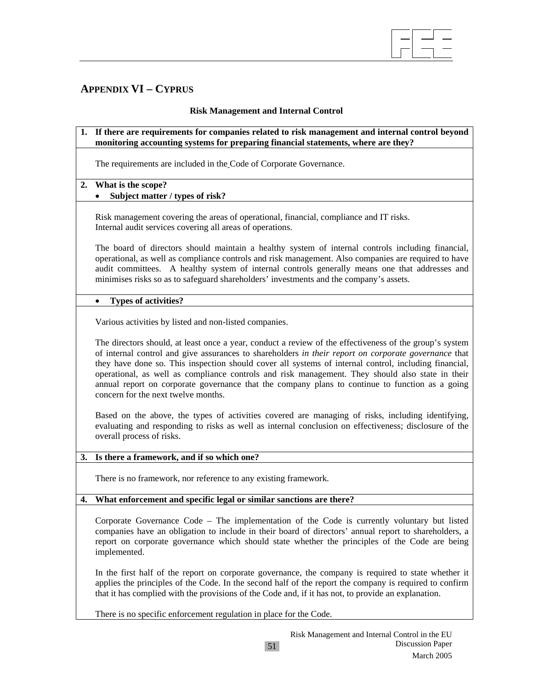

# **APPENDIX VI – CYPRUS**

# **Risk Management and Internal Control**

### **1. If there are requirements for companies related to risk management and internal control beyond monitoring accounting systems for preparing financial statements, where are they?**

The requirements are included in the Code of Corporate Governance.

# **2. What is the scope?**

# • **Subject matter / types of risk?**

Risk management covering the areas of operational, financial, compliance and IT risks. Internal audit services covering all areas of operations.

The board of directors should maintain a healthy system of internal controls including financial, operational, as well as compliance controls and risk management. Also companies are required to have audit committees. A healthy system of internal controls generally means one that addresses and minimises risks so as to safeguard shareholders' investments and the company's assets.

### • **Types of activities?**

Various activities by listed and non-listed companies.

The directors should, at least once a year, conduct a review of the effectiveness of the group's system of internal control and give assurances to shareholders *in their report on corporate governance* that they have done so. This inspection should cover all systems of internal control, including financial, operational, as well as compliance controls and risk management. They should also state in their annual report on corporate governance that the company plans to continue to function as a going concern for the next twelve months.

Based on the above, the types of activities covered are managing of risks, including identifying, evaluating and responding to risks as well as internal conclusion on effectiveness; disclosure of the overall process of risks.

# **3. Is there a framework, and if so which one?**

There is no framework, nor reference to any existing framework.

#### **4. What enforcement and specific legal or similar sanctions are there?**

Corporate Governance Code – The implementation of the Code is currently voluntary but listed companies have an obligation to include in their board of directors' annual report to shareholders, a report on corporate governance which should state whether the principles of the Code are being implemented.

In the first half of the report on corporate governance, the company is required to state whether it applies the principles of the Code. In the second half of the report the company is required to confirm that it has complied with the provisions of the Code and, if it has not, to provide an explanation.

There is no specific enforcement regulation in place for the Code.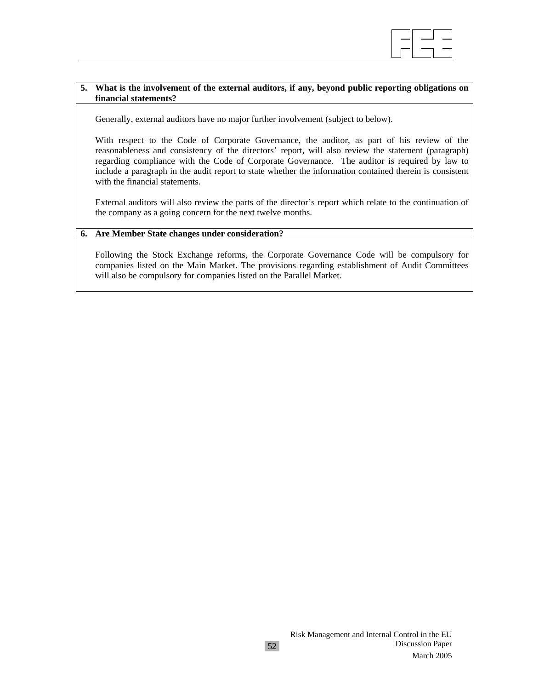

# **5. What is the involvement of the external auditors, if any, beyond public reporting obligations on financial statements?**

Generally, external auditors have no major further involvement (subject to below).

With respect to the Code of Corporate Governance, the auditor, as part of his review of the reasonableness and consistency of the directors' report, will also review the statement (paragraph) regarding compliance with the Code of Corporate Governance. The auditor is required by law to include a paragraph in the audit report to state whether the information contained therein is consistent with the financial statements.

External auditors will also review the parts of the director's report which relate to the continuation of the company as a going concern for the next twelve months.

#### **6. Are Member State changes under consideration?**

Following the Stock Exchange reforms, the Corporate Governance Code will be compulsory for companies listed on the Main Market. The provisions regarding establishment of Audit Committees will also be compulsory for companies listed on the Parallel Market.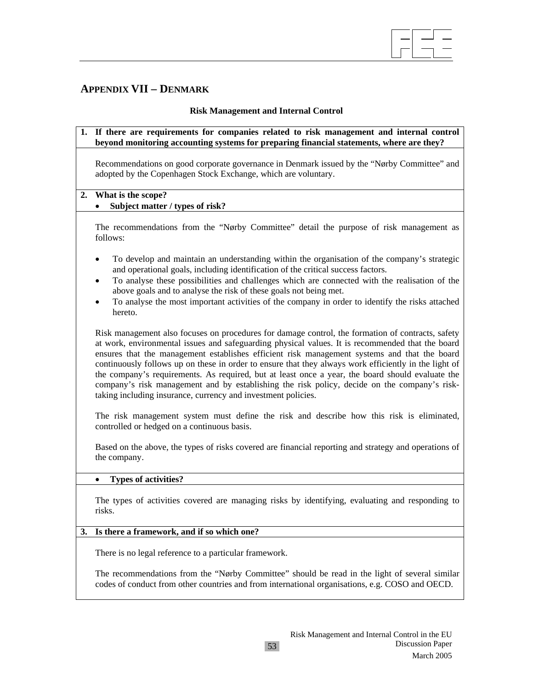

# **APPENDIX VII – DENMARK**

### **Risk Management and Internal Control**

**1. If there are requirements for companies related to risk management and internal control beyond monitoring accounting systems for preparing financial statements, where are they?** 

Recommendations on good corporate governance in Denmark issued by the "Nørby Committee" and adopted by the Copenhagen Stock Exchange, which are voluntary.

#### **2. What is the scope?**

### • **Subject matter / types of risk?**

The recommendations from the "Nørby Committee" detail the purpose of risk management as follows:

- To develop and maintain an understanding within the organisation of the company's strategic and operational goals, including identification of the critical success factors.
- To analyse these possibilities and challenges which are connected with the realisation of the above goals and to analyse the risk of these goals not being met.
- To analyse the most important activities of the company in order to identify the risks attached hereto.

Risk management also focuses on procedures for damage control, the formation of contracts, safety at work, environmental issues and safeguarding physical values. It is recommended that the board ensures that the management establishes efficient risk management systems and that the board continuously follows up on these in order to ensure that they always work efficiently in the light of the company's requirements. As required, but at least once a year, the board should evaluate the company's risk management and by establishing the risk policy, decide on the company's risktaking including insurance, currency and investment policies.

The risk management system must define the risk and describe how this risk is eliminated, controlled or hedged on a continuous basis.

Based on the above, the types of risks covered are financial reporting and strategy and operations of the company.

# • **Types of activities?**

The types of activities covered are managing risks by identifying, evaluating and responding to risks.

#### **3. Is there a framework, and if so which one?**

There is no legal reference to a particular framework.

The recommendations from the "Nørby Committee" should be read in the light of several similar codes of conduct from other countries and from international organisations, e.g. COSO and OECD.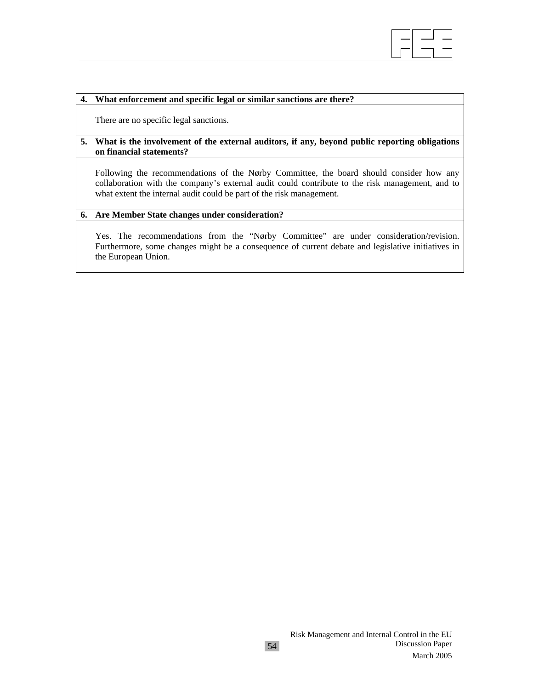#### **4. What enforcement and specific legal or similar sanctions are there?**

There are no specific legal sanctions.

#### **5. What is the involvement of the external auditors, if any, beyond public reporting obligations on financial statements?**

Following the recommendations of the Nørby Committee, the board should consider how any collaboration with the company's external audit could contribute to the risk management, and to what extent the internal audit could be part of the risk management.

 $\overline{\phantom{a}}$ 

#### **6. Are Member State changes under consideration?**

Yes. The recommendations from the "Nørby Committee" are under consideration/revision. Furthermore, some changes might be a consequence of current debate and legislative initiatives in the European Union.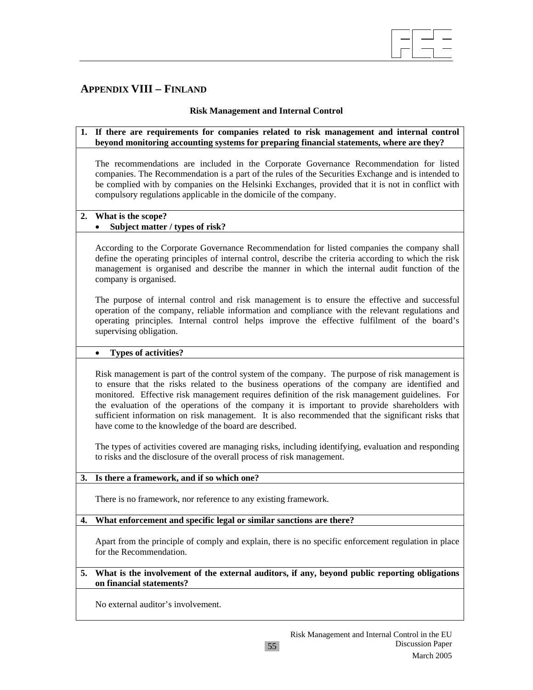

# **APPENDIX VIII – FINLAND**

### **Risk Management and Internal Control**

### **1. If there are requirements for companies related to risk management and internal control beyond monitoring accounting systems for preparing financial statements, where are they?**

The recommendations are included in the Corporate Governance Recommendation for listed companies. The Recommendation is a part of the rules of the Securities Exchange and is intended to be complied with by companies on the Helsinki Exchanges, provided that it is not in conflict with compulsory regulations applicable in the domicile of the company.

### **2. What is the scope?**

# • **Subject matter / types of risk?**

According to the Corporate Governance Recommendation for listed companies the company shall define the operating principles of internal control, describe the criteria according to which the risk management is organised and describe the manner in which the internal audit function of the company is organised.

The purpose of internal control and risk management is to ensure the effective and successful operation of the company, reliable information and compliance with the relevant regulations and operating principles. Internal control helps improve the effective fulfilment of the board's supervising obligation.

#### • **Types of activities?**

Risk management is part of the control system of the company. The purpose of risk management is to ensure that the risks related to the business operations of the company are identified and monitored. Effective risk management requires definition of the risk management guidelines. For the evaluation of the operations of the company it is important to provide shareholders with sufficient information on risk management. It is also recommended that the significant risks that have come to the knowledge of the board are described.

The types of activities covered are managing risks, including identifying, evaluation and responding to risks and the disclosure of the overall process of risk management.

#### **3. Is there a framework, and if so which one?**

There is no framework, nor reference to any existing framework.

#### **4. What enforcement and specific legal or similar sanctions are there?**

Apart from the principle of comply and explain, there is no specific enforcement regulation in place for the Recommendation.

#### **5. What is the involvement of the external auditors, if any, beyond public reporting obligations on financial statements?**

No external auditor's involvement.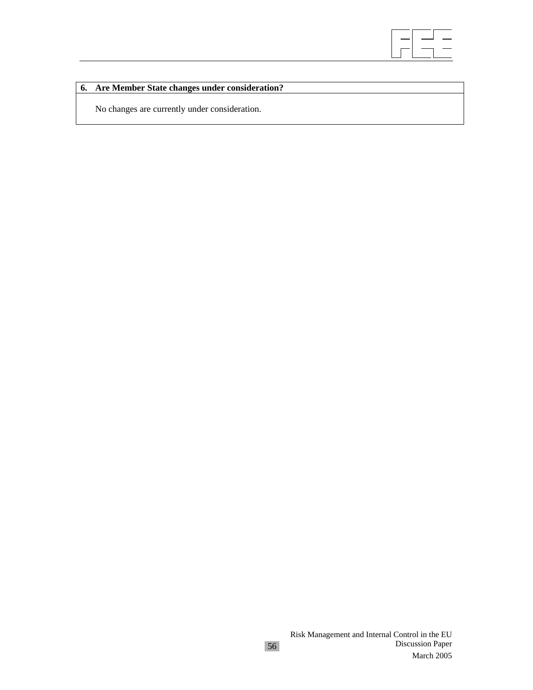

# **6. Are Member State changes under consideration?**

No changes are currently under consideration.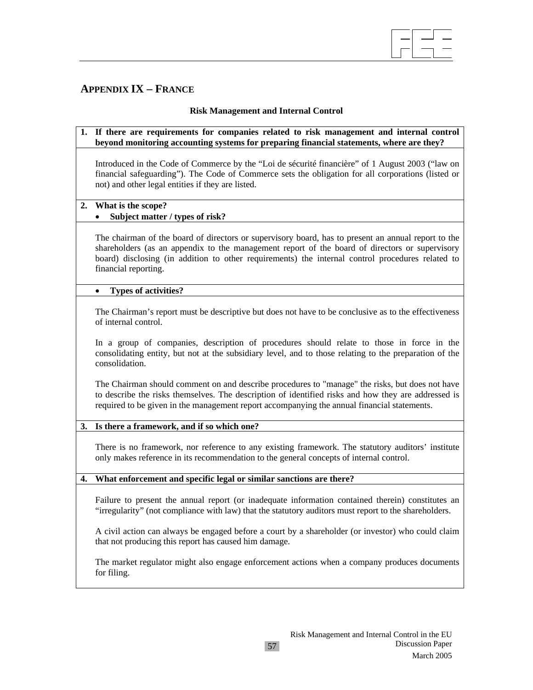

# **APPENDIX IX – FRANCE**

# **Risk Management and Internal Control**

| 1. If there are requirements for companies related to risk management and internal control<br>beyond monitoring accounting systems for preparing financial statements, where are they? |
|----------------------------------------------------------------------------------------------------------------------------------------------------------------------------------------|
| Introduced in the Code of Commerce by the "Loi de sécurité financière" of 1 August 2003 ("law on                                                                                       |

Introduced in the Code of Commerce by the "Loi de sécurité financière" of 1 August 2003 ("law on financial safeguarding"). The Code of Commerce sets the obligation for all corporations (listed or not) and other legal entities if they are listed.

### **2. What is the scope?**

# • **Subject matter / types of risk?**

The chairman of the board of directors or supervisory board, has to present an annual report to the shareholders (as an appendix to the management report of the board of directors or supervisory board) disclosing (in addition to other requirements) the internal control procedures related to financial reporting.

### • **Types of activities?**

The Chairman's report must be descriptive but does not have to be conclusive as to the effectiveness of internal control.

In a group of companies, description of procedures should relate to those in force in the consolidating entity, but not at the subsidiary level, and to those relating to the preparation of the consolidation.

The Chairman should comment on and describe procedures to "manage" the risks, but does not have to describe the risks themselves. The description of identified risks and how they are addressed is required to be given in the management report accompanying the annual financial statements.

# **3. Is there a framework, and if so which one?**

There is no framework, nor reference to any existing framework. The statutory auditors' institute only makes reference in its recommendation to the general concepts of internal control.

# **4. What enforcement and specific legal or similar sanctions are there?**

Failure to present the annual report (or inadequate information contained therein) constitutes an "irregularity" (not compliance with law) that the statutory auditors must report to the shareholders.

A civil action can always be engaged before a court by a shareholder (or investor) who could claim that not producing this report has caused him damage.

The market regulator might also engage enforcement actions when a company produces documents for filing.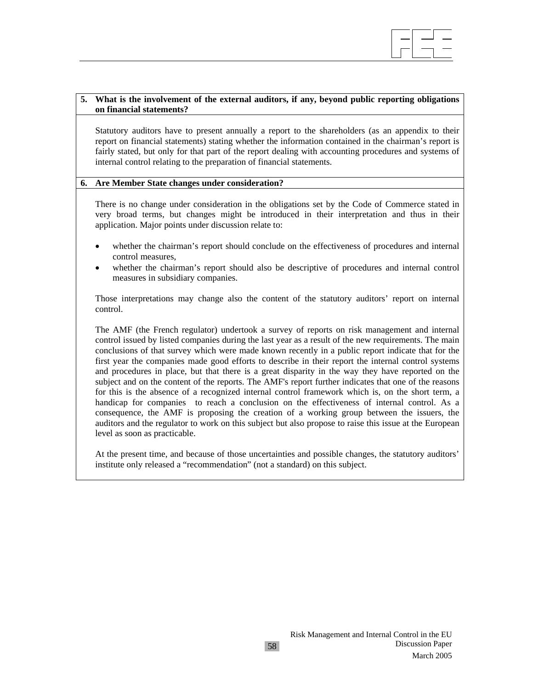

#### **5. What is the involvement of the external auditors, if any, beyond public reporting obligations on financial statements?**

Statutory auditors have to present annually a report to the shareholders (as an appendix to their report on financial statements) stating whether the information contained in the chairman's report is fairly stated, but only for that part of the report dealing with accounting procedures and systems of internal control relating to the preparation of financial statements.

#### **6. Are Member State changes under consideration?**

There is no change under consideration in the obligations set by the Code of Commerce stated in very broad terms, but changes might be introduced in their interpretation and thus in their application. Major points under discussion relate to:

- whether the chairman's report should conclude on the effectiveness of procedures and internal control measures,
- whether the chairman's report should also be descriptive of procedures and internal control measures in subsidiary companies.

Those interpretations may change also the content of the statutory auditors' report on internal control.

The AMF (the French regulator) undertook a survey of reports on risk management and internal control issued by listed companies during the last year as a result of the new requirements. The main conclusions of that survey which were made known recently in a public report indicate that for the first year the companies made good efforts to describe in their report the internal control systems and procedures in place, but that there is a great disparity in the way they have reported on the subject and on the content of the reports. The AMF's report further indicates that one of the reasons for this is the absence of a recognized internal control framework which is, on the short term, a handicap for companies to reach a conclusion on the effectiveness of internal control. As a consequence, the AMF is proposing the creation of a working group between the issuers, the auditors and the regulator to work on this subject but also propose to raise this issue at the European level as soon as practicable.

At the present time, and because of those uncertainties and possible changes, the statutory auditors' institute only released a "recommendation" (not a standard) on this subject.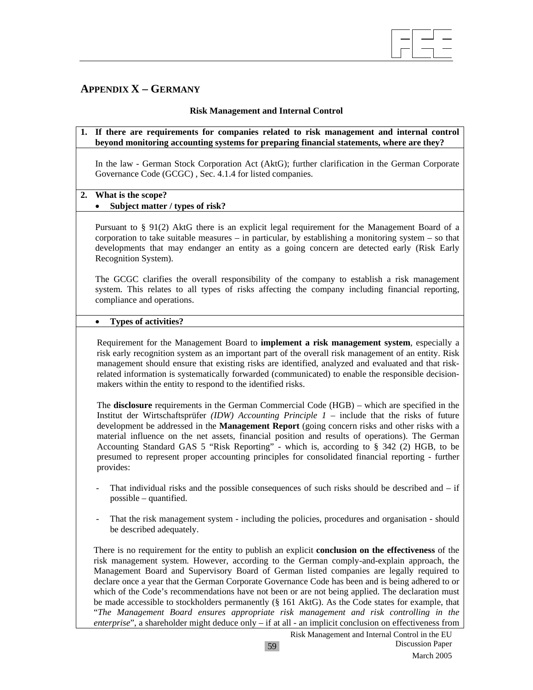

# **APPENDIX X – GERMANY**

### **Risk Management and Internal Control**

#### **1. If there are requirements for companies related to risk management and internal control beyond monitoring accounting systems for preparing financial statements, where are they?**

In the law - German Stock Corporation Act (AktG); further clarification in the German Corporate Governance Code (GCGC) , Sec. 4.1.4 for listed companies.

### **2. What is the scope?**

# • **Subject matter / types of risk?**

Pursuant to § 91(2) AktG there is an explicit legal requirement for the Management Board of a corporation to take suitable measures – in particular, by establishing a monitoring system – so that developments that may endanger an entity as a going concern are detected early (Risk Early Recognition System).

The GCGC clarifies the overall responsibility of the company to establish a risk management system. This relates to all types of risks affecting the company including financial reporting, compliance and operations.

#### • **Types of activities?**

Requirement for the Management Board to **implement a risk management system**, especially a risk early recognition system as an important part of the overall risk management of an entity. Risk management should ensure that existing risks are identified, analyzed and evaluated and that riskrelated information is systematically forwarded (communicated) to enable the responsible decisionmakers within the entity to respond to the identified risks.

The **disclosure** requirements in the German Commercial Code (HGB) – which are specified in the Institut der Wirtschaftsprüfer *(IDW) Accounting Principle 1* – include that the risks of future development be addressed in the **Management Report** (going concern risks and other risks with a material influence on the net assets, financial position and results of operations). The German Accounting Standard GAS 5 "Risk Reporting" - which is, according to § 342 (2) HGB, to be presumed to represent proper accounting principles for consolidated financial reporting - further provides:

- That individual risks and the possible consequences of such risks should be described and  $-$  if possible – quantified.
- That the risk management system including the policies, procedures and organisation should be described adequately.

There is no requirement for the entity to publish an explicit **conclusion on the effectiveness** of the risk management system. However, according to the German comply-and-explain approach, the Management Board and Supervisory Board of German listed companies are legally required to declare once a year that the German Corporate Governance Code has been and is being adhered to or which of the Code's recommendations have not been or are not being applied. The declaration must be made accessible to stockholders permanently (§ 161 AktG). As the Code states for example, that "*The Management Board ensures appropriate risk management and risk controlling in the enterprise*", a shareholder might deduce only – if at all - an implicit conclusion on effectiveness from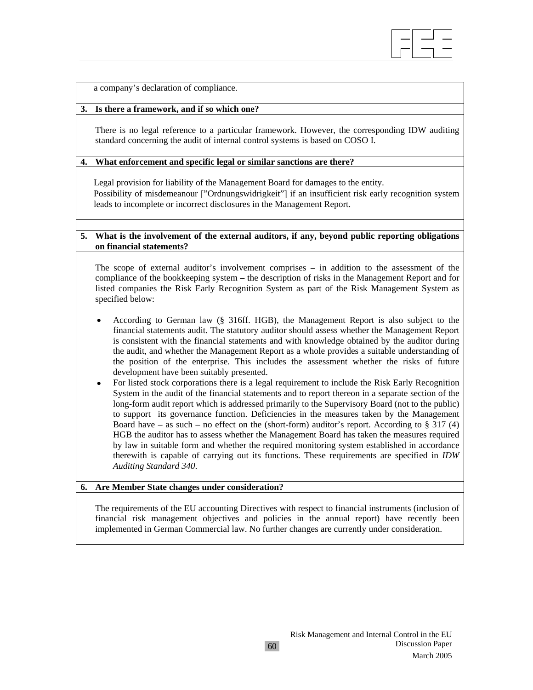

a company's declaration of compliance.

#### **3. Is there a framework, and if so which one?**

There is no legal reference to a particular framework. However, the corresponding IDW auditing standard concerning the audit of internal control systems is based on COSO I.

#### **4. What enforcement and specific legal or similar sanctions are there?**

Legal provision for liability of the Management Board for damages to the entity. Possibility of misdemeanour ["Ordnungswidrigkeit"] if an insufficient risk early recognition system leads to incomplete or incorrect disclosures in the Management Report.

#### **5. What is the involvement of the external auditors, if any, beyond public reporting obligations on financial statements?**

The scope of external auditor's involvement comprises – in addition to the assessment of the compliance of the bookkeeping system – the description of risks in the Management Report and for listed companies the Risk Early Recognition System as part of the Risk Management System as specified below:

- According to German law (§ 316ff. HGB), the Management Report is also subject to the financial statements audit. The statutory auditor should assess whether the Management Report is consistent with the financial statements and with knowledge obtained by the auditor during the audit, and whether the Management Report as a whole provides a suitable understanding of the position of the enterprise. This includes the assessment whether the risks of future development have been suitably presented.
- For listed stock corporations there is a legal requirement to include the Risk Early Recognition System in the audit of the financial statements and to report thereon in a separate section of the long-form audit report which is addressed primarily to the Supervisory Board (not to the public) to support its governance function. Deficiencies in the measures taken by the Management Board have – as such – no effect on the (short-form) auditor's report. According to  $\S 317 (4)$ HGB the auditor has to assess whether the Management Board has taken the measures required by law in suitable form and whether the required monitoring system established in accordance therewith is capable of carrying out its functions. These requirements are specified in *IDW Auditing Standard 340*.

#### **6. Are Member State changes under consideration?**

The requirements of the EU accounting Directives with respect to financial instruments (inclusion of financial risk management objectives and policies in the annual report) have recently been implemented in German Commercial law. No further changes are currently under consideration.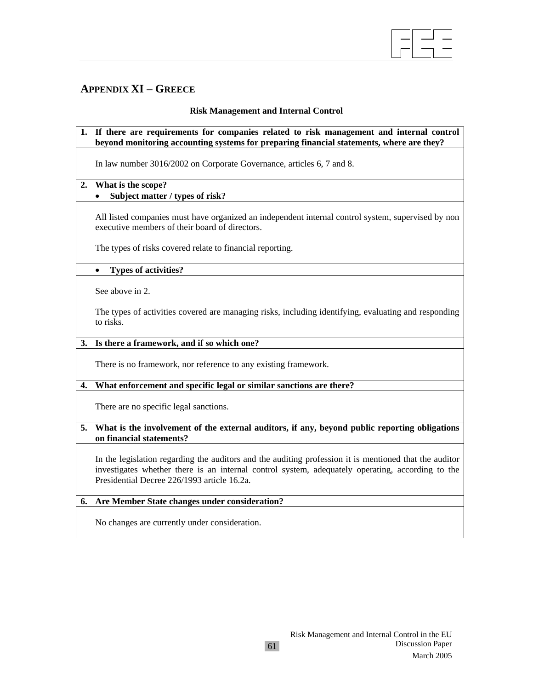

# **APPENDIX XI – GREECE**

# **Risk Management and Internal Control**

### **1. If there are requirements for companies related to risk management and internal control beyond monitoring accounting systems for preparing financial statements, where are they?**

In law number 3016/2002 on Corporate Governance, articles 6, 7 and 8.

# **2. What is the scope?**

# • **Subject matter / types of risk?**

All listed companies must have organized an independent internal control system, supervised by non executive members of their board of directors.

The types of risks covered relate to financial reporting.

### • **Types of activities?**

See above in 2.

The types of activities covered are managing risks, including identifying, evaluating and responding to risks.

#### **3. Is there a framework, and if so which one?**

There is no framework, nor reference to any existing framework.

# **4. What enforcement and specific legal or similar sanctions are there?**

There are no specific legal sanctions.

### **5. What is the involvement of the external auditors, if any, beyond public reporting obligations on financial statements?**

In the legislation regarding the auditors and the auditing profession it is mentioned that the auditor investigates whether there is an internal control system, adequately operating, according to the Presidential Decree 226/1993 article 16.2a.

# **6. Are Member State changes under consideration?**

No changes are currently under consideration.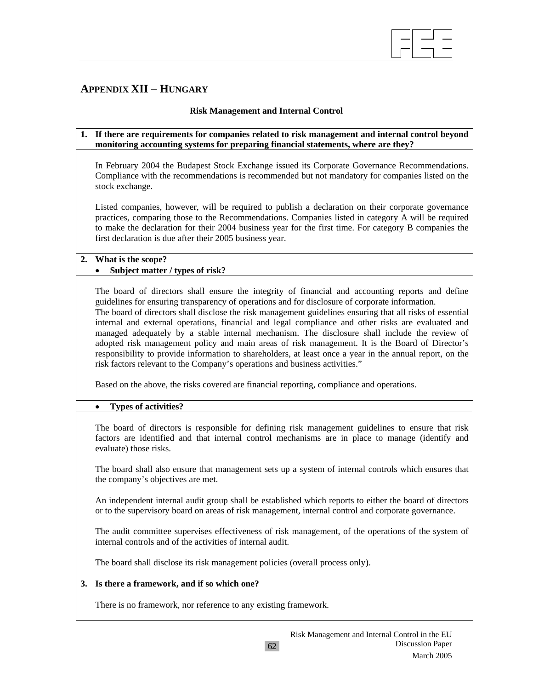

# **APPENDIX XII – HUNGARY**

# **Risk Management and Internal Control**

### **1. If there are requirements for companies related to risk management and internal control beyond monitoring accounting systems for preparing financial statements, where are they?**

In February 2004 the Budapest Stock Exchange issued its Corporate Governance Recommendations. Compliance with the recommendations is recommended but not mandatory for companies listed on the stock exchange.

Listed companies, however, will be required to publish a declaration on their corporate governance practices, comparing those to the Recommendations. Companies listed in category A will be required to make the declaration for their 2004 business year for the first time. For category B companies the first declaration is due after their 2005 business year.

### **2. What is the scope?**  • **Subject matter / types of risk?**

The board of directors shall ensure the integrity of financial and accounting reports and define guidelines for ensuring transparency of operations and for disclosure of corporate information.

The board of directors shall disclose the risk management guidelines ensuring that all risks of essential internal and external operations, financial and legal compliance and other risks are evaluated and managed adequately by a stable internal mechanism. The disclosure shall include the review of adopted risk management policy and main areas of risk management. It is the Board of Director's responsibility to provide information to shareholders, at least once a year in the annual report, on the risk factors relevant to the Company's operations and business activities."

Based on the above, the risks covered are financial reporting, compliance and operations.

# • **Types of activities?**

The board of directors is responsible for defining risk management guidelines to ensure that risk factors are identified and that internal control mechanisms are in place to manage (identify and evaluate) those risks.

The board shall also ensure that management sets up a system of internal controls which ensures that the company's objectives are met.

An independent internal audit group shall be established which reports to either the board of directors or to the supervisory board on areas of risk management, internal control and corporate governance.

The audit committee supervises effectiveness of risk management, of the operations of the system of internal controls and of the activities of internal audit.

The board shall disclose its risk management policies (overall process only).

#### **3. Is there a framework, and if so which one?**

There is no framework, nor reference to any existing framework.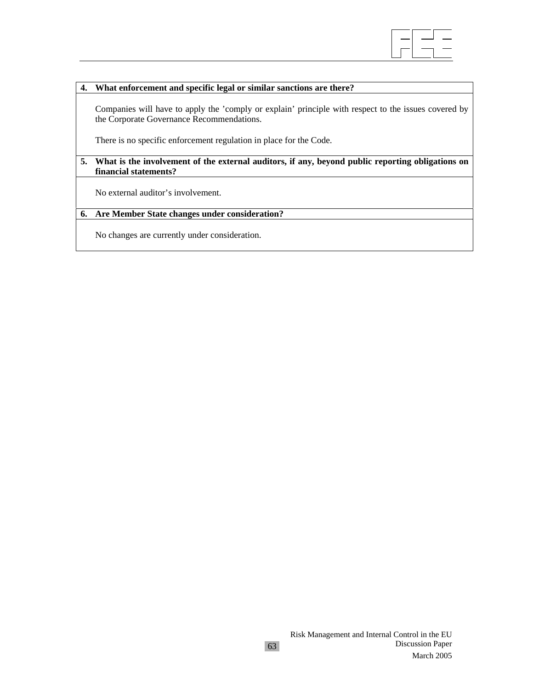

### **4. What enforcement and specific legal or similar sanctions are there?**

Companies will have to apply the 'comply or explain' principle with respect to the issues covered by the Corporate Governance Recommendations.

There is no specific enforcement regulation in place for the Code.

#### **5. What is the involvement of the external auditors, if any, beyond public reporting obligations on financial statements?**

No external auditor's involvement.

#### **6. Are Member State changes under consideration?**

No changes are currently under consideration.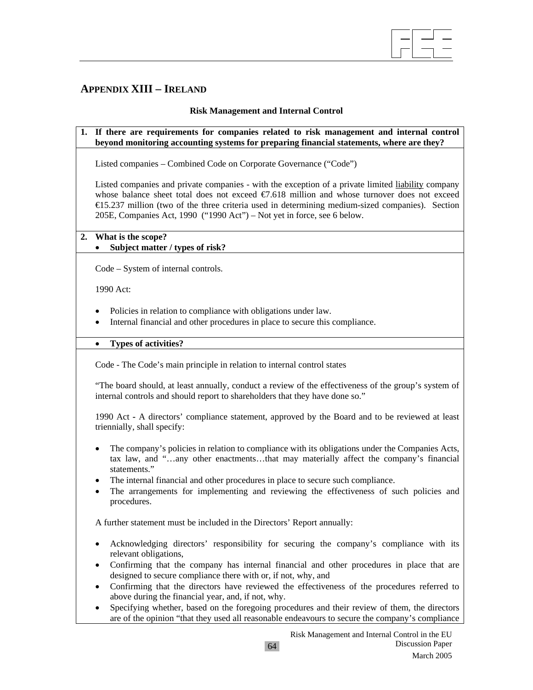

# **APPENDIX XIII – IRELAND**

# **Risk Management and Internal Control**

### **1. If there are requirements for companies related to risk management and internal control beyond monitoring accounting systems for preparing financial statements, where are they?**

Listed companies – Combined Code on Corporate Governance ("Code")

Listed companies and private companies - with the exception of a private limited liability company whose balance sheet total does not exceed  $\epsilon$ 7.618 million and whose turnover does not exceed €15.237 million (two of the three criteria used in determining medium-sized companies). Section 205E, Companies Act, 1990 ("1990 Act") – Not yet in force, see 6 below.

# **2. What is the scope?**

# • **Subject matter / types of risk?**

Code – System of internal controls.

1990 Act:

- Policies in relation to compliance with obligations under law.
- Internal financial and other procedures in place to secure this compliance.

• **Types of activities?** 

Code - The Code's main principle in relation to internal control states

"The board should, at least annually, conduct a review of the effectiveness of the group's system of internal controls and should report to shareholders that they have done so."

1990 Act **-** A directors' compliance statement, approved by the Board and to be reviewed at least triennially, shall specify:

- The company's policies in relation to compliance with its obligations under the Companies Acts, tax law, and "…any other enactments…that may materially affect the company's financial statements."
- The internal financial and other procedures in place to secure such compliance.
- The arrangements for implementing and reviewing the effectiveness of such policies and procedures.

A further statement must be included in the Directors' Report annually:

- Acknowledging directors' responsibility for securing the company's compliance with its relevant obligations,
- Confirming that the company has internal financial and other procedures in place that are designed to secure compliance there with or, if not, why, and
- Confirming that the directors have reviewed the effectiveness of the procedures referred to above during the financial year, and, if not, why.
- Specifying whether, based on the foregoing procedures and their review of them, the directors are of the opinion "that they used all reasonable endeavours to secure the company's compliance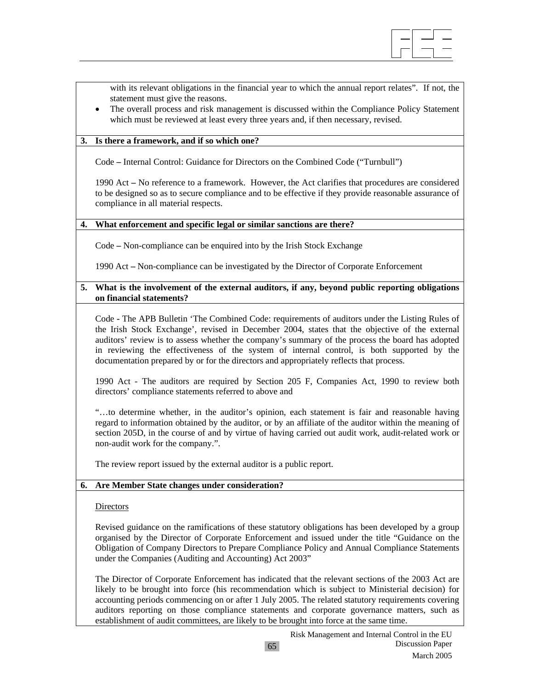

with its relevant obligations in the financial year to which the annual report relates". If not, the statement must give the reasons.

• The overall process and risk management is discussed within the Compliance Policy Statement which must be reviewed at least every three years and, if then necessary, revised.

### **3. Is there a framework, and if so which one?**

Code **–** Internal Control: Guidance for Directors on the Combined Code ("Turnbull")

1990 Act **–** No reference to a framework. However, the Act clarifies that procedures are considered to be designed so as to secure compliance and to be effective if they provide reasonable assurance of compliance in all material respects.

#### **4. What enforcement and specific legal or similar sanctions are there?**

Code **–** Non-compliance can be enquired into by the Irish Stock Exchange

1990 Act **–** Non-compliance can be investigated by the Director of Corporate Enforcement

### **5. What is the involvement of the external auditors, if any, beyond public reporting obligations on financial statements?**

Code **-** The APB Bulletin 'The Combined Code: requirements of auditors under the Listing Rules of the Irish Stock Exchange', revised in December 2004, states that the objective of the external auditors' review is to assess whether the company's summary of the process the board has adopted in reviewing the effectiveness of the system of internal control, is both supported by the documentation prepared by or for the directors and appropriately reflects that process.

1990 Act - The auditors are required by Section 205 F, Companies Act, 1990 to review both directors' compliance statements referred to above and

"…to determine whether, in the auditor's opinion, each statement is fair and reasonable having regard to information obtained by the auditor, or by an affiliate of the auditor within the meaning of section 205D, in the course of and by virtue of having carried out audit work, audit-related work or non-audit work for the company.".

The review report issued by the external auditor is a public report.

# **6. Are Member State changes under consideration?**

#### **Directors**

Revised guidance on the ramifications of these statutory obligations has been developed by a group organised by the Director of Corporate Enforcement and issued under the title "Guidance on the Obligation of Company Directors to Prepare Compliance Policy and Annual Compliance Statements under the Companies (Auditing and Accounting) Act 2003"

The Director of Corporate Enforcement has indicated that the relevant sections of the 2003 Act are likely to be brought into force (his recommendation which is subject to Ministerial decision) for accounting periods commencing on or after 1 July 2005. The related statutory requirements covering auditors reporting on those compliance statements and corporate governance matters, such as establishment of audit committees, are likely to be brought into force at the same time.

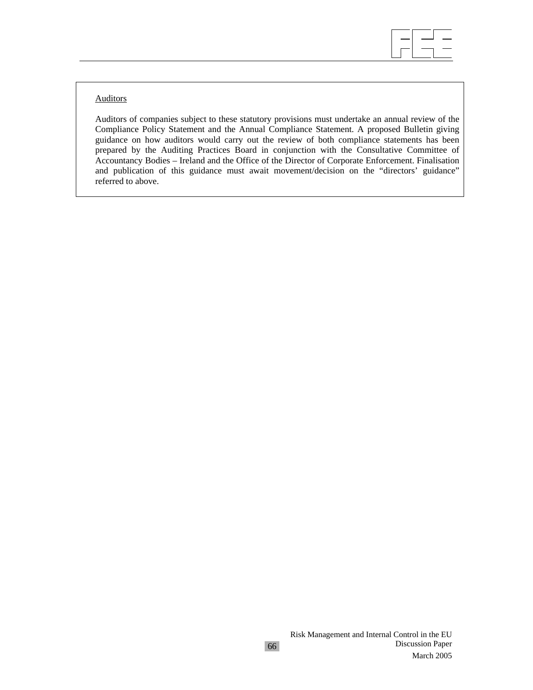

# **Auditors**

Auditors of companies subject to these statutory provisions must undertake an annual review of the Compliance Policy Statement and the Annual Compliance Statement. A proposed Bulletin giving guidance on how auditors would carry out the review of both compliance statements has been prepared by the Auditing Practices Board in conjunction with the Consultative Committee of Accountancy Bodies – Ireland and the Office of the Director of Corporate Enforcement. Finalisation and publication of this guidance must await movement/decision on the "directors' guidance" referred to above.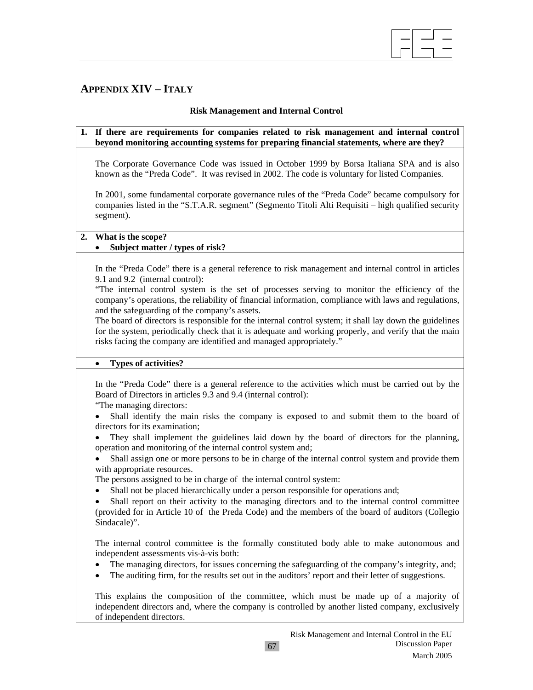

# **APPENDIX XIV – ITALY**

# **Risk Management and Internal Control**

### **1. If there are requirements for companies related to risk management and internal control beyond monitoring accounting systems for preparing financial statements, where are they?**

The Corporate Governance Code was issued in October 1999 by Borsa Italiana SPA and is also known as the "Preda Code". It was revised in 2002. The code is voluntary for listed Companies.

In 2001, some fundamental corporate governance rules of the "Preda Code" became compulsory for companies listed in the "S.T.A.R. segment" (Segmento Titoli Alti Requisiti – high qualified security segment).

### **2. What is the scope?**

# • **Subject matter / types of risk?**

In the "Preda Code" there is a general reference to risk management and internal control in articles 9.1 and 9.2 (internal control):

"The internal control system is the set of processes serving to monitor the efficiency of the company's operations, the reliability of financial information, compliance with laws and regulations, and the safeguarding of the company's assets.

The board of directors is responsible for the internal control system; it shall lay down the guidelines for the system, periodically check that it is adequate and working properly, and verify that the main risks facing the company are identified and managed appropriately."

#### • **Types of activities?**

In the "Preda Code" there is a general reference to the activities which must be carried out by the Board of Directors in articles 9.3 and 9.4 (internal control):

"The managing directors:

• Shall identify the main risks the company is exposed to and submit them to the board of directors for its examination;

• They shall implement the guidelines laid down by the board of directors for the planning, operation and monitoring of the internal control system and;

• Shall assign one or more persons to be in charge of the internal control system and provide them with appropriate resources.

The persons assigned to be in charge of the internal control system:

Shall not be placed hierarchically under a person responsible for operations and;

• Shall report on their activity to the managing directors and to the internal control committee (provided for in Article 10 of the Preda Code) and the members of the board of auditors (Collegio Sindacale)".

The internal control committee is the formally constituted body able to make autonomous and independent assessments vis-à-vis both:

- The managing directors, for issues concerning the safeguarding of the company's integrity, and;
- The auditing firm, for the results set out in the auditors' report and their letter of suggestions.

This explains the composition of the committee, which must be made up of a majority of independent directors and, where the company is controlled by another listed company, exclusively of independent directors.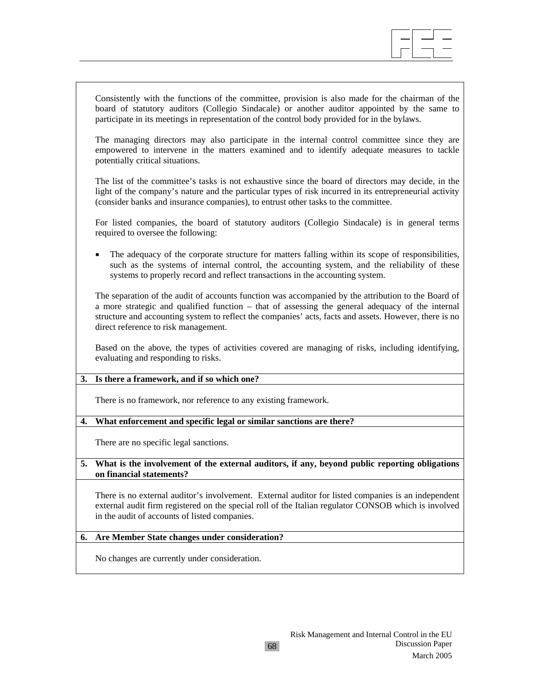

Consistently with the functions of the committee, provision is also made for the chairman of the board of statutory auditors (Collegio Sindacale) or another auditor appointed by the same to participate in its meetings in representation of the control body provided for in the bylaws.

The managing directors may also participate in the internal control committee since they are empowered to intervene in the matters examined and to identify adequate measures to tackle potentially critical situations.

The list of the committee's tasks is not exhaustive since the board of directors may decide, in the light of the company's nature and the particular types of risk incurred in its entrepreneurial activity (consider banks and insurance companies), to entrust other tasks to the committee.

For listed companies, the board of statutory auditors (Collegio Sindacale) is in general terms required to oversee the following:

The adequacy of the corporate structure for matters falling within its scope of responsibilities, such as the systems of internal control, the accounting system, and the reliability of these systems to properly record and reflect transactions in the accounting system.

The separation of the audit of accounts function was accompanied by the attribution to the Board of a more strategic and qualified function – that of assessing the general adequacy of the internal structure and accounting system to reflect the companies' acts, facts and assets. However, there is no direct reference to risk management.

Based on the above, the types of activities covered are managing of risks, including identifying, evaluating and responding to risks.

#### **3. Is there a framework, and if so which one?**

There is no framework, nor reference to any existing framework.

#### **4. What enforcement and specific legal or similar sanctions are there?**

There are no specific legal sanctions.

#### **5. What is the involvement of the external auditors, if any, beyond public reporting obligations on financial statements?**

There is no external auditor's involvement. External auditor for listed companies is an independent external audit firm registered on the special roll of the Italian regulator CONSOB which is involved in the audit of accounts of listed companies.

#### **6. Are Member State changes under consideration?**

No changes are currently under consideration.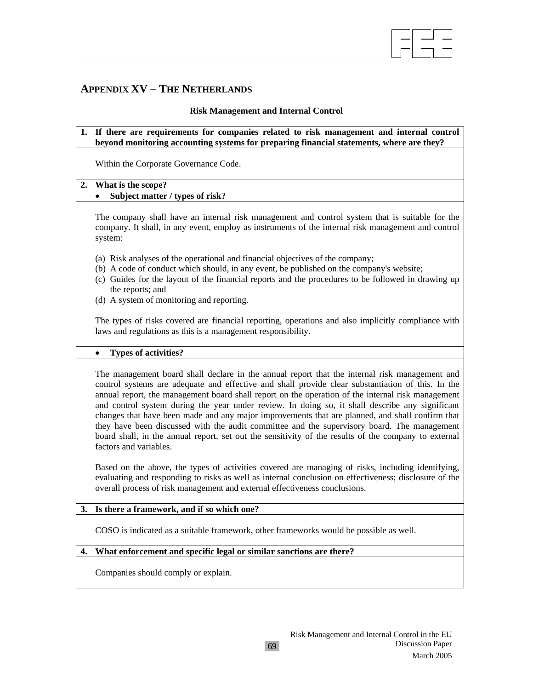

# **APPENDIX XV – THE NETHERLANDS**

#### **Risk Management and Internal Control**

**1. If there are requirements for companies related to risk management and internal control beyond monitoring accounting systems for preparing financial statements, where are they?** 

Within the Corporate Governance Code.

# **2. What is the scope?**

# • **Subject matter / types of risk?**

The company shall have an internal risk management and control system that is suitable for the company. It shall, in any event, employ as instruments of the internal risk management and control system:

- (a) Risk analyses of the operational and financial objectives of the company;
- (b) A code of conduct which should, in any event, be published on the company's website;
- (c) Guides for the layout of the financial reports and the procedures to be followed in drawing up the reports; and
- (d) A system of monitoring and reporting.

The types of risks covered are financial reporting, operations and also implicitly compliance with laws and regulations as this is a management responsibility.

#### • **Types of activities?**

The management board shall declare in the annual report that the internal risk management and control systems are adequate and effective and shall provide clear substantiation of this. In the annual report, the management board shall report on the operation of the internal risk management and control system during the year under review. In doing so, it shall describe any significant changes that have been made and any major improvements that are planned, and shall confirm that they have been discussed with the audit committee and the supervisory board. The management board shall, in the annual report, set out the sensitivity of the results of the company to external factors and variables.

Based on the above, the types of activities covered are managing of risks, including identifying, evaluating and responding to risks as well as internal conclusion on effectiveness; disclosure of the overall process of risk management and external effectiveness conclusions.

#### **3. Is there a framework, and if so which one?**

COSO is indicated as a suitable framework, other frameworks would be possible as well.

### **4. What enforcement and specific legal or similar sanctions are there?**

Companies should comply or explain.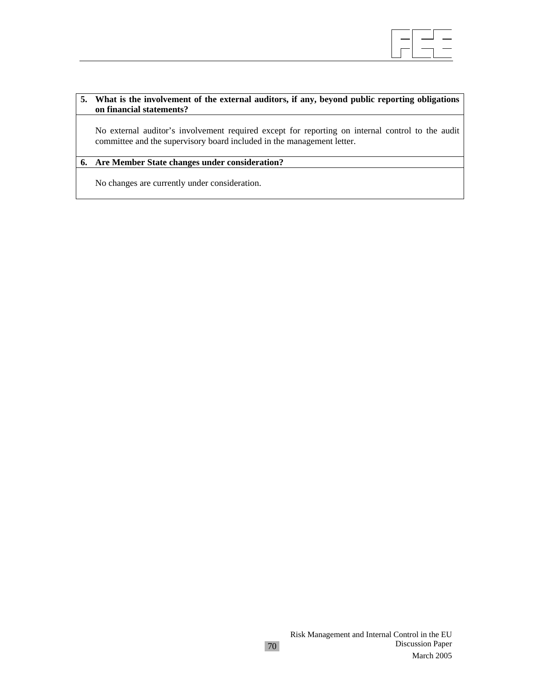

### **5. What is the involvement of the external auditors, if any, beyond public reporting obligations on financial statements?**

No external auditor's involvement required except for reporting on internal control to the audit committee and the supervisory board included in the management letter.

### **6. Are Member State changes under consideration?**

No changes are currently under consideration.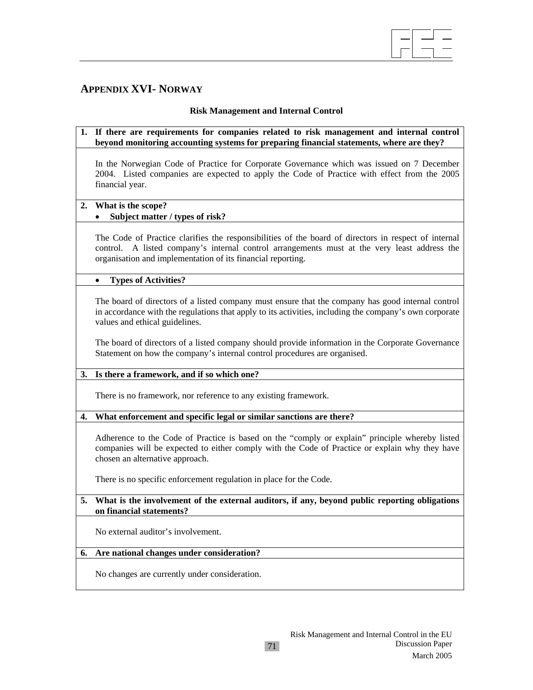

# **APPENDIX XVI- NORWAY**

# **Risk Management and Internal Control**

|    | 1. If there are requirements for companies related to risk management and internal control<br>beyond monitoring accounting systems for preparing financial statements, where are they?                                                                              |
|----|---------------------------------------------------------------------------------------------------------------------------------------------------------------------------------------------------------------------------------------------------------------------|
|    | In the Norwegian Code of Practice for Corporate Governance which was issued on 7 December<br>2004. Listed companies are expected to apply the Code of Practice with effect from the 2005<br>financial year.                                                         |
| 2. | What is the scope?<br>Subject matter / types of risk?                                                                                                                                                                                                               |
|    | The Code of Practice clarifies the responsibilities of the board of directors in respect of internal<br>control. A listed company's internal control arrangements must at the very least address the<br>organisation and implementation of its financial reporting. |
|    | <b>Types of Activities?</b><br>$\bullet$                                                                                                                                                                                                                            |
|    | The board of directors of a listed company must ensure that the company has good internal control<br>in accordance with the regulations that apply to its activities, including the company's own corporate<br>values and ethical guidelines.                       |
|    | The board of directors of a listed company should provide information in the Corporate Governance<br>Statement on how the company's internal control procedures are organised.                                                                                      |
| 3. | Is there a framework, and if so which one?                                                                                                                                                                                                                          |
|    | There is no framework, nor reference to any existing framework.                                                                                                                                                                                                     |
| 4. | What enforcement and specific legal or similar sanctions are there?                                                                                                                                                                                                 |
|    | Adherence to the Code of Practice is based on the "comply or explain" principle whereby listed<br>companies will be expected to either comply with the Code of Practice or explain why they have<br>chosen an alternative approach.                                 |
|    | There is no specific enforcement regulation in place for the Code.                                                                                                                                                                                                  |
| 5. | What is the involvement of the external auditors, if any, beyond public reporting obligations<br>on financial statements?                                                                                                                                           |
|    | No external auditor's involvement.                                                                                                                                                                                                                                  |
| 6. | Are national changes under consideration?                                                                                                                                                                                                                           |
|    | No changes are currently under consideration.                                                                                                                                                                                                                       |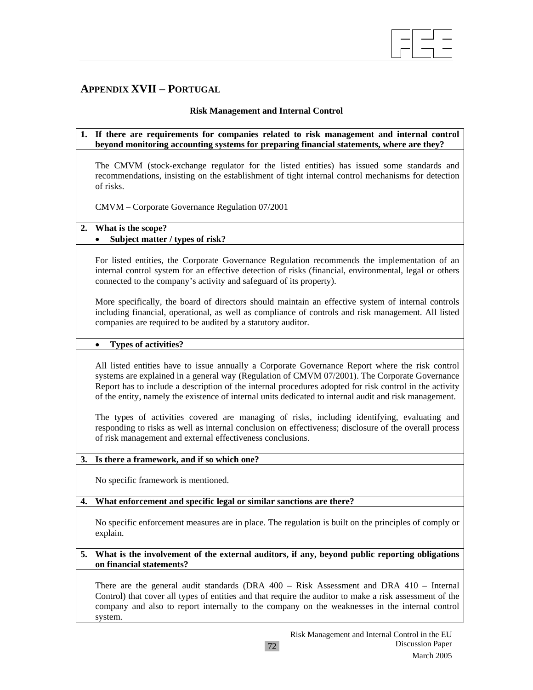

# **APPENDIX XVII – PORTUGAL**

### **Risk Management and Internal Control**

### **1. If there are requirements for companies related to risk management and internal control beyond monitoring accounting systems for preparing financial statements, where are they?**

The CMVM (stock-exchange regulator for the listed entities) has issued some standards and recommendations, insisting on the establishment of tight internal control mechanisms for detection of risks.

CMVM – Corporate Governance Regulation 07/2001

# **2. What is the scope?**

# • **Subject matter / types of risk?**

For listed entities, the Corporate Governance Regulation recommends the implementation of an internal control system for an effective detection of risks (financial, environmental, legal or others connected to the company's activity and safeguard of its property).

More specifically, the board of directors should maintain an effective system of internal controls including financial, operational, as well as compliance of controls and risk management. All listed companies are required to be audited by a statutory auditor.

### • **Types of activities?**

All listed entities have to issue annually a Corporate Governance Report where the risk control systems are explained in a general way (Regulation of CMVM 07/2001). The Corporate Governance Report has to include a description of the internal procedures adopted for risk control in the activity of the entity, namely the existence of internal units dedicated to internal audit and risk management.

The types of activities covered are managing of risks, including identifying, evaluating and responding to risks as well as internal conclusion on effectiveness; disclosure of the overall process of risk management and external effectiveness conclusions.

### **3. Is there a framework, and if so which one?**

No specific framework is mentioned.

#### **4. What enforcement and specific legal or similar sanctions are there?**

No specific enforcement measures are in place. The regulation is built on the principles of comply or explain.

### **5. What is the involvement of the external auditors, if any, beyond public reporting obligations on financial statements?**

There are the general audit standards (DRA 400 – Risk Assessment and DRA 410 – Internal Control) that cover all types of entities and that require the auditor to make a risk assessment of the company and also to report internally to the company on the weaknesses in the internal control system.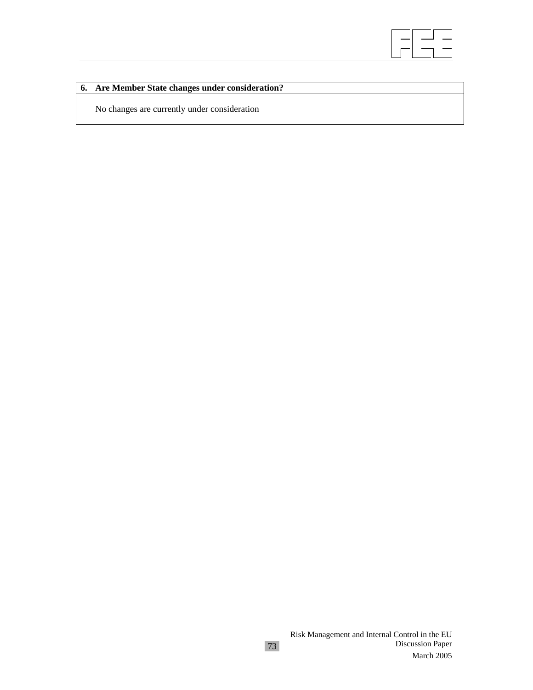

# **6. Are Member State changes under consideration?**

No changes are currently under consideration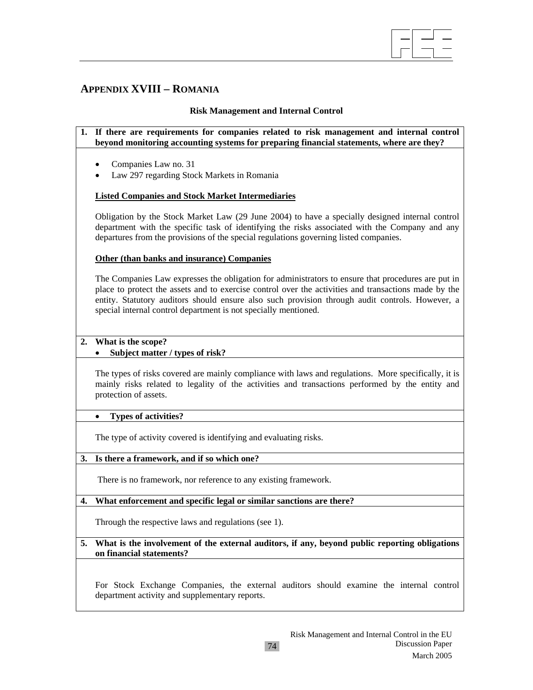

# **APPENDIX XVIII – ROMANIA**

### **Risk Management and Internal Control**

- **1. If there are requirements for companies related to risk management and internal control beyond monitoring accounting systems for preparing financial statements, where are they?** 
	- Companies Law no. 31
	- Law 297 regarding Stock Markets in Romania

### **Listed Companies and Stock Market Intermediaries**

Obligation by the Stock Market Law (29 June 2004) to have a specially designed internal control department with the specific task of identifying the risks associated with the Company and any departures from the provisions of the special regulations governing listed companies.

#### **Other (than banks and insurance) Companies**

The Companies Law expresses the obligation for administrators to ensure that procedures are put in place to protect the assets and to exercise control over the activities and transactions made by the entity. Statutory auditors should ensure also such provision through audit controls. However, a special internal control department is not specially mentioned.

#### **2. What is the scope?**

# • **Subject matter / types of risk?**

The types of risks covered are mainly compliance with laws and regulations. More specifically, it is mainly risks related to legality of the activities and transactions performed by the entity and protection of assets.

#### • **Types of activities?**

The type of activity covered is identifying and evaluating risks.

#### **3. Is there a framework, and if so which one?**

There is no framework, nor reference to any existing framework.

# **4. What enforcement and specific legal or similar sanctions are there?**

Through the respective laws and regulations (see 1).

**5. What is the involvement of the external auditors, if any, beyond public reporting obligations on financial statements?** 

For Stock Exchange Companies, the external auditors should examine the internal control department activity and supplementary reports.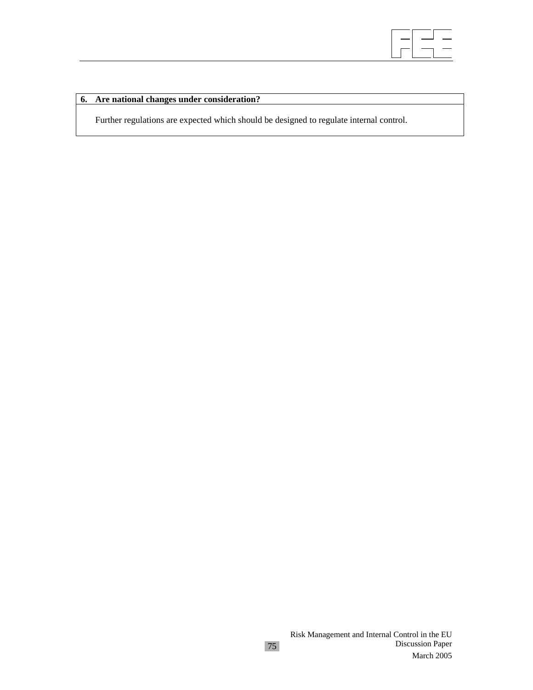

# **6. Are national changes under consideration?**

Further regulations are expected which should be designed to regulate internal control.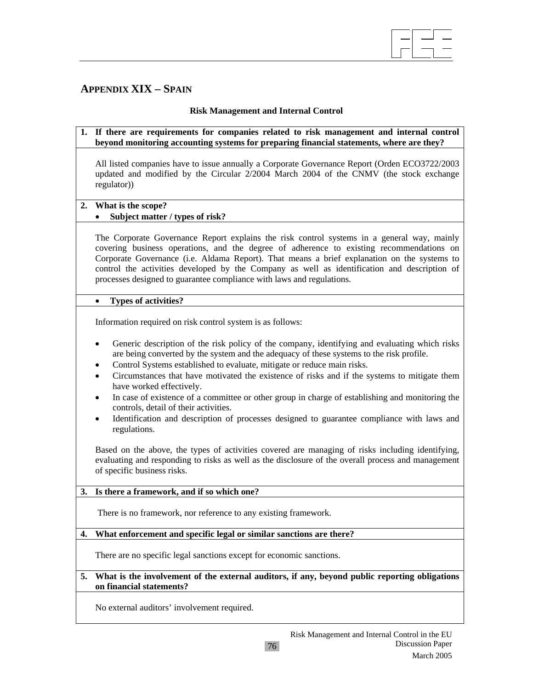

# **APPENDIX XIX – SPAIN**

## **Risk Management and Internal Control**

**1. If there are requirements for companies related to risk management and internal control beyond monitoring accounting systems for preparing financial statements, where are they?** 

All listed companies have to issue annually a Corporate Governance Report (Orden ECO3722/2003 updated and modified by the Circular 2/2004 March 2004 of the CNMV (the stock exchange regulator))

### **2. What is the scope?**

# • **Subject matter / types of risk?**

The Corporate Governance Report explains the risk control systems in a general way, mainly covering business operations, and the degree of adherence to existing recommendations on Corporate Governance (i.e. Aldama Report). That means a brief explanation on the systems to control the activities developed by the Company as well as identification and description of processes designed to guarantee compliance with laws and regulations.

### • **Types of activities?**

Information required on risk control system is as follows:

- Generic description of the risk policy of the company, identifying and evaluating which risks are being converted by the system and the adequacy of these systems to the risk profile.
- Control Systems established to evaluate, mitigate or reduce main risks.
- Circumstances that have motivated the existence of risks and if the systems to mitigate them have worked effectively.
- In case of existence of a committee or other group in charge of establishing and monitoring the controls, detail of their activities.
- Identification and description of processes designed to guarantee compliance with laws and regulations.

Based on the above, the types of activities covered are managing of risks including identifying, evaluating and responding to risks as well as the disclosure of the overall process and management of specific business risks.

# **3. Is there a framework, and if so which one?**

There is no framework, nor reference to any existing framework.

# **4. What enforcement and specific legal or similar sanctions are there?**

There are no specific legal sanctions except for economic sanctions.

#### **5. What is the involvement of the external auditors, if any, beyond public reporting obligations on financial statements?**

76

No external auditors' involvement required.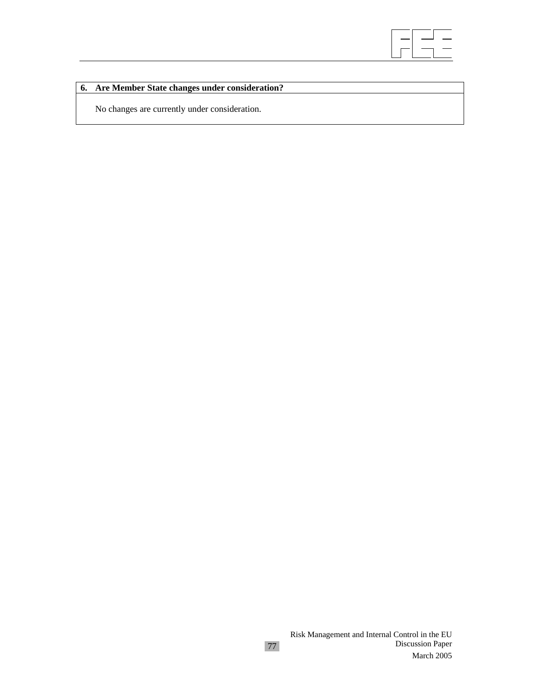

# **6. Are Member State changes under consideration?**

No changes are currently under consideration.

77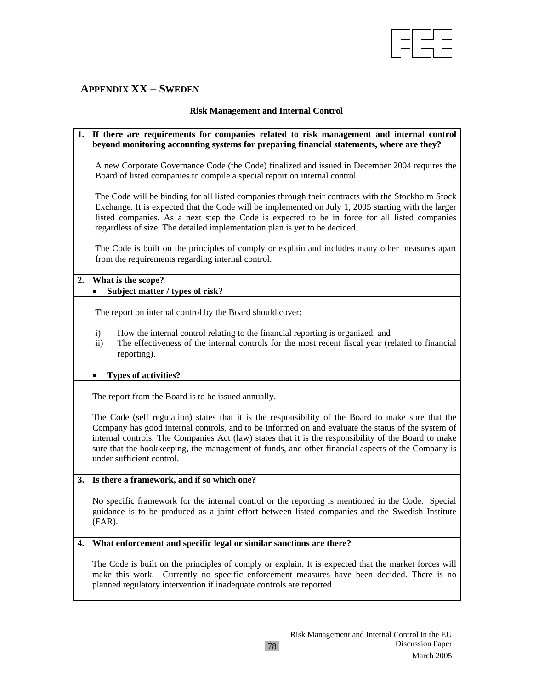# **APPENDIX XX – SWEDEN**

## **Risk Management and Internal Control**

 $\overline{\phantom{a}}$ 

# **1. If there are requirements for companies related to risk management and internal control beyond monitoring accounting systems for preparing financial statements, where are they?**  A new Corporate Governance Code (the Code) finalized and issued in December 2004 requires the Board of listed companies to compile a special report on internal control. The Code will be binding for all listed companies through their contracts with the Stockholm Stock Exchange. It is expected that the Code will be implemented on July 1, 2005 starting with the larger listed companies. As a next step the Code is expected to be in force for all listed companies regardless of size. The detailed implementation plan is yet to be decided. The Code is built on the principles of comply or explain and includes many other measures apart from the requirements regarding internal control. **2. What is the scope?**  • **Subject matter / types of risk?**  The report on internal control by the Board should cover: i) How the internal control relating to the financial reporting is organized, and ii) The effectiveness of the internal controls for the most recent fiscal year (related to financial reporting). • **Types of activities?**  The report from the Board is to be issued annually. The Code (self regulation) states that it is the responsibility of the Board to make sure that the Company has good internal controls, and to be informed on and evaluate the status of the system of internal controls. The Companies Act (law) states that it is the responsibility of the Board to make sure that the bookkeeping, the management of funds, and other financial aspects of the Company is under sufficient control. **3. Is there a framework, and if so which one?**  No specific framework for the internal control or the reporting is mentioned in the Code. Special guidance is to be produced as a joint effort between listed companies and the Swedish Institute (FAR). **4. What enforcement and specific legal or similar sanctions are there?**

The Code is built on the principles of comply or explain. It is expected that the market forces will make this work. Currently no specific enforcement measures have been decided. There is no planned regulatory intervention if inadequate controls are reported.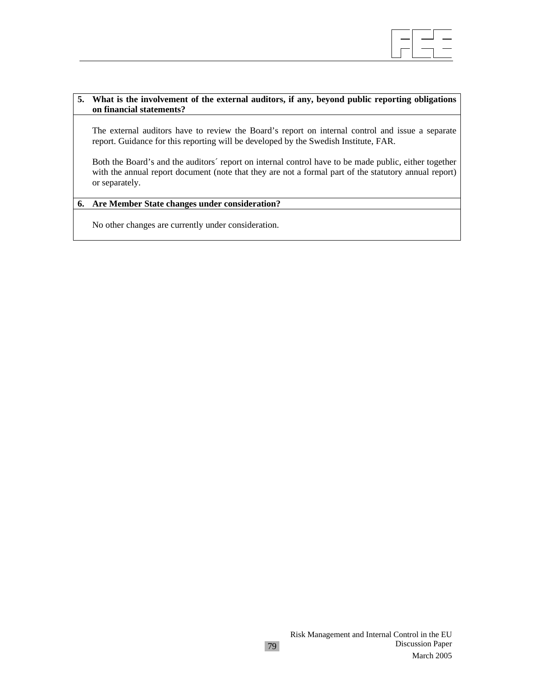

#### **5. What is the involvement of the external auditors, if any, beyond public reporting obligations on financial statements?**

The external auditors have to review the Board's report on internal control and issue a separate report. Guidance for this reporting will be developed by the Swedish Institute, FAR.

Both the Board's and the auditors´ report on internal control have to be made public, either together with the annual report document (note that they are not a formal part of the statutory annual report) or separately.

# **6. Are Member State changes under consideration?**

No other changes are currently under consideration.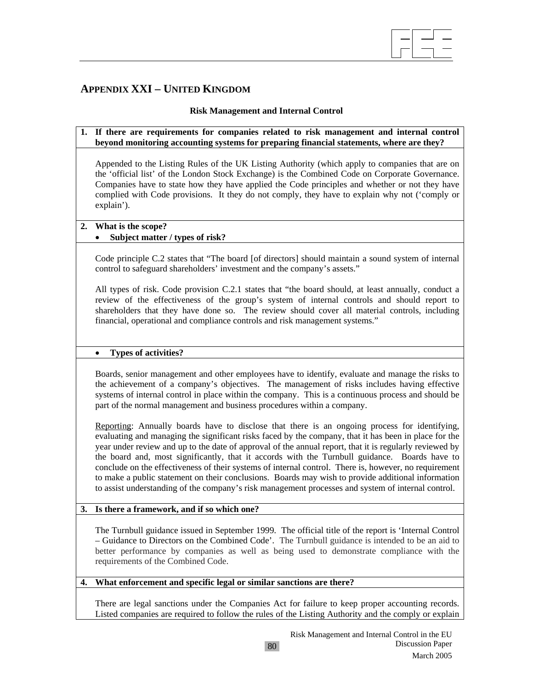# **APPENDIX XXI – UNITED KINGDOM**

### **Risk Management and Internal Control**

 $\overline{\phantom{a}}$ 

#### **1. If there are requirements for companies related to risk management and internal control beyond monitoring accounting systems for preparing financial statements, where are they?**

Appended to the Listing Rules of the UK Listing Authority (which apply to companies that are on the 'official list' of the London Stock Exchange) is the Combined Code on Corporate Governance. Companies have to state how they have applied the Code principles and whether or not they have complied with Code provisions. It they do not comply, they have to explain why not ('comply or explain').

# **2. What is the scope?**

# • **Subject matter / types of risk?**

Code principle C.2 states that "The board [of directors] should maintain a sound system of internal control to safeguard shareholders' investment and the company's assets."

All types of risk. Code provision C.2.1 states that "the board should, at least annually, conduct a review of the effectiveness of the group's system of internal controls and should report to shareholders that they have done so. The review should cover all material controls, including financial, operational and compliance controls and risk management systems."

#### • **Types of activities?**

Boards, senior management and other employees have to identify, evaluate and manage the risks to the achievement of a company's objectives. The management of risks includes having effective systems of internal control in place within the company. This is a continuous process and should be part of the normal management and business procedures within a company.

Reporting: Annually boards have to disclose that there is an ongoing process for identifying, evaluating and managing the significant risks faced by the company, that it has been in place for the year under review and up to the date of approval of the annual report, that it is regularly reviewed by the board and, most significantly, that it accords with the Turnbull guidance. Boards have to conclude on the effectiveness of their systems of internal control. There is, however, no requirement to make a public statement on their conclusions. Boards may wish to provide additional information to assist understanding of the company's risk management processes and system of internal control.

#### **3. Is there a framework, and if so which one?**

The Turnbull guidance issued in September 1999. The official title of the report is 'Internal Control – Guidance to Directors on the Combined Code'. The Turnbull guidance is intended to be an aid to better performance by companies as well as being used to demonstrate compliance with the requirements of the Combined Code.

#### **4. What enforcement and specific legal or similar sanctions are there?**

There are legal sanctions under the Companies Act for failure to keep proper accounting records. Listed companies are required to follow the rules of the Listing Authority and the comply or explain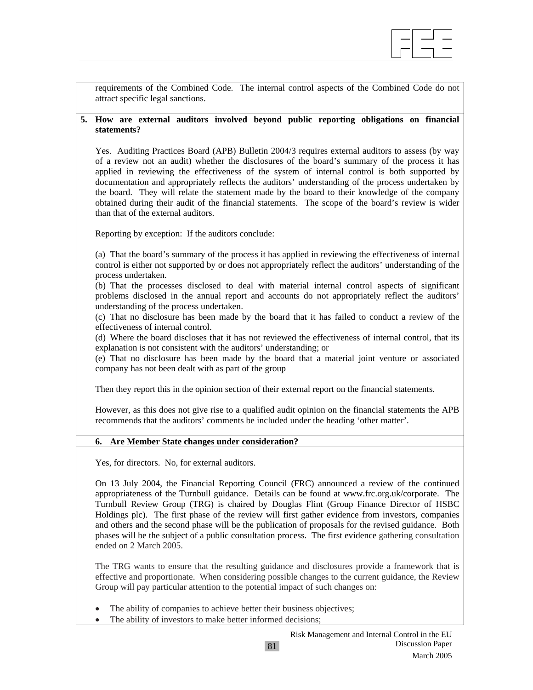

requirements of the Combined Code. The internal control aspects of the Combined Code do not attract specific legal sanctions.

### **5. How are external auditors involved beyond public reporting obligations on financial statements?**

Yes. Auditing Practices Board (APB) Bulletin 2004/3 requires external auditors to assess (by way of a review not an audit) whether the disclosures of the board's summary of the process it has applied in reviewing the effectiveness of the system of internal control is both supported by documentation and appropriately reflects the auditors' understanding of the process undertaken by the board. They will relate the statement made by the board to their knowledge of the company obtained during their audit of the financial statements. The scope of the board's review is wider than that of the external auditors.

Reporting by exception: If the auditors conclude:

(a) That the board's summary of the process it has applied in reviewing the effectiveness of internal control is either not supported by or does not appropriately reflect the auditors' understanding of the process undertaken.

(b) That the processes disclosed to deal with material internal control aspects of significant problems disclosed in the annual report and accounts do not appropriately reflect the auditors' understanding of the process undertaken.

(c) That no disclosure has been made by the board that it has failed to conduct a review of the effectiveness of internal control.

(d) Where the board discloses that it has not reviewed the effectiveness of internal control, that its explanation is not consistent with the auditors' understanding; or

(e) That no disclosure has been made by the board that a material joint venture or associated company has not been dealt with as part of the group

Then they report this in the opinion section of their external report on the financial statements.

However, as this does not give rise to a qualified audit opinion on the financial statements the APB recommends that the auditors' comments be included under the heading 'other matter'.

# **6. Are Member State changes under consideration?**

Yes, for directors. No, for external auditors.

On 13 July 2004, the Financial Reporting Council (FRC) announced a review of the continued appropriateness of the Turnbull guidance. Details can be found at www.frc.org.uk/corporate. The Turnbull Review Group (TRG) is chaired by Douglas Flint (Group Finance Director of HSBC Holdings plc). The first phase of the review will first gather evidence from investors, companies and others and the second phase will be the publication of proposals for the revised guidance. Both phases will be the subject of a public consultation process. The first evidence gathering consultation ended on 2 March 2005.

The TRG wants to ensure that the resulting guidance and disclosures provide a framework that is effective and proportionate. When considering possible changes to the current guidance, the Review Group will pay particular attention to the potential impact of such changes on:

The ability of companies to achieve better their business objectives;

The ability of investors to make better informed decisions;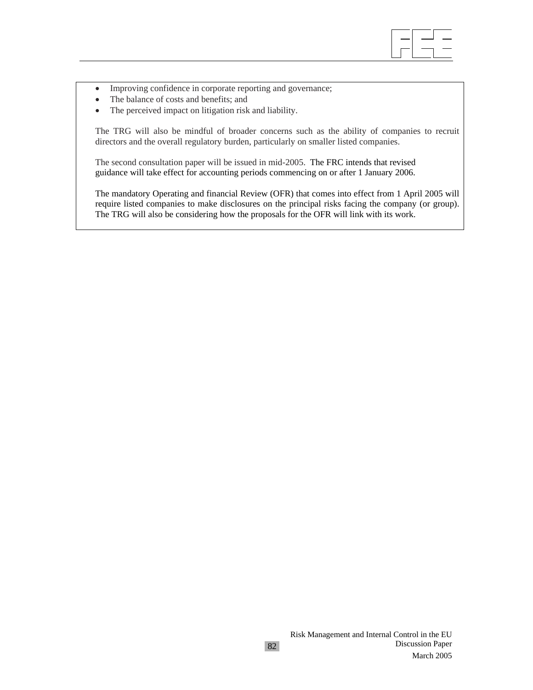

- Improving confidence in corporate reporting and governance;
- The balance of costs and benefits; and
- The perceived impact on litigation risk and liability.

The TRG will also be mindful of broader concerns such as the ability of companies to recruit directors and the overall regulatory burden, particularly on smaller listed companies.

The second consultation paper will be issued in mid-2005. The FRC intends that revised guidance will take effect for accounting periods commencing on or after 1 January 2006.

The mandatory Operating and financial Review (OFR) that comes into effect from 1 April 2005 will require listed companies to make disclosures on the principal risks facing the company (or group). The TRG will also be considering how the proposals for the OFR will link with its work.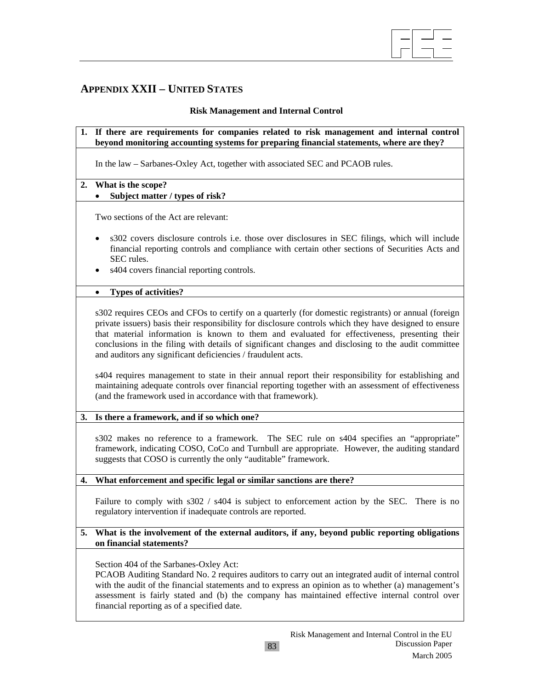

# **APPENDIX XXII – UNITED STATES**

#### **Risk Management and Internal Control**

**1. If there are requirements for companies related to risk management and internal control beyond monitoring accounting systems for preparing financial statements, where are they?** 

In the law – Sarbanes-Oxley Act, together with associated SEC and PCAOB rules.

### **2. What is the scope?**

# • **Subject matter / types of risk?**

Two sections of the Act are relevant:

- s302 covers disclosure controls i.e. those over disclosures in SEC filings, which will include financial reporting controls and compliance with certain other sections of Securities Acts and SEC rules.
- s404 covers financial reporting controls.

### • **Types of activities?**

s302 requires CEOs and CFOs to certify on a quarterly (for domestic registrants) or annual (foreign private issuers) basis their responsibility for disclosure controls which they have designed to ensure that material information is known to them and evaluated for effectiveness, presenting their conclusions in the filing with details of significant changes and disclosing to the audit committee and auditors any significant deficiencies / fraudulent acts.

s404 requires management to state in their annual report their responsibility for establishing and maintaining adequate controls over financial reporting together with an assessment of effectiveness (and the framework used in accordance with that framework).

# **3. Is there a framework, and if so which one?**

s302 makes no reference to a framework. The SEC rule on s404 specifies an "appropriate" framework, indicating COSO, CoCo and Turnbull are appropriate. However, the auditing standard suggests that COSO is currently the only "auditable" framework.

#### **4. What enforcement and specific legal or similar sanctions are there?**

Failure to comply with s302 / s404 is subject to enforcement action by the SEC. There is no regulatory intervention if inadequate controls are reported.

### **5. What is the involvement of the external auditors, if any, beyond public reporting obligations on financial statements?**

Section 404 of the Sarbanes-Oxley Act:

PCAOB Auditing Standard No. 2 requires auditors to carry out an integrated audit of internal control with the audit of the financial statements and to express an opinion as to whether (a) management's assessment is fairly stated and (b) the company has maintained effective internal control over financial reporting as of a specified date.